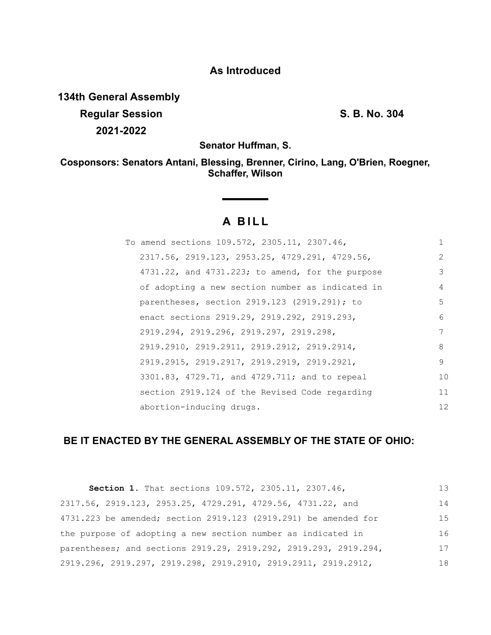# **As Introduced**

**134th General Assembly Regular Session S. B. No. 304 2021-2022**

**Senator Huffman, S.**

**Cosponsors: Senators Antani, Blessing, Brenner, Cirino, Lang, O'Brien, Roegner, Schaffer, Wilson**

# **A BILL**

| To amend sections 109.572, 2305.11, 2307.46,           |               |
|--------------------------------------------------------|---------------|
| 2317.56, 2919.123, 2953.25, 4729.291, 4729.56,         | $\mathcal{P}$ |
| $4731.22$ , and $4731.223$ ; to amend, for the purpose | 3             |
| of adopting a new section number as indicated in       | 4             |
| parentheses, section 2919.123 (2919.291); to           | 5             |
| enact sections 2919.29, 2919.292, 2919.293,            | 6             |
| 2919.294, 2919.296, 2919.297, 2919.298,                | 7             |
| 2919.2910, 2919.2911, 2919.2912, 2919.2914,            | 8             |
| 2919.2915, 2919.2917, 2919.2919, 2919.2921,            | 9             |
| 3301.83, 4729.71, and 4729.711; and to repeal          | 10            |
| section 2919.124 of the Revised Code regarding         | 11            |
| abortion-inducing drugs.                               | 12            |

# **BE IT ENACTED BY THE GENERAL ASSEMBLY OF THE STATE OF OHIO:**

| Section 1. That sections 109.572, 2305.11, 2307.46,              |    |
|------------------------------------------------------------------|----|
| 2317.56, 2919.123, 2953.25, 4729.291, 4729.56, 4731.22, and      | 14 |
| 4731.223 be amended; section 2919.123 (2919.291) be amended for  | 15 |
| the purpose of adopting a new section number as indicated in     | 16 |
| parentheses; and sections 2919.29, 2919.292, 2919.293, 2919.294, | 17 |
| 2919.296, 2919.297, 2919.298, 2919.2910, 2919.2911, 2919.2912,   | 18 |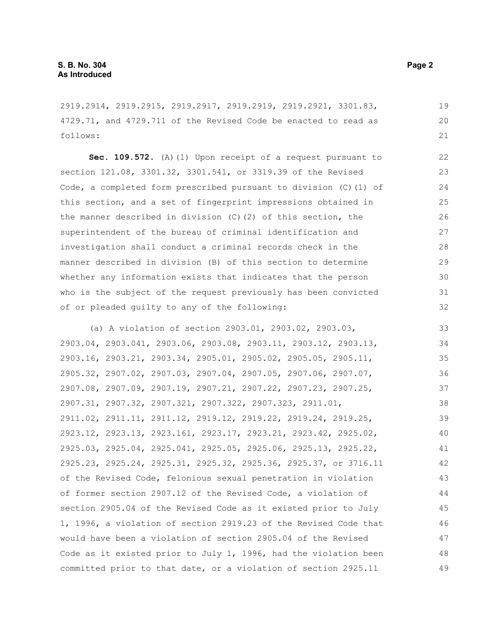2919.2914, 2919.2915, 2919.2917, 2919.2919, 2919.2921, 3301.83, 4729.71, and 4729.711 of the Revised Code be enacted to read as follows:

**Sec. 109.572.** (A)(1) Upon receipt of a request pursuant to section 121.08, 3301.32, 3301.541, or 3319.39 of the Revised Code, a completed form prescribed pursuant to division (C)(1) of this section, and a set of fingerprint impressions obtained in the manner described in division (C)(2) of this section, the superintendent of the bureau of criminal identification and investigation shall conduct a criminal records check in the manner described in division (B) of this section to determine whether any information exists that indicates that the person who is the subject of the request previously has been convicted of or pleaded guilty to any of the following:

(a) A violation of section 2903.01, 2903.02, 2903.03, 2903.04, 2903.041, 2903.06, 2903.08, 2903.11, 2903.12, 2903.13, 2903.16, 2903.21, 2903.34, 2905.01, 2905.02, 2905.05, 2905.11, 2905.32, 2907.02, 2907.03, 2907.04, 2907.05, 2907.06, 2907.07, 2907.08, 2907.09, 2907.19, 2907.21, 2907.22, 2907.23, 2907.25, 2907.31, 2907.32, 2907.321, 2907.322, 2907.323, 2911.01, 2911.02, 2911.11, 2911.12, 2919.12, 2919.22, 2919.24, 2919.25, 2923.12, 2923.13, 2923.161, 2923.17, 2923.21, 2923.42, 2925.02, 2925.03, 2925.04, 2925.041, 2925.05, 2925.06, 2925.13, 2925.22, 2925.23, 2925.24, 2925.31, 2925.32, 2925.36, 2925.37, or 3716.11 of the Revised Code, felonious sexual penetration in violation of former section 2907.12 of the Revised Code, a violation of section 2905.04 of the Revised Code as it existed prior to July 1, 1996, a violation of section 2919.23 of the Revised Code that would have been a violation of section 2905.04 of the Revised Code as it existed prior to July 1, 1996, had the violation been committed prior to that date, or a violation of section 2925.11 33 34 35 36 37 38 39 40 41 42 43 44 45 46 47 48 49

19 20 21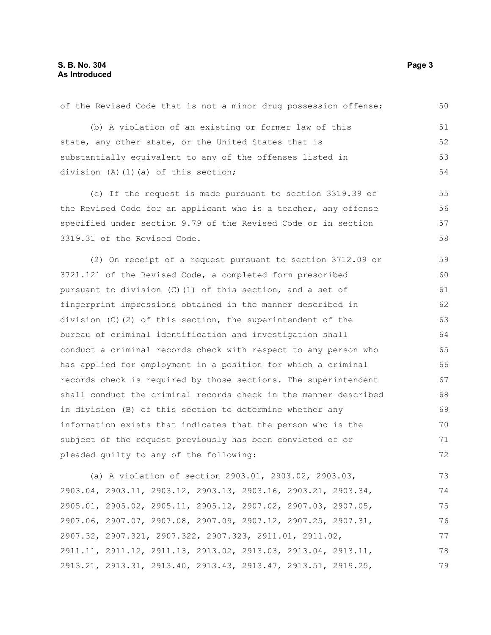| (b) A violation of an existing or former law of this             | 51 |
|------------------------------------------------------------------|----|
| state, any other state, or the United States that is             | 52 |
| substantially equivalent to any of the offenses listed in        | 53 |
| division $(A) (1) (a)$ of this section;                          | 54 |
| (c) If the request is made pursuant to section 3319.39 of        | 55 |
| the Revised Code for an applicant who is a teacher, any offense  | 56 |
| specified under section 9.79 of the Revised Code or in section   | 57 |
| 3319.31 of the Revised Code.                                     | 58 |
| (2) On receipt of a request pursuant to section 3712.09 or       | 59 |
| 3721.121 of the Revised Code, a completed form prescribed        | 60 |
| pursuant to division (C) (1) of this section, and a set of       | 61 |
| fingerprint impressions obtained in the manner described in      | 62 |
| division (C)(2) of this section, the superintendent of the       | 63 |
| bureau of criminal identification and investigation shall        | 64 |
| conduct a criminal records check with respect to any person who  | 65 |
| has applied for employment in a position for which a criminal    | 66 |
| records check is required by those sections. The superintendent  | 67 |
| shall conduct the criminal records check in the manner described | 68 |
| in division (B) of this section to determine whether any         | 69 |
| information exists that indicates that the person who is the     | 70 |
| subject of the request previously has been convicted of or       | 71 |
| pleaded guilty to any of the following:                          | 72 |
| (a) A violation of section 2903.01, 2903.02, 2903.03,            | 73 |
| 2903.04, 2903.11, 2903.12, 2903.13, 2903.16, 2903.21, 2903.34,   | 74 |
| 2905.01, 2905.02, 2905.11, 2905.12, 2907.02, 2907.03, 2907.05,   | 75 |
| 2907.06, 2907.07, 2907.08, 2907.09, 2907.12, 2907.25, 2907.31,   | 76 |

of the Revised Code that is not a minor drug possession offense;

2907.32, 2907.321, 2907.322, 2907.323, 2911.01, 2911.02, 2911.11, 2911.12, 2911.13, 2913.02, 2913.03, 2913.04, 2913.11, 2913.21, 2913.31, 2913.40, 2913.43, 2913.47, 2913.51, 2919.25, 77 78 79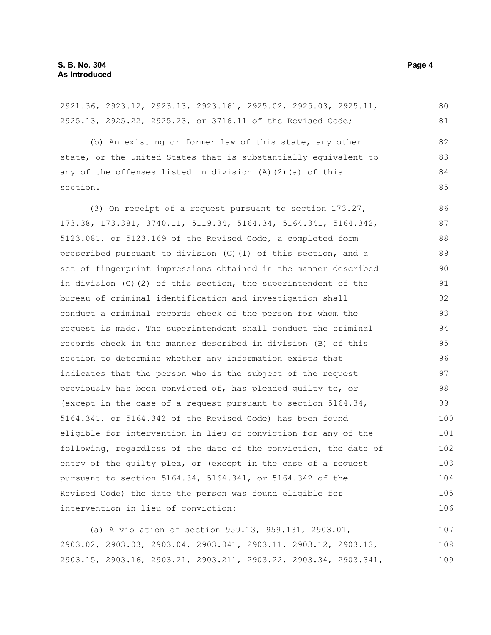2921.36, 2923.12, 2923.13, 2923.161, 2925.02, 2925.03, 2925.11, 2925.13, 2925.22, 2925.23, or 3716.11 of the Revised Code; (b) An existing or former law of this state, any other state, or the United States that is substantially equivalent to any of the offenses listed in division (A)(2)(a) of this section. (3) On receipt of a request pursuant to section 173.27, 173.38, 173.381, 3740.11, 5119.34, 5164.34, 5164.341, 5164.342, 5123.081, or 5123.169 of the Revised Code, a completed form prescribed pursuant to division (C)(1) of this section, and a set of fingerprint impressions obtained in the manner described in division (C)(2) of this section, the superintendent of the bureau of criminal identification and investigation shall conduct a criminal records check of the person for whom the request is made. The superintendent shall conduct the criminal records check in the manner described in division (B) of this section to determine whether any information exists that indicates that the person who is the subject of the request previously has been convicted of, has pleaded guilty to, or (except in the case of a request pursuant to section 5164.34, 5164.341, or 5164.342 of the Revised Code) has been found eligible for intervention in lieu of conviction for any of the following, regardless of the date of the conviction, the date of entry of the guilty plea, or (except in the case of a request pursuant to section 5164.34, 5164.341, or 5164.342 of the Revised Code) the date the person was found eligible for intervention in lieu of conviction: (a) A violation of section 959.13, 959.131, 2903.01, 2903.02, 2903.03, 2903.04, 2903.041, 2903.11, 2903.12, 2903.13, 80 81 82 83 84 85 86 87 88 89 90 91 92 93 94 95 96 97 98 99 100 101 102 103 104 105 106 107 108

2903.15, 2903.16, 2903.21, 2903.211, 2903.22, 2903.34, 2903.341,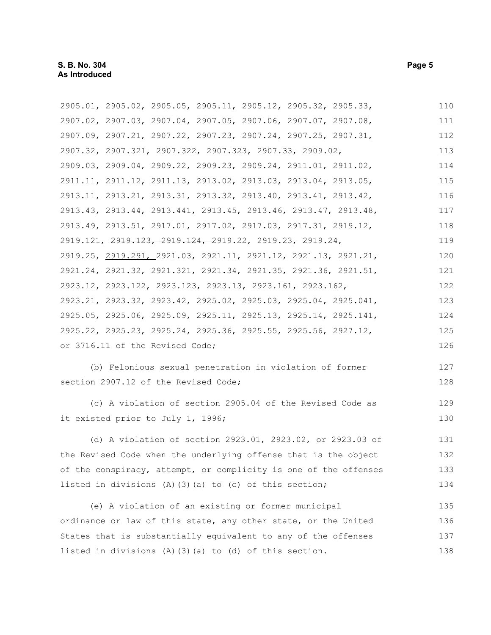2905.01, 2905.02, 2905.05, 2905.11, 2905.12, 2905.32, 2905.33, 2907.02, 2907.03, 2907.04, 2907.05, 2907.06, 2907.07, 2907.08, 2907.09, 2907.21, 2907.22, 2907.23, 2907.24, 2907.25, 2907.31, 2907.32, 2907.321, 2907.322, 2907.323, 2907.33, 2909.02, 2909.03, 2909.04, 2909.22, 2909.23, 2909.24, 2911.01, 2911.02, 2911.11, 2911.12, 2911.13, 2913.02, 2913.03, 2913.04, 2913.05, 2913.11, 2913.21, 2913.31, 2913.32, 2913.40, 2913.41, 2913.42, 2913.43, 2913.44, 2913.441, 2913.45, 2913.46, 2913.47, 2913.48, 2913.49, 2913.51, 2917.01, 2917.02, 2917.03, 2917.31, 2919.12, 2919.121, 2919.123, 2919.124, 2919.22, 2919.23, 2919.24, 2919.25, 2919.291, 2921.03, 2921.11, 2921.12, 2921.13, 2921.21, 2921.24, 2921.32, 2921.321, 2921.34, 2921.35, 2921.36, 2921.51, 2923.12, 2923.122, 2923.123, 2923.13, 2923.161, 2923.162, 2923.21, 2923.32, 2923.42, 2925.02, 2925.03, 2925.04, 2925.041, 2925.05, 2925.06, 2925.09, 2925.11, 2925.13, 2925.14, 2925.141, 2925.22, 2925.23, 2925.24, 2925.36, 2925.55, 2925.56, 2927.12, or 3716.11 of the Revised Code; 110 111 112 113 114 115 116 117 118 119 120 121 122 123 124 125 126

(b) Felonious sexual penetration in violation of former section 2907.12 of the Revised Code;

(c) A violation of section 2905.04 of the Revised Code as it existed prior to July 1, 1996;

(d) A violation of section 2923.01, 2923.02, or 2923.03 of the Revised Code when the underlying offense that is the object of the conspiracy, attempt, or complicity is one of the offenses listed in divisions (A)(3)(a) to (c) of this section; 131 132 133 134

(e) A violation of an existing or former municipal ordinance or law of this state, any other state, or the United States that is substantially equivalent to any of the offenses listed in divisions (A)(3)(a) to (d) of this section. 135 136 137 138

127 128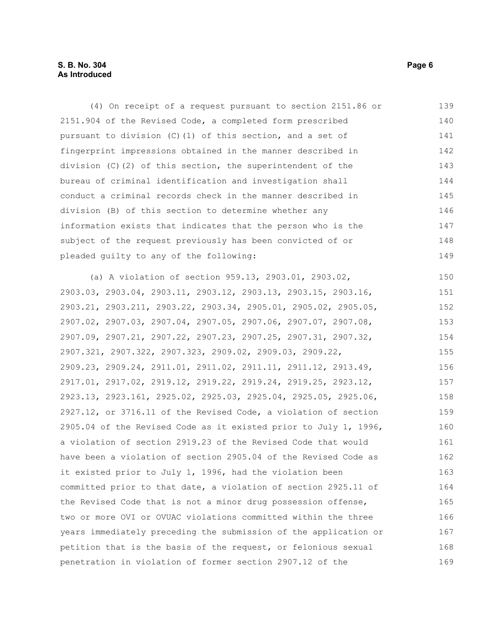# **S. B. No. 304** Page 6 **As Introduced**

(4) On receipt of a request pursuant to section 2151.86 or 2151.904 of the Revised Code, a completed form prescribed pursuant to division (C)(1) of this section, and a set of fingerprint impressions obtained in the manner described in division (C)(2) of this section, the superintendent of the bureau of criminal identification and investigation shall conduct a criminal records check in the manner described in division (B) of this section to determine whether any information exists that indicates that the person who is the subject of the request previously has been convicted of or pleaded guilty to any of the following: (a) A violation of section 959.13, 2903.01, 2903.02, 2903.03, 2903.04, 2903.11, 2903.12, 2903.13, 2903.15, 2903.16, 2903.21, 2903.211, 2903.22, 2903.34, 2905.01, 2905.02, 2905.05, 2907.02, 2907.03, 2907.04, 2907.05, 2907.06, 2907.07, 2907.08, 2907.09, 2907.21, 2907.22, 2907.23, 2907.25, 2907.31, 2907.32, 2907.321, 2907.322, 2907.323, 2909.02, 2909.03, 2909.22, 2909.23, 2909.24, 2911.01, 2911.02, 2911.11, 2911.12, 2913.49, 2917.01, 2917.02, 2919.12, 2919.22, 2919.24, 2919.25, 2923.12, 2923.13, 2923.161, 2925.02, 2925.03, 2925.04, 2925.05, 2925.06, 2927.12, or 3716.11 of the Revised Code, a violation of section 2905.04 of the Revised Code as it existed prior to July 1, 1996, a violation of section 2919.23 of the Revised Code that would have been a violation of section 2905.04 of the Revised Code as it existed prior to July 1, 1996, had the violation been committed prior to that date, a violation of section 2925.11 of the Revised Code that is not a minor drug possession offense, two or more OVI or OVUAC violations committed within the three years immediately preceding the submission of the application or petition that is the basis of the request, or felonious sexual penetration in violation of former section 2907.12 of the 139 140 141 142 143 144 145 146 147 148 149 150 151 152 153 154 155 156 157 158 159 160 161 162 163 164 165 166 167 168 169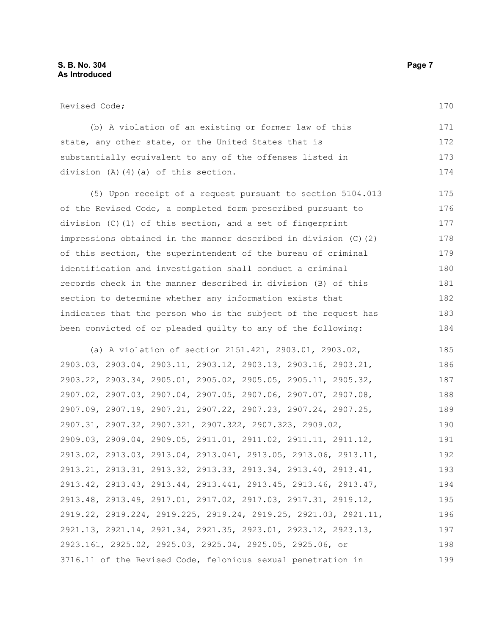170

| Revised Code;                                                        |
|----------------------------------------------------------------------|
| (b) A violation of an existing or former law of this                 |
| state, any other state, or the United States that is                 |
| substantially equivalent to any of the offenses listed in            |
| division $(A)$ $(4)$ $(a)$ of this section.                          |
| (5) Upon receipt of a request pursuant to section 5104.013           |
| of the Revised Code, a completed form prescribed pursuant to         |
| division $(C)$ (1) of this section, and a set of fingerprint         |
| impressions obtained in the manner described in division $(C)$ $(2)$ |
| of this section, the superintendent of the bureau of criminal        |
| identification and investigation shall conduct a criminal            |
| records check in the manner described in division (B) of this        |
| section to determine whether any information exists that             |

indicates that the person who is the subject of the request has been convicted of or pleaded guilty to any of the following: 183 184

(a) A violation of section 2151.421, 2903.01, 2903.02, 2903.03, 2903.04, 2903.11, 2903.12, 2903.13, 2903.16, 2903.21, 2903.22, 2903.34, 2905.01, 2905.02, 2905.05, 2905.11, 2905.32, 2907.02, 2907.03, 2907.04, 2907.05, 2907.06, 2907.07, 2907.08, 2907.09, 2907.19, 2907.21, 2907.22, 2907.23, 2907.24, 2907.25, 2907.31, 2907.32, 2907.321, 2907.322, 2907.323, 2909.02, 2909.03, 2909.04, 2909.05, 2911.01, 2911.02, 2911.11, 2911.12, 2913.02, 2913.03, 2913.04, 2913.041, 2913.05, 2913.06, 2913.11, 2913.21, 2913.31, 2913.32, 2913.33, 2913.34, 2913.40, 2913.41, 2913.42, 2913.43, 2913.44, 2913.441, 2913.45, 2913.46, 2913.47, 2913.48, 2913.49, 2917.01, 2917.02, 2917.03, 2917.31, 2919.12, 2919.22, 2919.224, 2919.225, 2919.24, 2919.25, 2921.03, 2921.11, 2921.13, 2921.14, 2921.34, 2921.35, 2923.01, 2923.12, 2923.13, 2923.161, 2925.02, 2925.03, 2925.04, 2925.05, 2925.06, or 3716.11 of the Revised Code, felonious sexual penetration in 185 186 187 188 189 190 191 192 193 194 195 196 197 198 199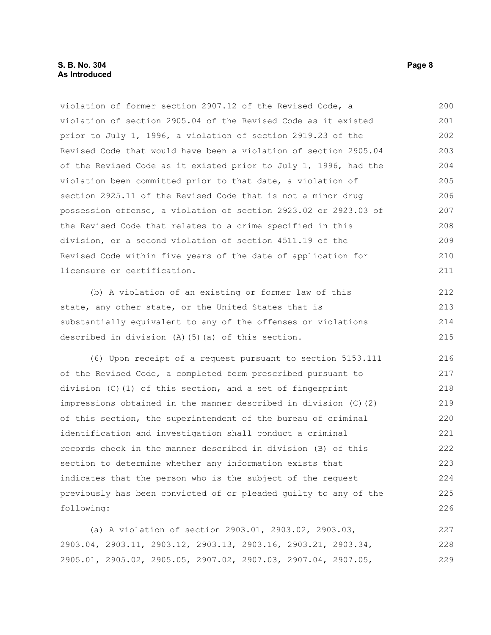## **S. B. No. 304** Page 8 **As Introduced**

violation of former section 2907.12 of the Revised Code, a violation of section 2905.04 of the Revised Code as it existed prior to July 1, 1996, a violation of section 2919.23 of the Revised Code that would have been a violation of section 2905.04 of the Revised Code as it existed prior to July 1, 1996, had the violation been committed prior to that date, a violation of section 2925.11 of the Revised Code that is not a minor drug possession offense, a violation of section 2923.02 or 2923.03 of the Revised Code that relates to a crime specified in this division, or a second violation of section 4511.19 of the Revised Code within five years of the date of application for licensure or certification. 200 201 202 203 204 205 206 207 208 209 210 211

(b) A violation of an existing or former law of this state, any other state, or the United States that is substantially equivalent to any of the offenses or violations described in division (A)(5)(a) of this section. 212 213 214 215

(6) Upon receipt of a request pursuant to section 5153.111 of the Revised Code, a completed form prescribed pursuant to division (C)(1) of this section, and a set of fingerprint impressions obtained in the manner described in division (C)(2) of this section, the superintendent of the bureau of criminal identification and investigation shall conduct a criminal records check in the manner described in division (B) of this section to determine whether any information exists that indicates that the person who is the subject of the request previously has been convicted of or pleaded guilty to any of the following: 216 217 218 219 220 221 222 223 224 225 226

(a) A violation of section 2903.01, 2903.02, 2903.03, 2903.04, 2903.11, 2903.12, 2903.13, 2903.16, 2903.21, 2903.34, 2905.01, 2905.02, 2905.05, 2907.02, 2907.03, 2907.04, 2907.05, 227 228 229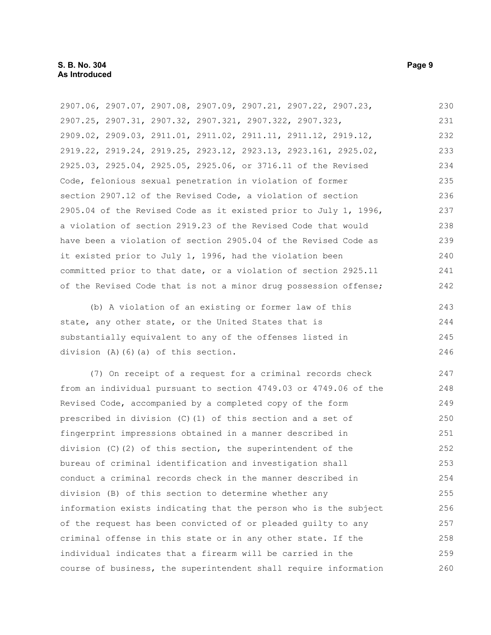2907.06, 2907.07, 2907.08, 2907.09, 2907.21, 2907.22, 2907.23, 2907.25, 2907.31, 2907.32, 2907.321, 2907.322, 2907.323, 2909.02, 2909.03, 2911.01, 2911.02, 2911.11, 2911.12, 2919.12, 2919.22, 2919.24, 2919.25, 2923.12, 2923.13, 2923.161, 2925.02, 2925.03, 2925.04, 2925.05, 2925.06, or 3716.11 of the Revised Code, felonious sexual penetration in violation of former section 2907.12 of the Revised Code, a violation of section 2905.04 of the Revised Code as it existed prior to July 1, 1996, a violation of section 2919.23 of the Revised Code that would have been a violation of section 2905.04 of the Revised Code as it existed prior to July 1, 1996, had the violation been committed prior to that date, or a violation of section 2925.11 of the Revised Code that is not a minor drug possession offense; 230 231 232 233 234 235 236 237 238 239 240 241 242

(b) A violation of an existing or former law of this state, any other state, or the United States that is substantially equivalent to any of the offenses listed in division (A)(6)(a) of this section. 243 244 245 246

(7) On receipt of a request for a criminal records check from an individual pursuant to section 4749.03 or 4749.06 of the Revised Code, accompanied by a completed copy of the form prescribed in division (C)(1) of this section and a set of fingerprint impressions obtained in a manner described in division  $(C)$  (2) of this section, the superintendent of the bureau of criminal identification and investigation shall conduct a criminal records check in the manner described in division (B) of this section to determine whether any information exists indicating that the person who is the subject of the request has been convicted of or pleaded guilty to any criminal offense in this state or in any other state. If the individual indicates that a firearm will be carried in the course of business, the superintendent shall require information 247 248 249 250 251 252 253 254 255 256 257 258 259 260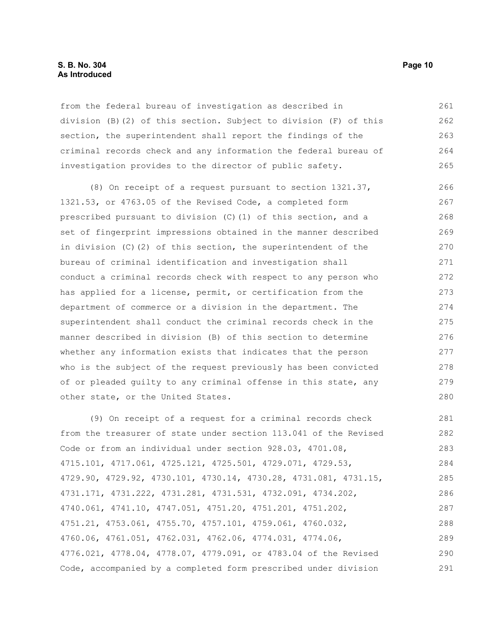## **S. B. No. 304 Page 10 As Introduced**

from the federal bureau of investigation as described in division (B)(2) of this section. Subject to division (F) of this section, the superintendent shall report the findings of the criminal records check and any information the federal bureau of investigation provides to the director of public safety. 261 262 263 264 265

(8) On receipt of a request pursuant to section 1321.37, 1321.53, or 4763.05 of the Revised Code, a completed form prescribed pursuant to division (C)(1) of this section, and a set of fingerprint impressions obtained in the manner described in division (C)(2) of this section, the superintendent of the bureau of criminal identification and investigation shall conduct a criminal records check with respect to any person who has applied for a license, permit, or certification from the department of commerce or a division in the department. The superintendent shall conduct the criminal records check in the manner described in division (B) of this section to determine whether any information exists that indicates that the person who is the subject of the request previously has been convicted of or pleaded guilty to any criminal offense in this state, any other state, or the United States. 266 267 268 269 270 271 272 273 274 275 276 277 278 279 280

(9) On receipt of a request for a criminal records check from the treasurer of state under section 113.041 of the Revised Code or from an individual under section 928.03, 4701.08, 4715.101, 4717.061, 4725.121, 4725.501, 4729.071, 4729.53, 4729.90, 4729.92, 4730.101, 4730.14, 4730.28, 4731.081, 4731.15, 4731.171, 4731.222, 4731.281, 4731.531, 4732.091, 4734.202, 4740.061, 4741.10, 4747.051, 4751.20, 4751.201, 4751.202, 4751.21, 4753.061, 4755.70, 4757.101, 4759.061, 4760.032, 4760.06, 4761.051, 4762.031, 4762.06, 4774.031, 4774.06, 4776.021, 4778.04, 4778.07, 4779.091, or 4783.04 of the Revised Code, accompanied by a completed form prescribed under division 281 282 283 284 285 286 287 288 289 290 291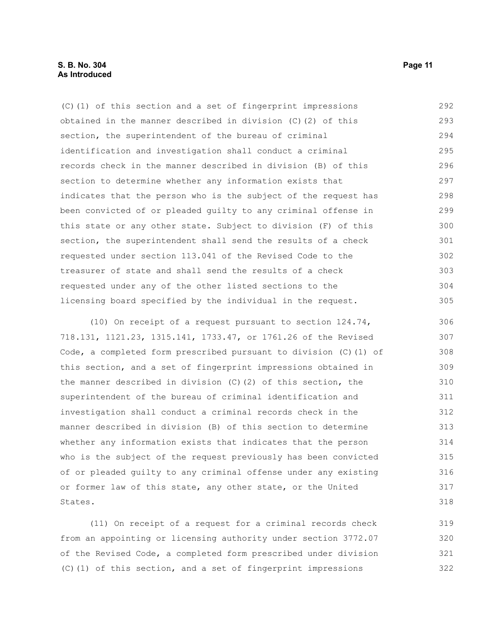## **S. B. No. 304 Page 11 As Introduced**

(C)(1) of this section and a set of fingerprint impressions obtained in the manner described in division (C)(2) of this section, the superintendent of the bureau of criminal identification and investigation shall conduct a criminal records check in the manner described in division (B) of this section to determine whether any information exists that indicates that the person who is the subject of the request has been convicted of or pleaded guilty to any criminal offense in this state or any other state. Subject to division (F) of this section, the superintendent shall send the results of a check requested under section 113.041 of the Revised Code to the treasurer of state and shall send the results of a check requested under any of the other listed sections to the licensing board specified by the individual in the request. 292 293 294 295 296 297 298 299 300 301 302 303 304 305

(10) On receipt of a request pursuant to section 124.74, 718.131, 1121.23, 1315.141, 1733.47, or 1761.26 of the Revised Code, a completed form prescribed pursuant to division (C)(1) of this section, and a set of fingerprint impressions obtained in the manner described in division  $(C)(2)$  of this section, the superintendent of the bureau of criminal identification and investigation shall conduct a criminal records check in the manner described in division (B) of this section to determine whether any information exists that indicates that the person who is the subject of the request previously has been convicted of or pleaded guilty to any criminal offense under any existing or former law of this state, any other state, or the United States. 306 307 308 309 310 311 312 313 314 315 316 317 318

(11) On receipt of a request for a criminal records check from an appointing or licensing authority under section 3772.07 of the Revised Code, a completed form prescribed under division (C)(1) of this section, and a set of fingerprint impressions 319 320 321 322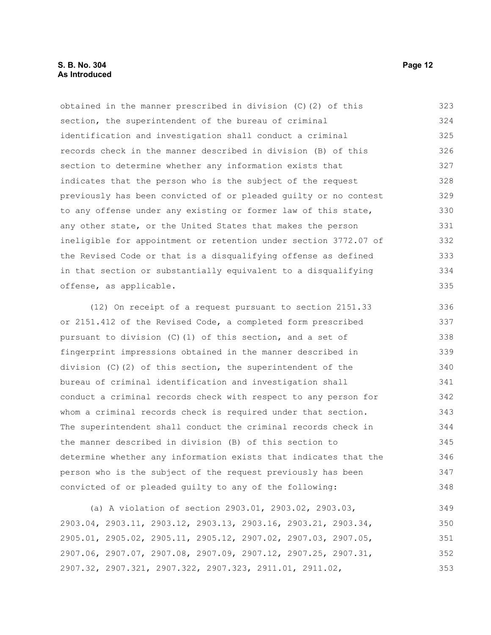## **S. B. No. 304 Page 12 As Introduced**

obtained in the manner prescribed in division (C)(2) of this section, the superintendent of the bureau of criminal identification and investigation shall conduct a criminal records check in the manner described in division (B) of this section to determine whether any information exists that indicates that the person who is the subject of the request previously has been convicted of or pleaded guilty or no contest to any offense under any existing or former law of this state, any other state, or the United States that makes the person ineligible for appointment or retention under section 3772.07 of the Revised Code or that is a disqualifying offense as defined in that section or substantially equivalent to a disqualifying offense, as applicable. 323 324 325 326 327 328 329 330 331 332 333 334 335

(12) On receipt of a request pursuant to section 2151.33 or 2151.412 of the Revised Code, a completed form prescribed pursuant to division (C)(1) of this section, and a set of fingerprint impressions obtained in the manner described in division (C)(2) of this section, the superintendent of the bureau of criminal identification and investigation shall conduct a criminal records check with respect to any person for whom a criminal records check is required under that section. The superintendent shall conduct the criminal records check in the manner described in division (B) of this section to determine whether any information exists that indicates that the person who is the subject of the request previously has been convicted of or pleaded guilty to any of the following: 336 337 338 339 340 341 342 343 344 345 346 347 348

(a) A violation of section 2903.01, 2903.02, 2903.03, 2903.04, 2903.11, 2903.12, 2903.13, 2903.16, 2903.21, 2903.34, 2905.01, 2905.02, 2905.11, 2905.12, 2907.02, 2907.03, 2907.05, 2907.06, 2907.07, 2907.08, 2907.09, 2907.12, 2907.25, 2907.31, 2907.32, 2907.321, 2907.322, 2907.323, 2911.01, 2911.02, 349 350 351 352 353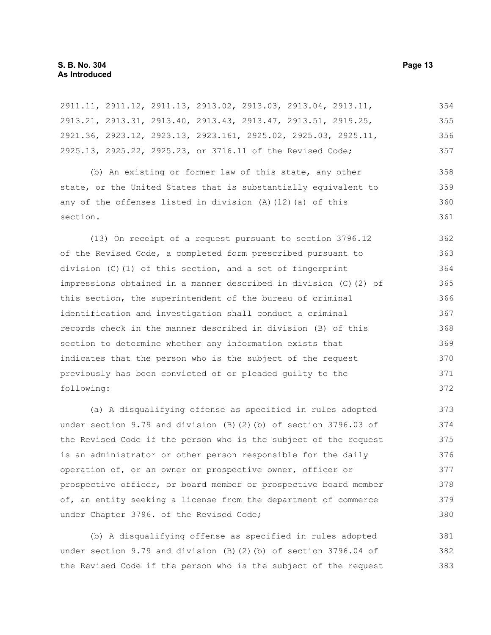2911.11, 2911.12, 2911.13, 2913.02, 2913.03, 2913.04, 2913.11, 2913.21, 2913.31, 2913.40, 2913.43, 2913.47, 2913.51, 2919.25, 2921.36, 2923.12, 2923.13, 2923.161, 2925.02, 2925.03, 2925.11, 2925.13, 2925.22, 2925.23, or 3716.11 of the Revised Code; (b) An existing or former law of this state, any other state, or the United States that is substantially equivalent to any of the offenses listed in division (A)(12)(a) of this section. (13) On receipt of a request pursuant to section 3796.12 of the Revised Code, a completed form prescribed pursuant to division (C)(1) of this section, and a set of fingerprint impressions obtained in a manner described in division (C)(2) of this section, the superintendent of the bureau of criminal identification and investigation shall conduct a criminal records check in the manner described in division (B) of this section to determine whether any information exists that indicates that the person who is the subject of the request previously has been convicted of or pleaded guilty to the following: 354 355 356 357 358 359 360 361 362 363 364 365 366 367 368 369 370 371 372

(a) A disqualifying offense as specified in rules adopted under section 9.79 and division (B)(2)(b) of section 3796.03 of the Revised Code if the person who is the subject of the request is an administrator or other person responsible for the daily operation of, or an owner or prospective owner, officer or prospective officer, or board member or prospective board member of, an entity seeking a license from the department of commerce under Chapter 3796. of the Revised Code;

(b) A disqualifying offense as specified in rules adopted under section 9.79 and division (B)(2)(b) of section 3796.04 of the Revised Code if the person who is the subject of the request 381 382 383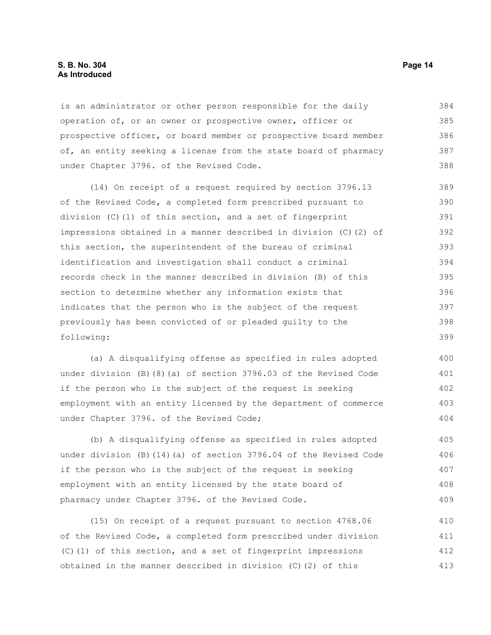#### **S. B. No. 304 Page 14 As Introduced**

is an administrator or other person responsible for the daily operation of, or an owner or prospective owner, officer or prospective officer, or board member or prospective board member of, an entity seeking a license from the state board of pharmacy under Chapter 3796. of the Revised Code. 384 385 386 387 388

(14) On receipt of a request required by section 3796.13 of the Revised Code, a completed form prescribed pursuant to division (C)(1) of this section, and a set of fingerprint impressions obtained in a manner described in division (C)(2) of this section, the superintendent of the bureau of criminal identification and investigation shall conduct a criminal records check in the manner described in division (B) of this section to determine whether any information exists that indicates that the person who is the subject of the request previously has been convicted of or pleaded guilty to the following: 389 390 391 392 393 394 395 396 397 398 399

(a) A disqualifying offense as specified in rules adopted under division (B)(8)(a) of section 3796.03 of the Revised Code if the person who is the subject of the request is seeking employment with an entity licensed by the department of commerce under Chapter 3796. of the Revised Code; 400 401 402 403 404

(b) A disqualifying offense as specified in rules adopted under division (B)(14)(a) of section 3796.04 of the Revised Code if the person who is the subject of the request is seeking employment with an entity licensed by the state board of pharmacy under Chapter 3796. of the Revised Code. 405 406 407 408 409

(15) On receipt of a request pursuant to section 4768.06 of the Revised Code, a completed form prescribed under division (C)(1) of this section, and a set of fingerprint impressions obtained in the manner described in division (C)(2) of this 410 411 412 413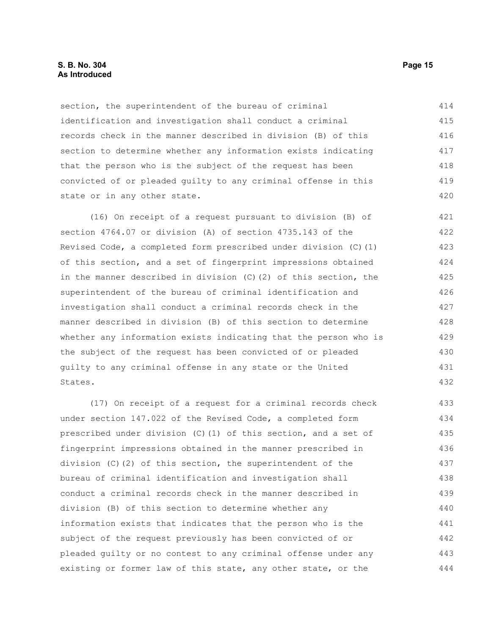## **S. B. No. 304 Page 15 As Introduced**

section, the superintendent of the bureau of criminal identification and investigation shall conduct a criminal records check in the manner described in division (B) of this section to determine whether any information exists indicating that the person who is the subject of the request has been convicted of or pleaded guilty to any criminal offense in this state or in any other state. 414 415 416 417 418 419 420

(16) On receipt of a request pursuant to division (B) of section 4764.07 or division (A) of section 4735.143 of the Revised Code, a completed form prescribed under division (C)(1) of this section, and a set of fingerprint impressions obtained in the manner described in division (C)(2) of this section, the superintendent of the bureau of criminal identification and investigation shall conduct a criminal records check in the manner described in division (B) of this section to determine whether any information exists indicating that the person who is the subject of the request has been convicted of or pleaded guilty to any criminal offense in any state or the United States. 421 422 423 424 425 426 427 428 429 430 431 432

(17) On receipt of a request for a criminal records check under section 147.022 of the Revised Code, a completed form prescribed under division (C)(1) of this section, and a set of fingerprint impressions obtained in the manner prescribed in division (C)(2) of this section, the superintendent of the bureau of criminal identification and investigation shall conduct a criminal records check in the manner described in division (B) of this section to determine whether any information exists that indicates that the person who is the subject of the request previously has been convicted of or pleaded guilty or no contest to any criminal offense under any existing or former law of this state, any other state, or the 433 434 435 436 437 438 439 440 441 442 443 444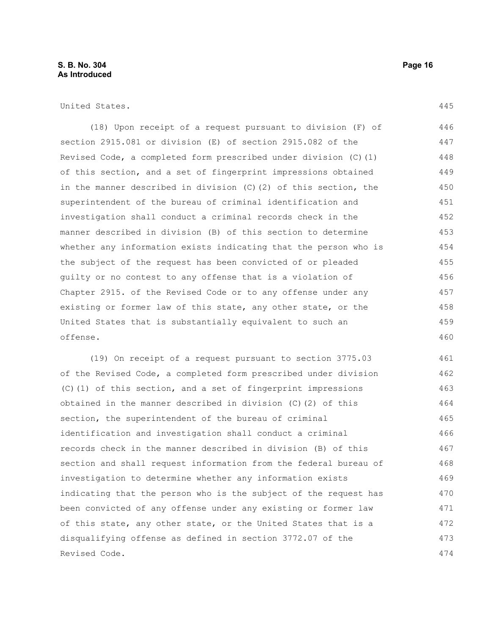United States.

(18) Upon receipt of a request pursuant to division (F) of section 2915.081 or division (E) of section 2915.082 of the Revised Code, a completed form prescribed under division (C)(1) of this section, and a set of fingerprint impressions obtained in the manner described in division (C)(2) of this section, the superintendent of the bureau of criminal identification and investigation shall conduct a criminal records check in the manner described in division (B) of this section to determine whether any information exists indicating that the person who is the subject of the request has been convicted of or pleaded guilty or no contest to any offense that is a violation of Chapter 2915. of the Revised Code or to any offense under any existing or former law of this state, any other state, or the United States that is substantially equivalent to such an offense. 446 447 448 449 450 451 452 453 454 455 456 457 458 459 460

(19) On receipt of a request pursuant to section 3775.03 of the Revised Code, a completed form prescribed under division (C)(1) of this section, and a set of fingerprint impressions obtained in the manner described in division (C)(2) of this section, the superintendent of the bureau of criminal identification and investigation shall conduct a criminal records check in the manner described in division (B) of this section and shall request information from the federal bureau of investigation to determine whether any information exists indicating that the person who is the subject of the request has been convicted of any offense under any existing or former law of this state, any other state, or the United States that is a disqualifying offense as defined in section 3772.07 of the Revised Code. 461 462 463 464 465 466 467 468 469 470 471 472 473 474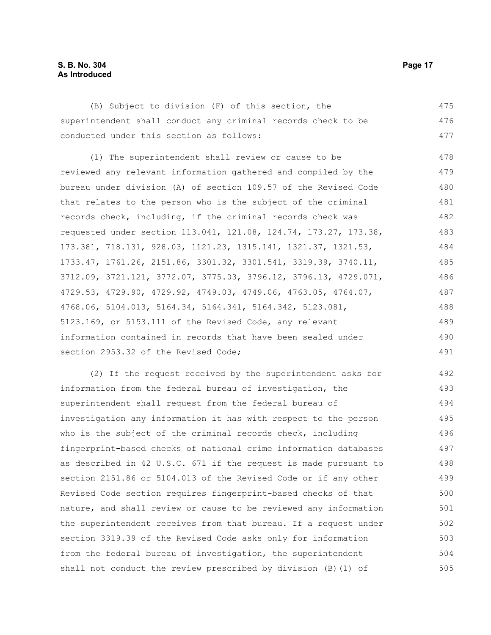# **S. B. No. 304 Page 17 As Introduced**

(B) Subject to division (F) of this section, the superintendent shall conduct any criminal records check to be conducted under this section as follows: 475 476 477

(1) The superintendent shall review or cause to be reviewed any relevant information gathered and compiled by the bureau under division (A) of section 109.57 of the Revised Code that relates to the person who is the subject of the criminal records check, including, if the criminal records check was requested under section 113.041, 121.08, 124.74, 173.27, 173.38, 173.381, 718.131, 928.03, 1121.23, 1315.141, 1321.37, 1321.53, 1733.47, 1761.26, 2151.86, 3301.32, 3301.541, 3319.39, 3740.11, 3712.09, 3721.121, 3772.07, 3775.03, 3796.12, 3796.13, 4729.071, 4729.53, 4729.90, 4729.92, 4749.03, 4749.06, 4763.05, 4764.07, 4768.06, 5104.013, 5164.34, 5164.341, 5164.342, 5123.081, 5123.169, or 5153.111 of the Revised Code, any relevant information contained in records that have been sealed under section 2953.32 of the Revised Code; 478 479 480 481 482 483 484 485 486 487 488 489 490 491

(2) If the request received by the superintendent asks for information from the federal bureau of investigation, the superintendent shall request from the federal bureau of investigation any information it has with respect to the person who is the subject of the criminal records check, including fingerprint-based checks of national crime information databases as described in 42 U.S.C. 671 if the request is made pursuant to section 2151.86 or 5104.013 of the Revised Code or if any other Revised Code section requires fingerprint-based checks of that nature, and shall review or cause to be reviewed any information the superintendent receives from that bureau. If a request under section 3319.39 of the Revised Code asks only for information from the federal bureau of investigation, the superintendent shall not conduct the review prescribed by division (B)(1) of 492 493 494 495 496 497 498 499 500 501 502 503 504 505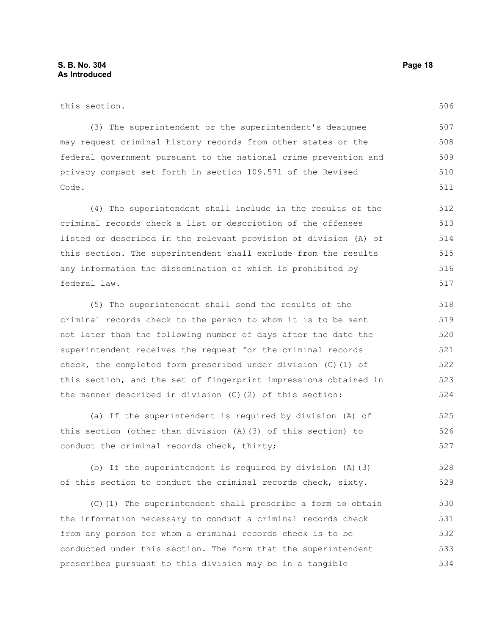506

| this section. |
|---------------|
|               |

(3) The superintendent or the superintendent's designee may request criminal history records from other states or the federal government pursuant to the national crime prevention and privacy compact set forth in section 109.571 of the Revised Code. 507 508 509 510 511

(4) The superintendent shall include in the results of the criminal records check a list or description of the offenses listed or described in the relevant provision of division (A) of this section. The superintendent shall exclude from the results any information the dissemination of which is prohibited by federal law. 512 513 514 515 516 517

(5) The superintendent shall send the results of the criminal records check to the person to whom it is to be sent not later than the following number of days after the date the superintendent receives the request for the criminal records check, the completed form prescribed under division (C)(1) of this section, and the set of fingerprint impressions obtained in the manner described in division (C)(2) of this section: 518 519 520 521 522 523 524

(a) If the superintendent is required by division (A) of this section (other than division (A)(3) of this section) to conduct the criminal records check, thirty; 525 526 527

(b) If the superintendent is required by division (A)(3) of this section to conduct the criminal records check, sixty. 528 529

(C)(1) The superintendent shall prescribe a form to obtain the information necessary to conduct a criminal records check from any person for whom a criminal records check is to be conducted under this section. The form that the superintendent prescribes pursuant to this division may be in a tangible 530 531 532 533 534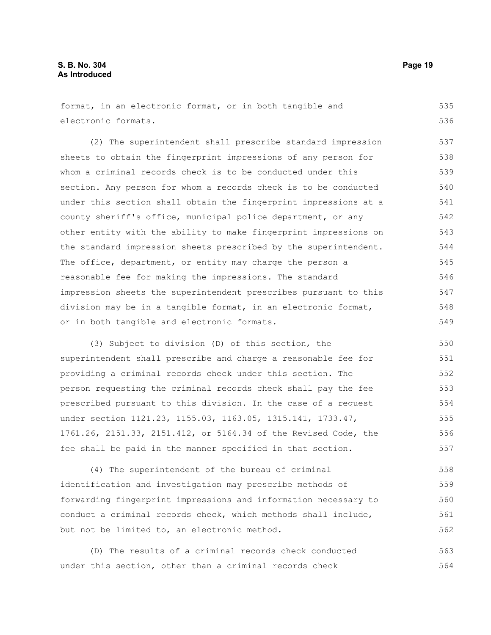format, in an electronic format, or in both tangible and electronic formats. 535 536

(2) The superintendent shall prescribe standard impression sheets to obtain the fingerprint impressions of any person for whom a criminal records check is to be conducted under this section. Any person for whom a records check is to be conducted under this section shall obtain the fingerprint impressions at a county sheriff's office, municipal police department, or any other entity with the ability to make fingerprint impressions on the standard impression sheets prescribed by the superintendent. The office, department, or entity may charge the person a reasonable fee for making the impressions. The standard impression sheets the superintendent prescribes pursuant to this division may be in a tangible format, in an electronic format, or in both tangible and electronic formats. 537 538 539 540 541 542 543 544 545 546 547 548 549

(3) Subject to division (D) of this section, the superintendent shall prescribe and charge a reasonable fee for providing a criminal records check under this section. The person requesting the criminal records check shall pay the fee prescribed pursuant to this division. In the case of a request under section 1121.23, 1155.03, 1163.05, 1315.141, 1733.47, 1761.26, 2151.33, 2151.412, or 5164.34 of the Revised Code, the fee shall be paid in the manner specified in that section. 550 551 552 553 554 555 556 557

(4) The superintendent of the bureau of criminal identification and investigation may prescribe methods of forwarding fingerprint impressions and information necessary to conduct a criminal records check, which methods shall include, but not be limited to, an electronic method. 558 559 560 561 562

(D) The results of a criminal records check conducted under this section, other than a criminal records check 563 564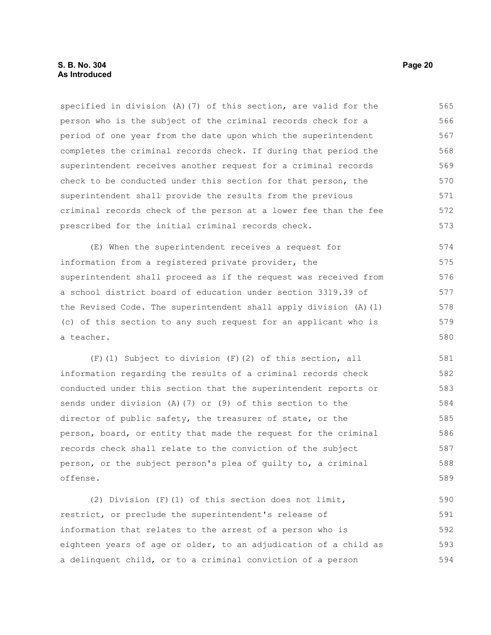specified in division (A)(7) of this section, are valid for the person who is the subject of the criminal records check for a period of one year from the date upon which the superintendent completes the criminal records check. If during that period the superintendent receives another request for a criminal records check to be conducted under this section for that person, the superintendent shall provide the results from the previous criminal records check of the person at a lower fee than the fee prescribed for the initial criminal records check. 565 566 567 568 569 570 571 572 573

(E) When the superintendent receives a request for information from a registered private provider, the superintendent shall proceed as if the request was received from a school district board of education under section 3319.39 of the Revised Code. The superintendent shall apply division (A)(1) (c) of this section to any such request for an applicant who is a teacher. 574 575 576 577 578 579 580

(F)(1) Subject to division (F)(2) of this section, all information regarding the results of a criminal records check conducted under this section that the superintendent reports or sends under division (A)(7) or (9) of this section to the director of public safety, the treasurer of state, or the person, board, or entity that made the request for the criminal records check shall relate to the conviction of the subject person, or the subject person's plea of guilty to, a criminal offense. 581 582 583 584 585 586 587 588 589

(2) Division (F)(1) of this section does not limit, restrict, or preclude the superintendent's release of information that relates to the arrest of a person who is eighteen years of age or older, to an adjudication of a child as a delinquent child, or to a criminal conviction of a person 590 591 592 593 594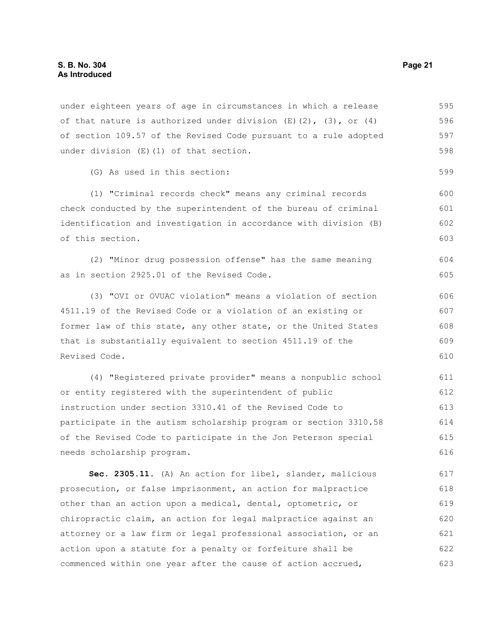under eighteen years of age in circumstances in which a release of that nature is authorized under division  $(E)(2)$ ,  $(3)$ , or  $(4)$ of section 109.57 of the Revised Code pursuant to a rule adopted under division (E)(1) of that section. 595 596 597 598

(G) As used in this section:

(1) "Criminal records check" means any criminal records check conducted by the superintendent of the bureau of criminal identification and investigation in accordance with division (B) of this section. 600 601 602 603

(2) "Minor drug possession offense" has the same meaning as in section 2925.01 of the Revised Code. 604 605

(3) "OVI or OVUAC violation" means a violation of section 4511.19 of the Revised Code or a violation of an existing or former law of this state, any other state, or the United States that is substantially equivalent to section 4511.19 of the Revised Code. 606 607 608 609 610

(4) "Registered private provider" means a nonpublic school or entity registered with the superintendent of public instruction under section 3310.41 of the Revised Code to participate in the autism scholarship program or section 3310.58 of the Revised Code to participate in the Jon Peterson special needs scholarship program. 611 612 613 614 615 616

**Sec. 2305.11.** (A) An action for libel, slander, malicious prosecution, or false imprisonment, an action for malpractice other than an action upon a medical, dental, optometric, or chiropractic claim, an action for legal malpractice against an attorney or a law firm or legal professional association, or an action upon a statute for a penalty or forfeiture shall be commenced within one year after the cause of action accrued, 617 618 619 620 621 622 623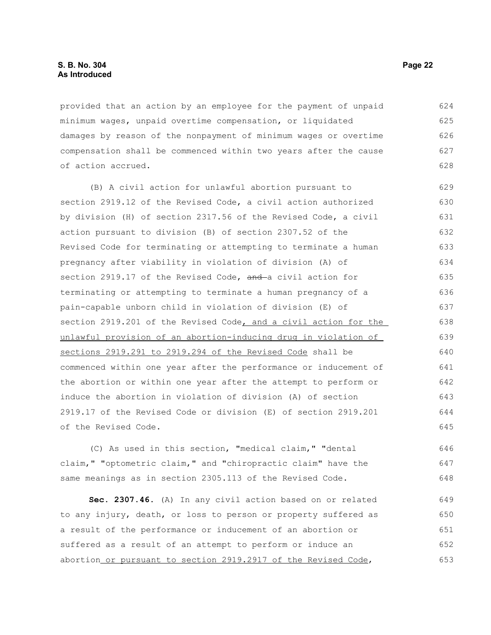## **S. B. No. 304 Page 22 As Introduced**

provided that an action by an employee for the payment of unpaid minimum wages, unpaid overtime compensation, or liquidated damages by reason of the nonpayment of minimum wages or overtime compensation shall be commenced within two years after the cause of action accrued. 624 625 626 627 628

(B) A civil action for unlawful abortion pursuant to section 2919.12 of the Revised Code, a civil action authorized by division (H) of section 2317.56 of the Revised Code, a civil action pursuant to division (B) of section 2307.52 of the Revised Code for terminating or attempting to terminate a human pregnancy after viability in violation of division (A) of section 2919.17 of the Revised Code, and a civil action for terminating or attempting to terminate a human pregnancy of a pain-capable unborn child in violation of division (E) of section 2919.201 of the Revised Code, and a civil action for the unlawful provision of an abortion-inducing drug in violation of sections 2919.291 to 2919.294 of the Revised Code shall be commenced within one year after the performance or inducement of the abortion or within one year after the attempt to perform or induce the abortion in violation of division (A) of section 2919.17 of the Revised Code or division (E) of section 2919.201 of the Revised Code. 629 630 631 632 633 634 635 636 637 638 639 640 641 642 643 644 645

(C) As used in this section, "medical claim," "dental claim," "optometric claim," and "chiropractic claim" have the same meanings as in section 2305.113 of the Revised Code. 646 647 648

**Sec. 2307.46.** (A) In any civil action based on or related to any injury, death, or loss to person or property suffered as a result of the performance or inducement of an abortion or suffered as a result of an attempt to perform or induce an abortion or pursuant to section 2919.2917 of the Revised Code, 649 650 651 652 653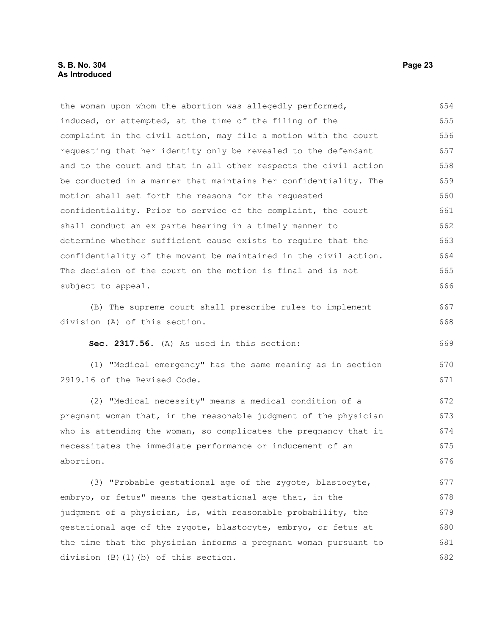## **S. B. No. 304 Page 23 As Introduced**

| the woman upon whom the abortion was allegedly performed,        | 654 |
|------------------------------------------------------------------|-----|
| induced, or attempted, at the time of the filing of the          | 655 |
| complaint in the civil action, may file a motion with the court  | 656 |
| requesting that her identity only be revealed to the defendant   | 657 |
| and to the court and that in all other respects the civil action | 658 |
| be conducted in a manner that maintains her confidentiality. The | 659 |
| motion shall set forth the reasons for the requested             | 660 |
| confidentiality. Prior to service of the complaint, the court    | 661 |
| shall conduct an ex parte hearing in a timely manner to          | 662 |
| determine whether sufficient cause exists to require that the    | 663 |
| confidentiality of the movant be maintained in the civil action. | 664 |
| The decision of the court on the motion is final and is not      | 665 |
| subject to appeal.                                               | 666 |
|                                                                  |     |

(B) The supreme court shall prescribe rules to implement division (A) of this section.

**Sec. 2317.56.** (A) As used in this section:

(1) "Medical emergency" has the same meaning as in section 2919.16 of the Revised Code. 670 671

(2) "Medical necessity" means a medical condition of a pregnant woman that, in the reasonable judgment of the physician who is attending the woman, so complicates the pregnancy that it necessitates the immediate performance or inducement of an abortion. 672 673 674 675 676

(3) "Probable gestational age of the zygote, blastocyte, embryo, or fetus" means the gestational age that, in the judgment of a physician, is, with reasonable probability, the gestational age of the zygote, blastocyte, embryo, or fetus at the time that the physician informs a pregnant woman pursuant to division (B)(1)(b) of this section. 677 678 679 680 681 682

667 668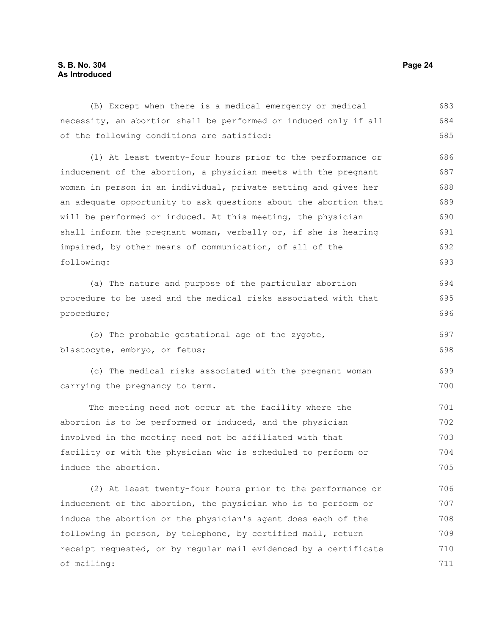# **S. B. No. 304 Page 24 As Introduced**

(B) Except when there is a medical emergency or medical necessity, an abortion shall be performed or induced only if all of the following conditions are satisfied: 683 684 685

(1) At least twenty-four hours prior to the performance or inducement of the abortion, a physician meets with the pregnant woman in person in an individual, private setting and gives her an adequate opportunity to ask questions about the abortion that will be performed or induced. At this meeting, the physician shall inform the pregnant woman, verbally or, if she is hearing impaired, by other means of communication, of all of the following: 686 687 688 689 690 691 692 693

(a) The nature and purpose of the particular abortion procedure to be used and the medical risks associated with that procedure; 694 695 696

(b) The probable gestational age of the zygote, blastocyte, embryo, or fetus; 697 698

(c) The medical risks associated with the pregnant woman carrying the pregnancy to term. 699 700

The meeting need not occur at the facility where the abortion is to be performed or induced, and the physician involved in the meeting need not be affiliated with that facility or with the physician who is scheduled to perform or induce the abortion. 701 702 703 704 705

(2) At least twenty-four hours prior to the performance or inducement of the abortion, the physician who is to perform or induce the abortion or the physician's agent does each of the following in person, by telephone, by certified mail, return receipt requested, or by regular mail evidenced by a certificate of mailing: 706 707 708 709 710 711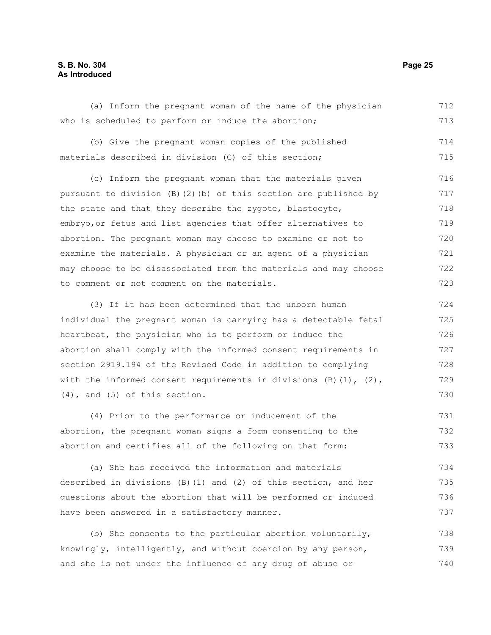# **S. B. No. 304 Page 25 As Introduced**

(a) Inform the pregnant woman of the name of the physician who is scheduled to perform or induce the abortion; 712 713

(b) Give the pregnant woman copies of the published materials described in division (C) of this section; 714 715

(c) Inform the pregnant woman that the materials given pursuant to division (B)(2)(b) of this section are published by the state and that they describe the zygote, blastocyte, embryo,or fetus and list agencies that offer alternatives to abortion. The pregnant woman may choose to examine or not to examine the materials. A physician or an agent of a physician may choose to be disassociated from the materials and may choose to comment or not comment on the materials. 716 717 718 719 720 721 722 723

(3) If it has been determined that the unborn human individual the pregnant woman is carrying has a detectable fetal heartbeat, the physician who is to perform or induce the abortion shall comply with the informed consent requirements in section 2919.194 of the Revised Code in addition to complying with the informed consent requirements in divisions  $(B)(1)$ ,  $(2)$ , (4), and (5) of this section. 724 725 726 727 728 729 730

(4) Prior to the performance or inducement of the abortion, the pregnant woman signs a form consenting to the abortion and certifies all of the following on that form: 731 732 733

(a) She has received the information and materials described in divisions (B)(1) and (2) of this section, and her questions about the abortion that will be performed or induced have been answered in a satisfactory manner. 734 735 736 737

(b) She consents to the particular abortion voluntarily, knowingly, intelligently, and without coercion by any person, and she is not under the influence of any drug of abuse or 738 739 740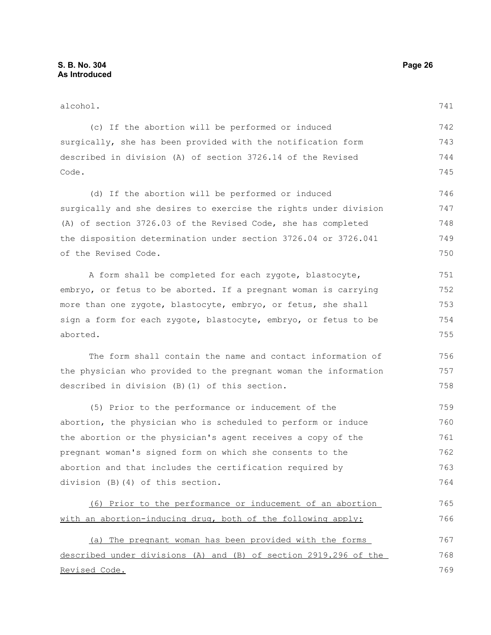| alcohol.                                                         |     |
|------------------------------------------------------------------|-----|
| (c) If the abortion will be performed or induced                 | 742 |
| surgically, she has been provided with the notification form     | 743 |
| described in division (A) of section 3726.14 of the Revised      | 744 |
| Code.                                                            | 745 |
| (d) If the abortion will be performed or induced                 | 746 |
| surgically and she desires to exercise the rights under division | 747 |
| (A) of section 3726.03 of the Revised Code, she has completed    | 748 |
| the disposition determination under section 3726.04 or 3726.041  | 749 |
| of the Revised Code.                                             | 750 |
| A form shall be completed for each zygote, blastocyte,           | 751 |
| embryo, or fetus to be aborted. If a pregnant woman is carrying  | 752 |
| more than one zygote, blastocyte, embryo, or fetus, she shall    | 753 |
| sign a form for each zygote, blastocyte, embryo, or fetus to be  | 754 |
| aborted.                                                         | 755 |
| The form shall contain the name and contact information of       | 756 |
| the physician who provided to the pregnant woman the information | 757 |
| described in division (B) (1) of this section.                   | 758 |
| (5) Prior to the performance or inducement of the                | 759 |
| abortion, the physician who is scheduled to perform or induce    | 760 |
| the abortion or the physician's agent receives a copy of the     | 761 |
| pregnant woman's signed form on which she consents to the        | 762 |
| abortion and that includes the certification required by         | 763 |
| division (B)(4) of this section.                                 | 764 |
| (6) Prior to the performance or inducement of an abortion        | 765 |
| with an abortion-inducing drug, both of the following apply:     | 766 |
| (a) The pregnant woman has been provided with the forms          | 767 |
| described under divisions (A) and (B) of section 2919.296 of the | 768 |
| Revised Code.                                                    | 769 |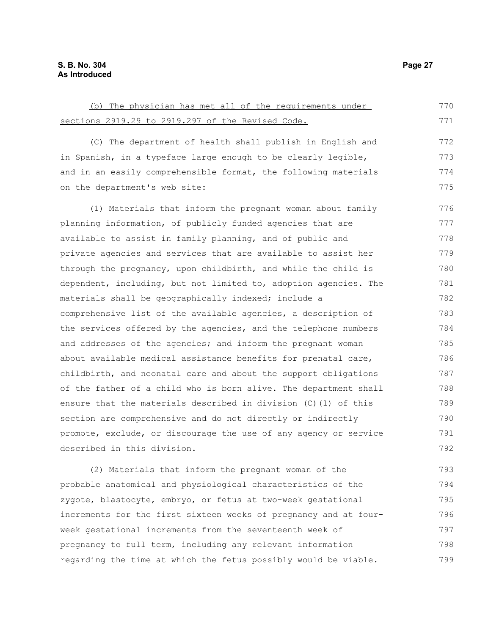(b) The physician has met all of the requirements under sections 2919.29 to 2919.297 of the Revised Code. (C) The department of health shall publish in English and in Spanish, in a typeface large enough to be clearly legible, and in an easily comprehensible format, the following materials on the department's web site: (1) Materials that inform the pregnant woman about family planning information, of publicly funded agencies that are available to assist in family planning, and of public and private agencies and services that are available to assist her through the pregnancy, upon childbirth, and while the child is dependent, including, but not limited to, adoption agencies. The materials shall be geographically indexed; include a comprehensive list of the available agencies, a description of 770 771 772 773 774 775 776 777 778 779 780 781 782 783

the services offered by the agencies, and the telephone numbers and addresses of the agencies; and inform the pregnant woman about available medical assistance benefits for prenatal care, childbirth, and neonatal care and about the support obligations of the father of a child who is born alive. The department shall ensure that the materials described in division (C)(1) of this section are comprehensive and do not directly or indirectly promote, exclude, or discourage the use of any agency or service described in this division. 784 785 786 787 788 789 790 791 792

(2) Materials that inform the pregnant woman of the probable anatomical and physiological characteristics of the zygote, blastocyte, embryo, or fetus at two-week gestational increments for the first sixteen weeks of pregnancy and at fourweek gestational increments from the seventeenth week of pregnancy to full term, including any relevant information regarding the time at which the fetus possibly would be viable. 793 794 795 796 797 798 799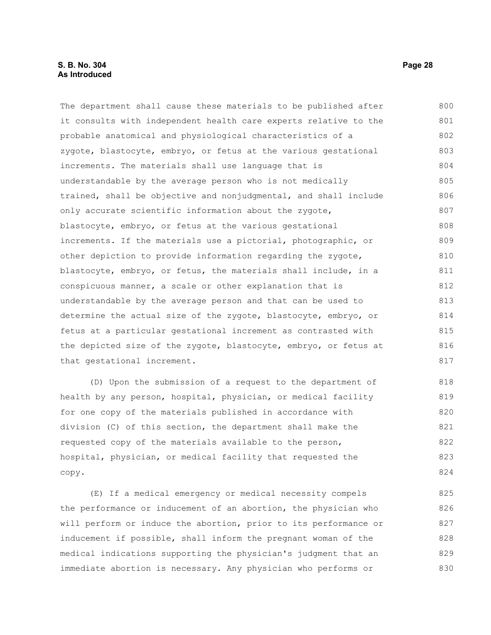The department shall cause these materials to be published after it consults with independent health care experts relative to the probable anatomical and physiological characteristics of a zygote, blastocyte, embryo, or fetus at the various gestational increments. The materials shall use language that is understandable by the average person who is not medically trained, shall be objective and nonjudgmental, and shall include only accurate scientific information about the zygote, blastocyte, embryo, or fetus at the various gestational increments. If the materials use a pictorial, photographic, or other depiction to provide information regarding the zygote, blastocyte, embryo, or fetus, the materials shall include, in a conspicuous manner, a scale or other explanation that is understandable by the average person and that can be used to determine the actual size of the zygote, blastocyte, embryo, or fetus at a particular gestational increment as contrasted with the depicted size of the zygote, blastocyte, embryo, or fetus at that gestational increment. 800 801 802 803 804 805 806 807 808 809 810 811 812 813 814 815 816 817

(D) Upon the submission of a request to the department of health by any person, hospital, physician, or medical facility for one copy of the materials published in accordance with division (C) of this section, the department shall make the requested copy of the materials available to the person, hospital, physician, or medical facility that requested the copy. 818 819 820 821 822 823 824

(E) If a medical emergency or medical necessity compels the performance or inducement of an abortion, the physician who will perform or induce the abortion, prior to its performance or inducement if possible, shall inform the pregnant woman of the medical indications supporting the physician's judgment that an immediate abortion is necessary. Any physician who performs or 825 826 827 828 829 830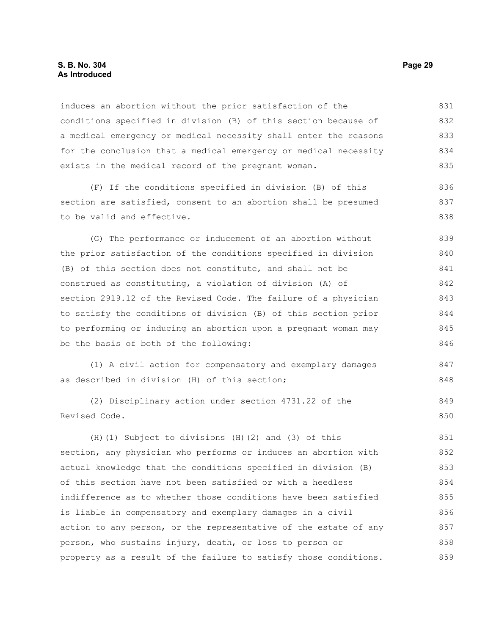## **S. B. No. 304 Page 29 As Introduced**

induces an abortion without the prior satisfaction of the conditions specified in division (B) of this section because of a medical emergency or medical necessity shall enter the reasons for the conclusion that a medical emergency or medical necessity exists in the medical record of the pregnant woman. 831 832 833 834 835

(F) If the conditions specified in division (B) of this section are satisfied, consent to an abortion shall be presumed to be valid and effective.

(G) The performance or inducement of an abortion without the prior satisfaction of the conditions specified in division (B) of this section does not constitute, and shall not be construed as constituting, a violation of division (A) of section 2919.12 of the Revised Code. The failure of a physician to satisfy the conditions of division (B) of this section prior to performing or inducing an abortion upon a pregnant woman may be the basis of both of the following: 839 840 841 842 843 844 845 846

(1) A civil action for compensatory and exemplary damages as described in division (H) of this section; 847 848

(2) Disciplinary action under section 4731.22 of the Revised Code. 849 850

(H)(1) Subject to divisions (H)(2) and (3) of this section, any physician who performs or induces an abortion with actual knowledge that the conditions specified in division (B) of this section have not been satisfied or with a heedless indifference as to whether those conditions have been satisfied is liable in compensatory and exemplary damages in a civil action to any person, or the representative of the estate of any person, who sustains injury, death, or loss to person or property as a result of the failure to satisfy those conditions. 851 852 853 854 855 856 857 858 859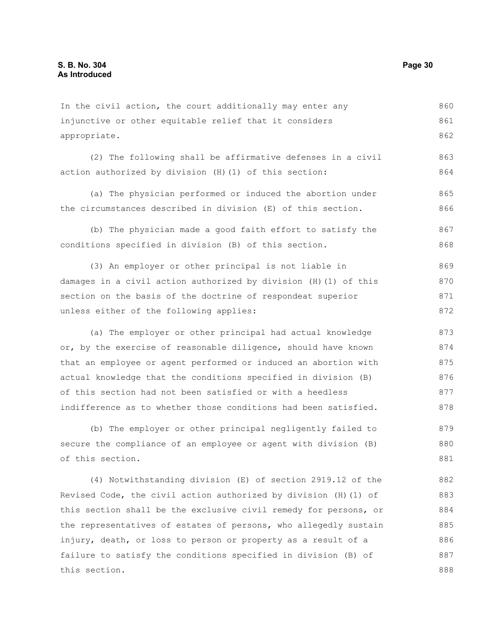In the civil action, the court additionally may enter any injunctive or other equitable relief that it considers appropriate. 860 861 862

(2) The following shall be affirmative defenses in a civil action authorized by division (H)(1) of this section: 863 864

(a) The physician performed or induced the abortion under the circumstances described in division (E) of this section. 865 866

(b) The physician made a good faith effort to satisfy the conditions specified in division (B) of this section. 867 868

(3) An employer or other principal is not liable in damages in a civil action authorized by division (H)(1) of this section on the basis of the doctrine of respondeat superior unless either of the following applies: 869 870 871 872

(a) The employer or other principal had actual knowledge or, by the exercise of reasonable diligence, should have known that an employee or agent performed or induced an abortion with actual knowledge that the conditions specified in division (B) of this section had not been satisfied or with a heedless indifference as to whether those conditions had been satisfied. 873 874 875 876 877 878

(b) The employer or other principal negligently failed to secure the compliance of an employee or agent with division (B) of this section. 879 880 881

(4) Notwithstanding division (E) of section 2919.12 of the Revised Code, the civil action authorized by division (H)(1) of this section shall be the exclusive civil remedy for persons, or the representatives of estates of persons, who allegedly sustain injury, death, or loss to person or property as a result of a failure to satisfy the conditions specified in division (B) of this section. 882 883 884 885 886 887 888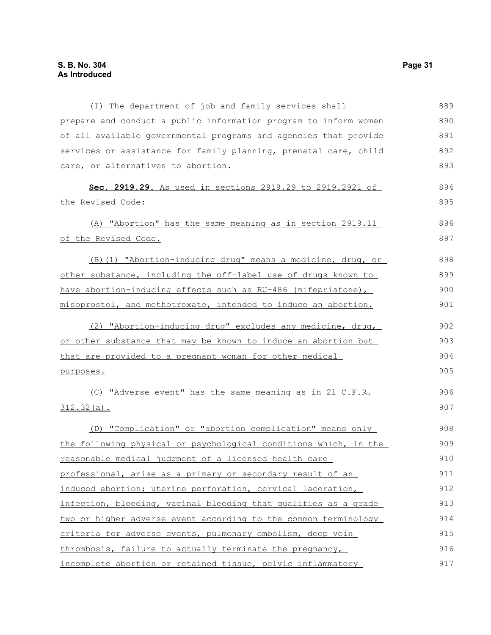(I) The department of job and family services shall prepare and conduct a public information program to inform women of all available governmental programs and agencies that provide services or assistance for family planning, prenatal care, child care, or alternatives to abortion. **Sec. 2919.29.** As used in sections 2919.29 to 2919.2921 of the Revised Code: (A) "Abortion" has the same meaning as in section 2919.11 of the Revised Code. (B)(1) "Abortion-inducing drug" means a medicine, drug, or other substance, including the off-label use of drugs known to have abortion-inducing effects such as RU-486 (mifepristone), misoprostol, and methotrexate, intended to induce an abortion. (2) "Abortion-inducing drug" excludes any medicine, drug, or other substance that may be known to induce an abortion but that are provided to a pregnant woman for other medical purposes. (C) "Adverse event" has the same meaning as in 21 C.F.R. 312.32(a). (D) "Complication" or "abortion complication" means only the following physical or psychological conditions which, in the reasonable medical judgment of a licensed health care professional, arise as a primary or secondary result of an induced abortion: uterine perforation, cervical laceration, infection, bleeding, vaginal bleeding that qualifies as a grade two or higher adverse event according to the common terminology criteria for adverse events, pulmonary embolism, deep vein thrombosis, failure to actually terminate the pregnancy, incomplete abortion or retained tissue, pelvic inflammatory 889 890 891 892 893 894 895 896 897 898 899 900 901 902 903 904 905 906 907 908 909 910 911 912 913 914 915 916 917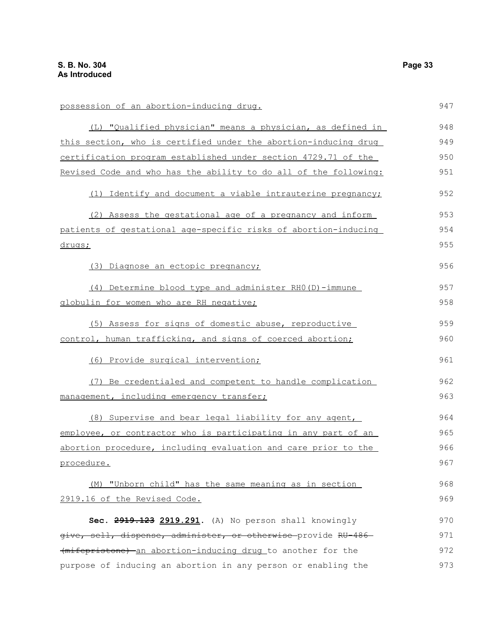possession of an abortion-inducing drug. (L) "Qualified physician" means a physician, as defined in this section, who is certified under the abortion-inducing drug certification program established under section 4729.71 of the Revised Code and who has the ability to do all of the following: (1) Identify and document a viable intrauterine pregnancy; (2) Assess the gestational age of a pregnancy and inform patients of gestational age-specific risks of abortion-inducing drugs; (3) Diagnose an ectopic pregnancy; (4) Determine blood type and administer RH0(D)-immune globulin for women who are RH negative; (5) Assess for signs of domestic abuse, reproductive control, human trafficking, and signs of coerced abortion; (6) Provide surgical intervention; (7) Be credentialed and competent to handle complication management, including emergency transfer; (8) Supervise and bear legal liability for any agent, employee, or contractor who is participating in any part of an abortion procedure, including evaluation and care prior to the procedure. (M) "Unborn child" has the same meaning as in section 2919.16 of the Revised Code. **Sec. 2919.123 2919.291.** (A) No person shall knowingly give, sell, dispense, administer, or otherwise provide RU-486 (mifepristone) an abortion-inducing drug to another for the purpose of inducing an abortion in any person or enabling the 947 948 949 950 951 952 953 954 955 956 957 958 959 960 961 962 963 964 965 966 967 968 969 970 971 972 973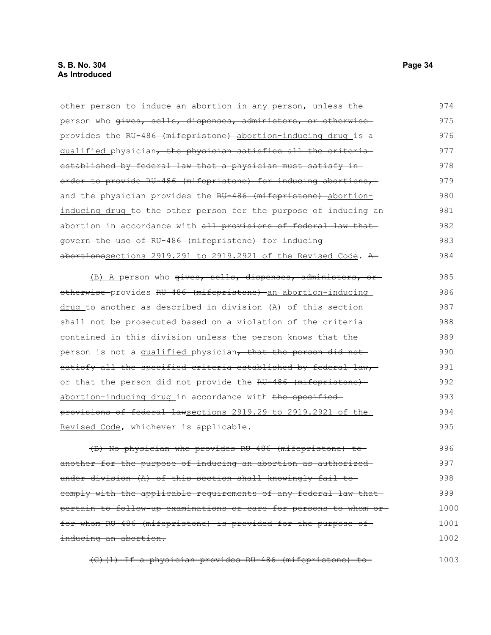| other person to induce an abortion in any person, unless the     | 974  |
|------------------------------------------------------------------|------|
| person who gives, sells, dispenses, administers, or otherwise    | 975  |
| provides the RU-486 (mifepristone) abortion-inducing drug is a   | 976  |
| qualified physician, the physician satisfies all the criteria    | 977  |
| established by federal law that a physician must satisfy in-     | 978  |
| order to provide RU-486 (mifepristone) for inducing abortions,   | 979  |
| and the physician provides the RU 486 (mifepristone) abortion-   | 980  |
| inducing drug to the other person for the purpose of inducing an | 981  |
| abortion in accordance with all provisions of federal law that   | 982  |
| govern the use of RU-486 (mifepristone) for inducing-            | 983  |
| abortionssections 2919.291 to 2919.2921 of the Revised Code. A   | 984  |
| (B) A person who gives, sells, dispenses, administers, or        | 985  |
| otherwise provides RU-486 (mifepristone) an abortion-inducing    | 986  |
| drug to another as described in division (A) of this section     | 987  |
| shall not be prosecuted based on a violation of the criteria     | 988  |
| contained in this division unless the person knows that the      | 989  |
| person is not a qualified physician, that the person did not     | 990  |
| satisfy all the specified criteria established by federal law,   | 991  |
| or that the person did not provide the RU-486 (mifepristone)     | 992  |
| abortion-inducing drug in accordance with the specified          | 993  |
| provisions of federal lawsections 2919.29 to 2919.2921 of the    | 994  |
| Revised Code, whichever is applicable.                           | 995  |
| (B) No physician who provides RU-486 (mifepristone) to-          | 996  |
| another for the purpose of inducing an abortion as authorized-   | 997  |
| under division (A) of this section shall knowingly fail to       | 998  |
| eomply with the applicable requirements of any federal law that- | 999  |
| pertain to follow-up examinations or care for persons to whom or | 1000 |
| for whom RU-486 (mifepristone) is provided for the purpose of    | 1001 |
| inducing an abortion.                                            | 1002 |

(C)(1) If a physician provides RU-486 (mifepristone) to 1003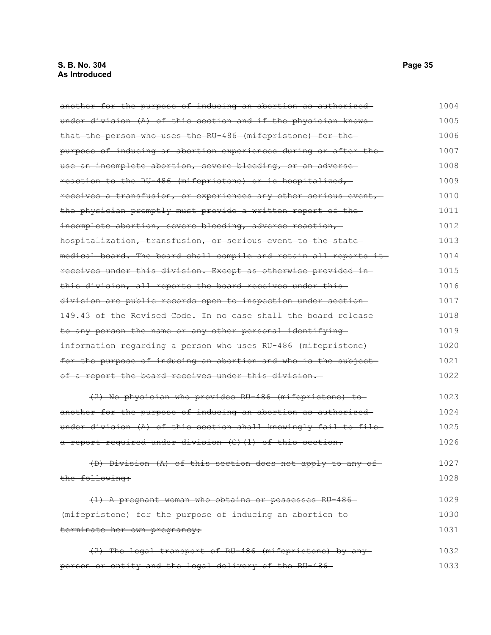another for the purpose of inducing an abortion as authorized under division (A) of this section and if the physician knows that the person who uses the RU-486 (mifepristone) for the purpose of inducing an abortion experiences during or after the use an incomplete abortion, severe bleeding, or an adverse reaction to the RU-486 (mifepristone) or is hospitalized, receives a transfusion, or experiences any other serious event, the physician promptly must provide a written report of the incomplete abortion, severe bleeding, adverse reaction, hospitalization, transfusion, or serious event to the state medical board. The board shall compile and retain all reports it receives under this division. Except as otherwise provided in this division, all reports the board receives under this division are public records open to inspection under section 149.43 of the Revised Code. In no case shall the board release to any person the name or any other personal identifying information regarding a person who uses RU-486 (mifepristone) for the purpose of inducing an abortion and who is the subject of a report the board receives under this division. (2) No physician who provides RU-486 (mifepristone) to another for the purpose of inducing an abortion as authorized under division (A) of this section shall knowingly fail to filea report required under division (C)(1) of this section. (D) Division (A) of this section does not apply to any of the following: (1) A pregnant woman who obtains or possesses RU-486 (mifepristone) for the purpose of inducing an abortion to terminate her own pregnancy; (2) The legal transport of RU-486 (mifepristone) by any 1004 1005 1006 1007 1008 1009 1010 1011 1012 1013 1014 1015 1016 1017 1018 1019 1020 1021 1022 1023 1024 1025 1026 1027 1028 1029 1030 1031 1032

person or entity and the legal delivery of the RU-486 1033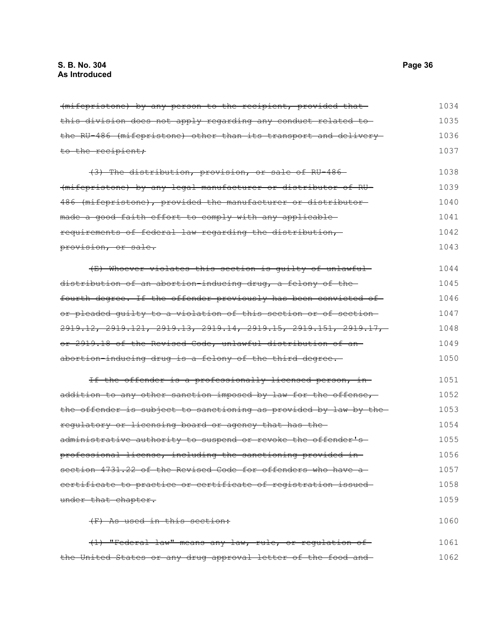(mifepristone) by any person to the recipient, provided that this division does not apply regarding any conduct related to the RU-486 (mifepristone) other than its transport and delivery to the recipient; (3) The distribution, provision, or sale of RU-486 (mifepristone) by any legal manufacturer or distributor of RU-486 (mifepristone), provided the manufacturer or distributor made a good faith effort to comply with any applicablerequirements of federal law regarding the distribution, provision, or sale. (E) Whoever violates this section is guilty of unlawful distribution of an abortion-inducing drug, a felony of the fourth degree. If the offender previously has been convicted of or pleaded guilty to a violation of this section or of section 2919.12, 2919.121, 2919.13, 2919.14, 2919.15, 2919.151, 2919.17, or 2919.18 of the Revised Code, unlawful distribution of an abortion-inducing drug is a felony of the third degree. If the offender is a professionally licensed person, inaddition to any other sanction imposed by law for the offense, the offender is subject to sanctioning as provided by law by the regulatory or licensing board or agency that has the administrative authority to suspend or revoke the offender's professional license, including the sanctioning provided in section 4731.22 of the Revised Code for offenders who have a certificate to practice or certificate of registration issued under that chapter. (F) As used in this section: (1) "Federal law" means any law, rule, or regulation of 1034 1035 1036 1037 1038 1039 1040 1041 1042 1043 1044 1045 1046 1047 1048 1049 1050 1051 1052 1053 1054 1055 1056 1057 1058 1059 1060 1061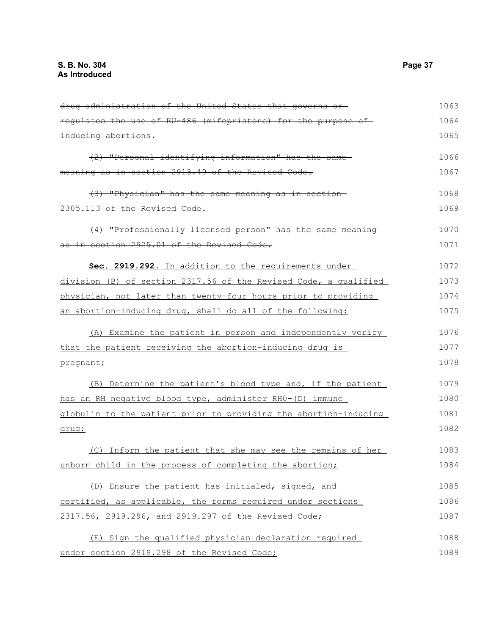| drug administration of the United States that governs or-        | 1063 |
|------------------------------------------------------------------|------|
| requlates the use of RU-486 (mifepristone) for the purpose of    | 1064 |
| inducing abortions.                                              | 1065 |
| (2) "Personal identifying information" has the same              | 1066 |
| meaning as in section 2913.49 of the Revised Code.               | 1067 |
| (3) "Physician" has the same meaning as in section               | 1068 |
| 2305.113 of the Revised Code.                                    | 1069 |
| (4) "Professionally licensed person" has the same meaning        | 1070 |
| as in section 2925.01 of the Revised Code.                       | 1071 |
| Sec. 2919.292. In addition to the requirements under             | 1072 |
| division (B) of section 2317.56 of the Revised Code, a qualified | 1073 |
| physician, not later than twenty-four hours prior to providing   | 1074 |
| an abortion-inducing drug, shall do all of the following:        | 1075 |
| (A) Examine the patient in person and independently verify       | 1076 |
| that the patient receiving the abortion-inducing drug is         | 1077 |
| pregnant;                                                        | 1078 |
| (B) Determine the patient's blood type and, if the patient       | 1079 |
| has an RH negative blood type, administer RHO-(D) immune         | 1080 |
| globulin to the patient prior to providing the abortion-inducing | 1081 |
| drug;                                                            | 1082 |
| (C) Inform the patient that she may see the remains of her       | 1083 |
| unborn child in the process of completing the abortion;          | 1084 |
| (D) Ensure the patient has initialed, signed, and                | 1085 |
| certified, as applicable, the forms required under sections      | 1086 |
| 2317.56, 2919.296, and 2919.297 of the Revised Code;             | 1087 |
| (E) Sign the qualified physician declaration required            | 1088 |
| under section 2919.298 of the Revised Code;                      | 1089 |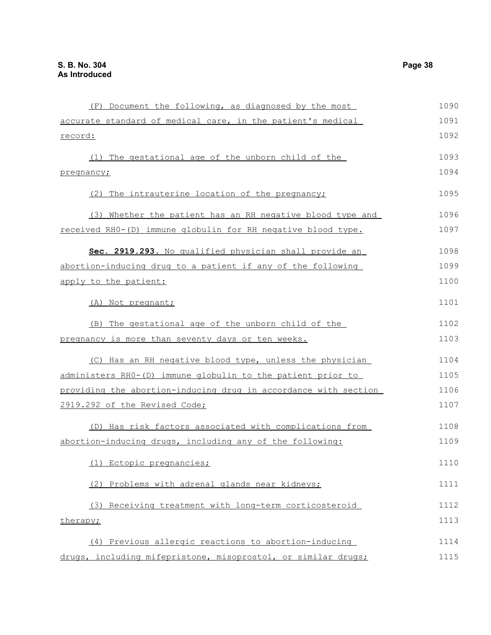| (F) Document the following, as diagnosed by the most            | 1090 |
|-----------------------------------------------------------------|------|
| accurate standard of medical care, in the patient's medical     | 1091 |
| record:                                                         | 1092 |
| (1) The gestational age of the unborn child of the              | 1093 |
| pregnancy;                                                      | 1094 |
| (2) The intrauterine location of the pregnancy;                 | 1095 |
| (3) Whether the patient has an RH negative blood type and       | 1096 |
| received RH0-(D) immune globulin for RH negative blood type.    | 1097 |
| Sec. 2919.293. No qualified physician shall provide an          | 1098 |
| abortion-inducing drug to a patient if any of the following     | 1099 |
| apply to the patient:                                           | 1100 |
| (A) Not pregnant;                                               | 1101 |
| (B) The gestational age of the unborn child of the              | 1102 |
| pregnancy is more than seventy days or ten weeks.               | 1103 |
| (C) Has an RH negative blood type, unless the physician         | 1104 |
| administers RHO-(D) immune globulin to the patient prior to     | 1105 |
| providing the abortion-inducing drug in accordance with section | 1106 |
| 2919.292 of the Revised Code;                                   | 1107 |
| (D) Has risk factors associated with complications from         | 1108 |
| abortion-inducing drugs, including any of the following:        | 1109 |
| (1) Ectopic pregnancies;                                        | 1110 |
| (2) Problems with adrenal glands near kidneys;                  | 1111 |
| (3) Receiving treatment with long-term corticosteroid           | 1112 |
| therapy;                                                        | 1113 |
| (4) Previous allergic reactions to abortion-inducing            | 1114 |
| drugs, including mifepristone, misoprostol, or similar drugs;   | 1115 |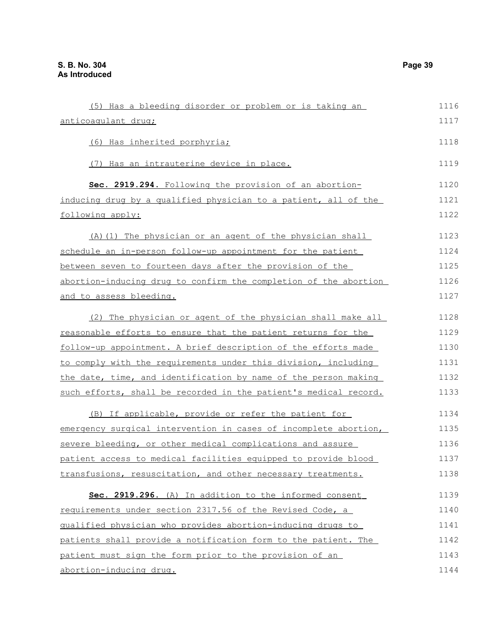| (5) Has a bleeding disorder or problem or is taking an                | 1116 |
|-----------------------------------------------------------------------|------|
| anticoagulant drug;                                                   | 1117 |
| (6) Has inherited porphyria;                                          | 1118 |
| (7) Has an intrauterine device in place.                              | 1119 |
| Sec. 2919.294. Following the provision of an abortion-                | 1120 |
| inducing drug by a qualified physician to a patient, all of the       | 1121 |
| following apply:                                                      | 1122 |
| (A) (1) The physician or an agent of the physician shall              | 1123 |
| schedule an in-person follow-up appointment for the patient           | 1124 |
| between seven to fourteen days after the provision of the             | 1125 |
| abortion-inducing drug to confirm the completion of the abortion      | 1126 |
| <u>and to assess bleeding.</u>                                        | 1127 |
| (2) The physician or agent of the physician shall make all            | 1128 |
| reasonable efforts to ensure that the patient returns for the         | 1129 |
| follow-up appointment. A brief description of the efforts made        | 1130 |
| to comply with the requirements under this division, including        | 1131 |
| the date, time, and identification by name of the person making       | 1132 |
| such efforts, shall be recorded in the patient's medical record.      | 1133 |
| (B) If applicable, provide or refer the patient for                   | 1134 |
| emergency surgical intervention in cases of incomplete abortion,      | 1135 |
| severe bleeding, or other medical complications and assure            | 1136 |
| <u>patient access to medical facilities equipped to provide blood</u> | 1137 |
| transfusions, resuscitation, and other necessary treatments.          | 1138 |
| Sec. 2919.296. (A) In addition to the informed consent                | 1139 |
| requirements under section 2317.56 of the Revised Code, a             | 1140 |
| qualified physician who provides abortion-inducing drugs to           | 1141 |
| patients shall provide a notification form to the patient. The        | 1142 |
| patient must sign the form prior to the provision of an               | 1143 |
| abortion-inducing drug.                                               | 1144 |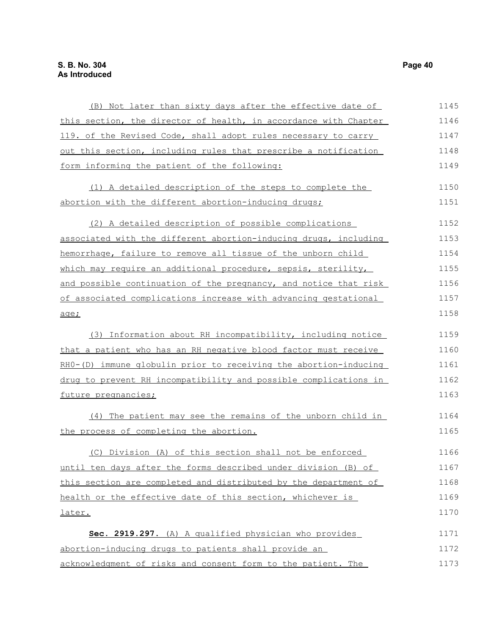| (B) Not later than sixty days after the effective date of        | 1145 |
|------------------------------------------------------------------|------|
| this section, the director of health, in accordance with Chapter | 1146 |
| 119. of the Revised Code, shall adopt rules necessary to carry   | 1147 |
| out this section, including rules that prescribe a notification  | 1148 |
| form informing the patient of the following:                     | 1149 |
| (1) A detailed description of the steps to complete the          | 1150 |
| abortion with the different abortion-inducing drugs;             | 1151 |
| (2) A detailed description of possible complications             | 1152 |
| associated with the different abortion-inducing drugs, including | 1153 |
| hemorrhage, failure to remove all tissue of the unborn child     | 1154 |
| which may require an additional procedure, sepsis, sterility,    | 1155 |
| and possible continuation of the pregnancy, and notice that risk | 1156 |
| of associated complications increase with advancing gestational  | 1157 |
| age;                                                             | 1158 |
| (3) Information about RH incompatibility, including notice       | 1159 |
| that a patient who has an RH negative blood factor must receive  | 1160 |
| RH0-(D) immune globulin prior to receiving the abortion-inducing | 1161 |
| drug to prevent RH incompatibility and possible complications in | 1162 |
| future pregnancies;                                              | 1163 |
| (4) The patient may see the remains of the unborn child in       | 1164 |
| the process of completing the abortion.                          | 1165 |
| (C) Division (A) of this section shall not be enforced           | 1166 |
| until ten days after the forms described under division (B) of   | 1167 |
| this section are completed and distributed by the department of  | 1168 |
| health or the effective date of this section, whichever is       | 1169 |
| <u>later.</u>                                                    | 1170 |
| Sec. 2919.297. (A) A qualified physician who provides            | 1171 |
| abortion-inducing drugs to patients shall provide an             | 1172 |
| acknowledgment of risks and consent form to the patient. The     | 1173 |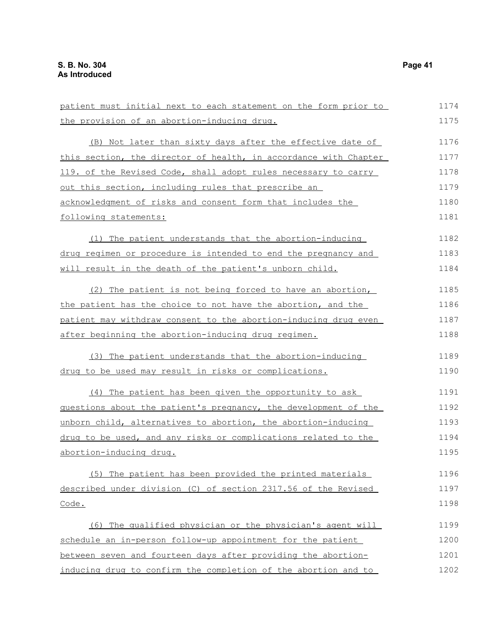| patient must initial next to each statement on the form prior to      | 1174 |
|-----------------------------------------------------------------------|------|
| the provision of an abortion-inducing drug.                           | 1175 |
| (B) Not later than sixty days after the effective date of             | 1176 |
| this section, the director of health, in accordance with Chapter      | 1177 |
| 119. of the Revised Code, shall adopt rules necessary to carry        | 1178 |
| out this section, including rules that prescribe an                   | 1179 |
| acknowledgment of risks and consent form that includes the            | 1180 |
| following statements:                                                 | 1181 |
| (1) The patient understands that the abortion-inducing                | 1182 |
| <u>drug regimen or procedure is intended to end the pregnancy and</u> | 1183 |
| will result in the death of the patient's unborn child.               | 1184 |
| (2) The patient is not being forced to have an abortion,              | 1185 |
| the patient has the choice to not have the abortion, and the          | 1186 |
| patient may withdraw consent to the abortion-inducing drug even       | 1187 |
| after beginning the abortion-inducing drug regimen.                   | 1188 |
| (3) The patient understands that the abortion-inducing                | 1189 |
| drug to be used may result in risks or complications.                 | 1190 |
| (4) The patient has been given the opportunity to ask                 | 1191 |
| questions about the patient's pregnancy, the development of the       | 1192 |
| unborn child, alternatives to abortion, the abortion-inducing         | 1193 |
| drug to be used, and any risks or complications related to the        | 1194 |
| abortion-inducing drug.                                               | 1195 |
| (5) The patient has been provided the printed materials               | 1196 |
| described under division (C) of section 2317.56 of the Revised        | 1197 |
| Code.                                                                 | 1198 |
| (6) The qualified physician or the physician's agent will             | 1199 |
| schedule an in-person follow-up appointment for the patient           | 1200 |
| between seven and fourteen days after providing the abortion-         | 1201 |
| inducing drug to confirm the completion of the abortion and to        | 1202 |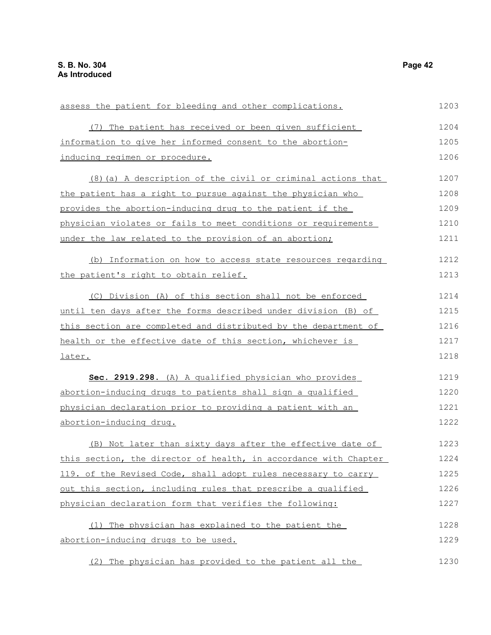| assess the patient for bleeding and other complications.                                                                                                                                                                                                                                                                                              | 1203 |
|-------------------------------------------------------------------------------------------------------------------------------------------------------------------------------------------------------------------------------------------------------------------------------------------------------------------------------------------------------|------|
| (7) The patient has received or been given sufficient                                                                                                                                                                                                                                                                                                 | 1204 |
| information to give her informed consent to the abortion-                                                                                                                                                                                                                                                                                             | 1205 |
| inducing regimen or procedure.                                                                                                                                                                                                                                                                                                                        | 1206 |
| (8) (a) A description of the civil or criminal actions that                                                                                                                                                                                                                                                                                           | 1207 |
| the patient has a right to pursue against the physician who                                                                                                                                                                                                                                                                                           | 1208 |
| provides the abortion-inducing drug to the patient if the                                                                                                                                                                                                                                                                                             | 1209 |
| physician violates or fails to meet conditions or requirements                                                                                                                                                                                                                                                                                        | 1210 |
| under the law related to the provision of an abortion;                                                                                                                                                                                                                                                                                                | 1211 |
| (b) Information on how to access state resources regarding                                                                                                                                                                                                                                                                                            | 1212 |
| the patient's right to obtain relief.                                                                                                                                                                                                                                                                                                                 | 1213 |
| (C) Division (A) of this section shall not be enforced                                                                                                                                                                                                                                                                                                | 1214 |
| until ten days after the forms described under division (B) of                                                                                                                                                                                                                                                                                        | 1215 |
| this section are completed and distributed by the department of                                                                                                                                                                                                                                                                                       | 1216 |
| health or the effective date of this section, whichever is                                                                                                                                                                                                                                                                                            | 1217 |
| <u>later.</u>                                                                                                                                                                                                                                                                                                                                         | 1218 |
| Sec. 2919.298. (A) A qualified physician who provides                                                                                                                                                                                                                                                                                                 | 1219 |
| abortion-inducing drugs to patients shall sign a qualified                                                                                                                                                                                                                                                                                            | 1220 |
| physician declaration prior to providing a patient with an                                                                                                                                                                                                                                                                                            | 1221 |
| abortion-inducing drug.<br>(B) Not later than sixty days after the effective date of<br>this section, the director of health, in accordance with Chapter<br>119. of the Revised Code, shall adopt rules necessary to carry<br>out this section, including rules that prescribe a qualified<br>physician declaration form that verifies the following: | 1222 |
|                                                                                                                                                                                                                                                                                                                                                       | 1223 |
|                                                                                                                                                                                                                                                                                                                                                       | 1224 |
|                                                                                                                                                                                                                                                                                                                                                       | 1225 |
|                                                                                                                                                                                                                                                                                                                                                       | 1226 |
|                                                                                                                                                                                                                                                                                                                                                       | 1227 |
| (1) The physician has explained to the patient the                                                                                                                                                                                                                                                                                                    | 1228 |
| abortion-inducing drugs to be used.                                                                                                                                                                                                                                                                                                                   | 1229 |
| (2) The physician has provided to the patient all the                                                                                                                                                                                                                                                                                                 | 1230 |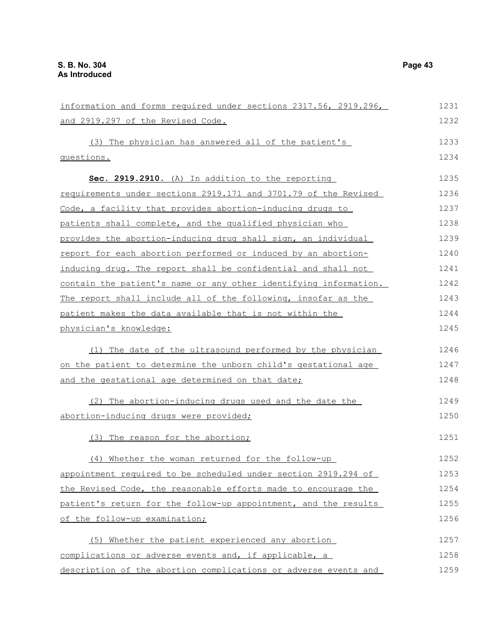| information and forms required under sections 2317.56, 2919.296, | 1231 |
|------------------------------------------------------------------|------|
| and 2919.297 of the Revised Code.                                | 1232 |
| (3) The physician has answered all of the patient's              | 1233 |
| questions.                                                       | 1234 |
|                                                                  |      |
| Sec. 2919.2910. (A) In addition to the reporting                 | 1235 |
| requirements under sections 2919.171 and 3701.79 of the Revised  | 1236 |
| Code, a facility that provides abortion-inducing drugs to        | 1237 |
| patients shall complete, and the qualified physician who         | 1238 |
| provides the abortion-inducing drug shall sign, an individual    | 1239 |
| report for each abortion performed or induced by an abortion-    | 1240 |
| inducing drug. The report shall be confidential and shall not    | 1241 |
| contain the patient's name or any other identifying information. | 1242 |
| The report shall include all of the following, insofar as the    | 1243 |
| patient makes the data available that is not within the          | 1244 |
| physician's knowledge:                                           | 1245 |
|                                                                  | 1246 |
| (1) The date of the ultrasound performed by the physician        |      |
| on the patient to determine the unborn child's gestational age   | 1247 |
| and the gestational age determined on that date;                 | 1248 |
| (2) The abortion-inducing drugs used and the date the            | 1249 |
| abortion-inducing drugs were provided;                           | 1250 |
|                                                                  |      |
| (3) The reason for the abortion;                                 | 1251 |
| (4) Whether the woman returned for the follow-up                 | 1252 |
| appointment required to be scheduled under section 2919.294 of   | 1253 |
| the Revised Code, the reasonable efforts made to encourage the   | 1254 |
| patient's return for the follow-up appointment, and the results  | 1255 |
| of the follow-up examination;                                    | 1256 |
|                                                                  |      |
| (5) Whether the patient experienced any abortion                 | 1257 |
| complications or adverse events and, if applicable, a            | 1258 |
| description of the abortion complications or adverse events and  | 1259 |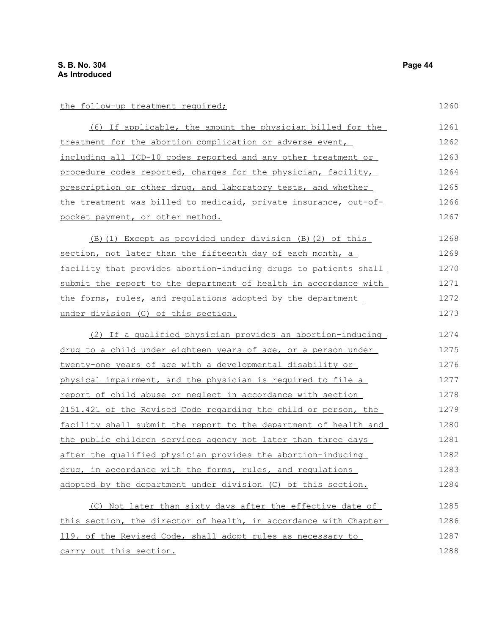the follow-up treatment required;

| (6) If applicable, the amount the physician billed for the       | 1261 |
|------------------------------------------------------------------|------|
| treatment for the abortion complication or adverse event,        | 1262 |
| including all ICD-10 codes reported and any other treatment or   | 1263 |
| procedure codes reported, charges for the physician, facility,   | 1264 |
| prescription or other drug, and laboratory tests, and whether    | 1265 |
| the treatment was billed to medicaid, private insurance, out-of- | 1266 |
| pocket payment, or other method.                                 | 1267 |

(B)(1) Except as provided under division (B)(2) of this section, not later than the fifteenth day of each month, a facility that provides abortion-inducing drugs to patients shall submit the report to the department of health in accordance with the forms, rules, and regulations adopted by the department under division (C) of this section. 1268 1269 1270 1271 1272 1273

(2) If a qualified physician provides an abortion-inducing drug to a child under eighteen years of age, or a person under twenty-one years of age with a developmental disability or physical impairment, and the physician is required to file a report of child abuse or neglect in accordance with section 2151.421 of the Revised Code regarding the child or person, the facility shall submit the report to the department of health and the public children services agency not later than three days after the qualified physician provides the abortion-inducing drug, in accordance with the forms, rules, and regulations adopted by the department under division (C) of this section. 1274 1275 1276 1277 1278 1279 1280 1281 1282 1283 1284

(C) Not later than sixty days after the effective date of this section, the director of health, in accordance with Chapter 119. of the Revised Code, shall adopt rules as necessary to carry out this section. 1285 1286 1287 1288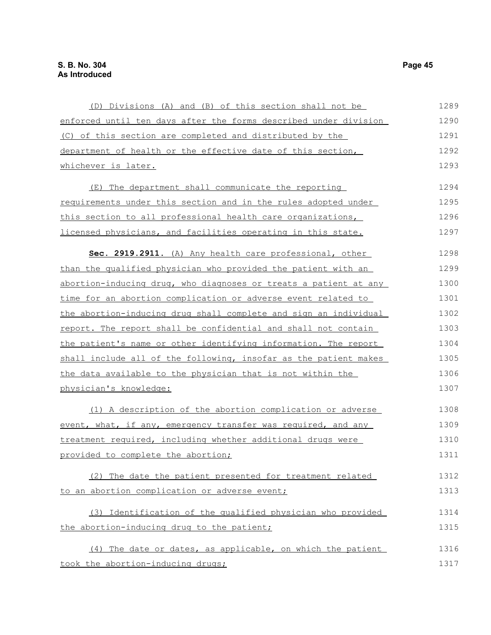| (D) Divisions (A) and (B) of this section shall not be           | 1289 |
|------------------------------------------------------------------|------|
| enforced until ten days after the forms described under division | 1290 |
| (C) of this section are completed and distributed by the         | 1291 |
| department of health or the effective date of this section,      | 1292 |
| whichever is later.                                              | 1293 |
| (E) The department shall communicate the reporting               | 1294 |
| requirements under this section and in the rules adopted under   | 1295 |
| this section to all professional health care organizations,      | 1296 |
| licensed physicians, and facilities operating in this state.     | 1297 |
| Sec. 2919.2911. (A) Any health care professional, other          | 1298 |
| than the qualified physician who provided the patient with an    | 1299 |
| abortion-inducing drug, who diagnoses or treats a patient at any | 1300 |
| time for an abortion complication or adverse event related to    | 1301 |
| the abortion-inducing drug shall complete and sign an individual | 1302 |
| report. The report shall be confidential and shall not contain   | 1303 |
| the patient's name or other identifying information. The report  | 1304 |
| shall include all of the following, insofar as the patient makes | 1305 |
| the data available to the physician that is not within the       | 1306 |
| physician's knowledge:                                           | 1307 |
| (1) A description of the abortion complication or adverse        | 1308 |
| event, what, if any, emergency transfer was required, and any    | 1309 |
| treatment required, including whether additional drugs were      | 1310 |
| provided to complete the abortion;                               | 1311 |
| (2) The date the patient presented for treatment related         | 1312 |
| to an abortion complication or adverse event;                    | 1313 |
| (3) Identification of the qualified physician who provided       | 1314 |
| the abortion-inducing drug to the patient;                       | 1315 |
| (4) The date or dates, as applicable, on which the patient       | 1316 |
| took the abortion-inducing drugs;                                | 1317 |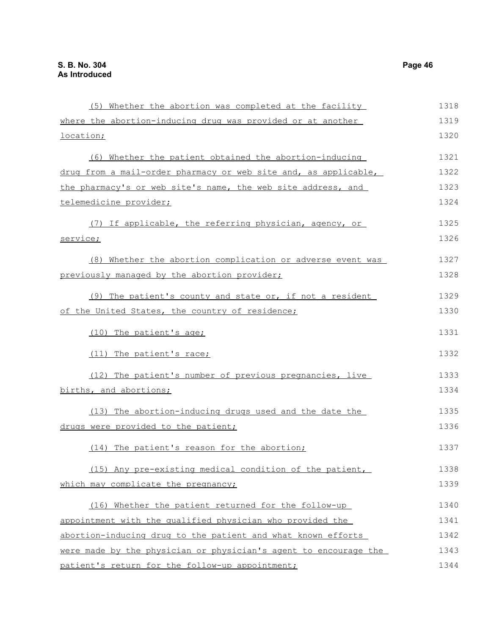(5) Whether the abortion was completed at the facility where the abortion-inducing drug was provided or at another location; (6) Whether the patient obtained the abortion-inducing drug from a mail-order pharmacy or web site and, as applicable, the pharmacy's or web site's name, the web site address, and telemedicine provider; (7) If applicable, the referring physician, agency, or service; (8) Whether the abortion complication or adverse event was previously managed by the abortion provider; (9) The patient's county and state or, if not a resident of the United States, the country of residence; (10) The patient's age; (11) The patient's race; (12) The patient's number of previous pregnancies, live births, and abortions; (13) The abortion-inducing drugs used and the date the drugs were provided to the patient; (14) The patient's reason for the abortion; (15) Any pre-existing medical condition of the patient, which may complicate the pregnancy; (16) Whether the patient returned for the follow-up appointment with the qualified physician who provided the abortion-inducing drug to the patient and what known efforts were made by the physician or physician's agent to encourage the patient's return for the follow-up appointment; 1318 1319 1320 1321 1322 1323 1324 1325 1326 1327 1328 1329 1330 1331 1332 1333 1334 1335 1336 1337 1338 1339 1340 1341 1342 1343 1344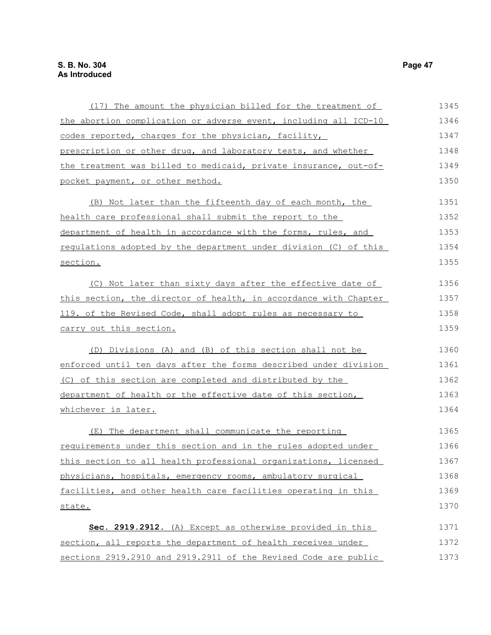| (17) The amount the physician billed for the treatment of        | 1345 |
|------------------------------------------------------------------|------|
| the abortion complication or adverse event, including all ICD-10 | 1346 |
| codes reported, charges for the physician, facility,             | 1347 |
| prescription or other drug, and laboratory tests, and whether    | 1348 |
| the treatment was billed to medicaid, private insurance, out-of- | 1349 |
| pocket payment, or other method.                                 | 1350 |
| (B) Not later than the fifteenth day of each month, the          | 1351 |
| health care professional shall submit the report to the          | 1352 |
| department of health in accordance with the forms, rules, and    | 1353 |
| requlations adopted by the department under division (C) of this | 1354 |
| section.                                                         | 1355 |
| (C) Not later than sixty days after the effective date of        | 1356 |
| this section, the director of health, in accordance with Chapter | 1357 |
| 119. of the Revised Code, shall adopt rules as necessary to      | 1358 |
| carry out this section.                                          | 1359 |
| (D) Divisions (A) and (B) of this section shall not be           | 1360 |
| enforced until ten days after the forms described under division | 1361 |
| (C) of this section are completed and distributed by the         | 1362 |
| department of health or the effective date of this section,      | 1363 |
| whichever is later.                                              | 1364 |
| (E) The department shall communicate the reporting               | 1365 |
| requirements under this section and in the rules adopted under   | 1366 |
| this section to all health professional organizations, licensed  | 1367 |
| physicians, hospitals, emergency rooms, ambulatory surgical      | 1368 |
| facilities, and other health care facilities operating in this   | 1369 |
| state.                                                           | 1370 |
| Sec. 2919.2912. (A) Except as otherwise provided in this         | 1371 |
| section, all reports the department of health receives under     | 1372 |
| sections 2919.2910 and 2919.2911 of the Revised Code are public  | 1373 |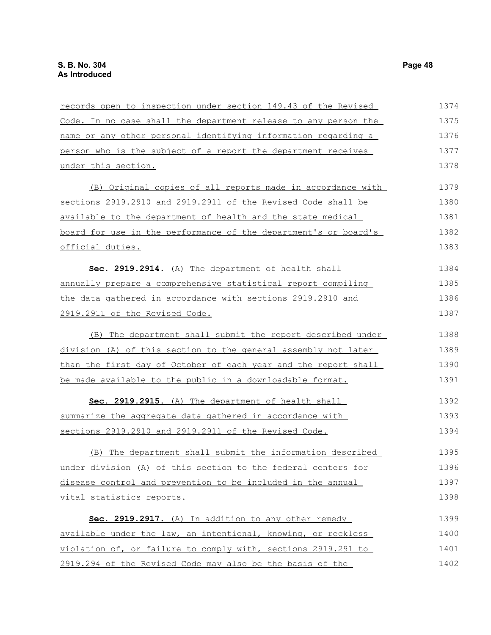| records open to inspection under section 149.43 of the Revised  | 1374 |
|-----------------------------------------------------------------|------|
| Code. In no case shall the department release to any person the | 1375 |
| name or any other personal identifying information regarding a  | 1376 |
| person who is the subject of a report the department receives   | 1377 |
| under this section.                                             | 1378 |
| (B) Original copies of all reports made in accordance with      | 1379 |
| sections 2919.2910 and 2919.2911 of the Revised Code shall be   | 1380 |
| available to the department of health and the state medical     | 1381 |
| board for use in the performance of the department's or board's | 1382 |
| official duties.                                                | 1383 |
| Sec. 2919.2914. (A) The department of health shall              | 1384 |
| annually prepare a comprehensive statistical report compiling   | 1385 |
| the data gathered in accordance with sections 2919.2910 and     | 1386 |
| 2919.2911 of the Revised Code.                                  | 1387 |
| (B) The department shall submit the report described under      | 1388 |
| division (A) of this section to the general assembly not later  | 1389 |
| than the first day of October of each year and the report shall | 1390 |
| be made available to the public in a downloadable format.       | 1391 |
| Sec. 2919.2915. (A) The department of health shall              | 1392 |
| summarize the aggregate data gathered in accordance with        | 1393 |
| sections 2919.2910 and 2919.2911 of the Revised Code.           | 1394 |
| (B) The department shall submit the information described       | 1395 |
| under division (A) of this section to the federal centers for   | 1396 |
| disease control and prevention to be included in the annual     | 1397 |
| vital statistics reports.                                       | 1398 |
| Sec. 2919.2917. (A) In addition to any other remedy             | 1399 |
| available under the law, an intentional, knowing, or reckless   | 1400 |
| violation of, or failure to comply with, sections 2919.291 to   | 1401 |
| 2919.294 of the Revised Code may also be the basis of the       | 1402 |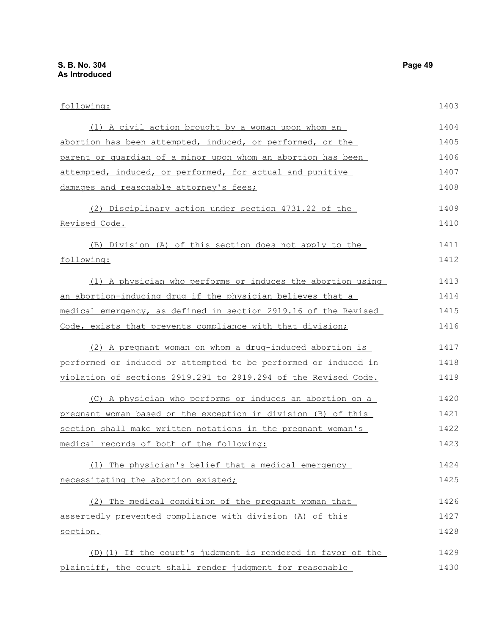following: (1) A civil action brought by a woman upon whom an abortion has been attempted, induced, or performed, or the parent or guardian of a minor upon whom an abortion has been attempted, induced, or performed, for actual and punitive damages and reasonable attorney's fees; (2) Disciplinary action under section 4731.22 of the Revised Code. (B) Division (A) of this section does not apply to the following: (1) A physician who performs or induces the abortion using an abortion-inducing drug if the physician believes that a medical emergency, as defined in section 2919.16 of the Revised Code, exists that prevents compliance with that division; (2) A pregnant woman on whom a drug-induced abortion is performed or induced or attempted to be performed or induced in violation of sections 2919.291 to 2919.294 of the Revised Code. (C) A physician who performs or induces an abortion on a pregnant woman based on the exception in division (B) of this section shall make written notations in the pregnant woman's medical records of both of the following: (1) The physician's belief that a medical emergency necessitating the abortion existed; (2) The medical condition of the pregnant woman that assertedly prevented compliance with division (A) of this section. (D)(1) If the court's judgment is rendered in favor of the 1403 1404 1405 1406 1407 1408 1409 1410 1411 1412 1413 1414 1415 1416 1417 1418 1419 1420 1421 1422 1423 1424 1425 1426 1427 1428 1429

plaintiff, the court shall render judgment for reasonable 1430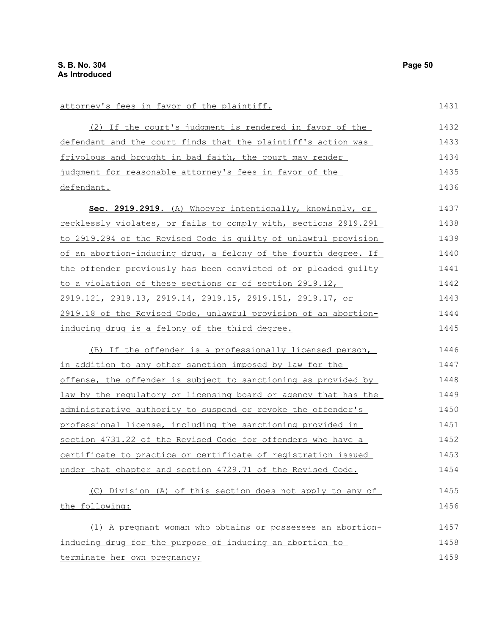attorney's fees in favor of the plaintiff.

(2) If the court's judgment is rendered in favor of the defendant and the court finds that the plaintiff's action was frivolous and brought in bad faith, the court may render judgment for reasonable attorney's fees in favor of the defendant. **Sec. 2919.2919.** (A) Whoever intentionally, knowingly, or recklessly violates, or fails to comply with, sections 2919.291 to 2919.294 of the Revised Code is guilty of unlawful provision of an abortion-inducing drug, a felony of the fourth degree. If the offender previously has been convicted of or pleaded guilty to a violation of these sections or of section 2919.12, 2919.121, 2919.13, 2919.14, 2919.15, 2919.151, 2919.17, or 2919.18 of the Revised Code, unlawful provision of an abortioninducing drug is a felony of the third degree. (B) If the offender is a professionally licensed person, in addition to any other sanction imposed by law for the offense, the offender is subject to sanctioning as provided by law by the regulatory or licensing board or agency that has the administrative authority to suspend or revoke the offender's professional license, including the sanctioning provided in section 4731.22 of the Revised Code for offenders who have a certificate to practice or certificate of registration issued under that chapter and section 4729.71 of the Revised Code. (C) Division (A) of this section does not apply to any of the following: (1) A pregnant woman who obtains or possesses an abortioninducing drug for the purpose of inducing an abortion to terminate her own pregnancy; 1432 1433 1434 1435 1436 1437 1438 1439 1440 1441 1442 1443 1444 1445 1446 1447 1448 1449 1450 1451 1452 1453 1454 1455 1456 1457 1458 1459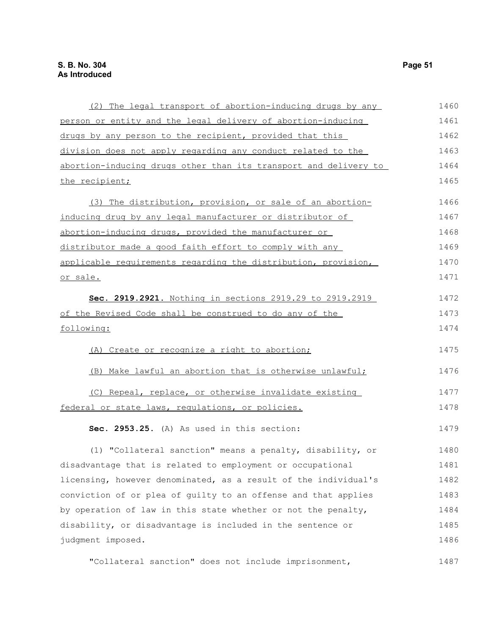| (2) The legal transport of abortion-inducing drugs by any        | 1460 |
|------------------------------------------------------------------|------|
| person or entity and the legal delivery of abortion-inducing     | 1461 |
| drugs by any person to the recipient, provided that this         | 1462 |
| division does not apply regarding any conduct related to the     | 1463 |
| abortion-inducing drugs other than its transport and delivery to | 1464 |
| the recipient;                                                   | 1465 |
| (3) The distribution, provision, or sale of an abortion-         | 1466 |
| inducing drug by any legal manufacturer or distributor of        | 1467 |
| abortion-inducing drugs, provided the manufacturer or            | 1468 |
| distributor made a good faith effort to comply with any          | 1469 |
| applicable requirements regarding the distribution, provision,   | 1470 |
| or sale.                                                         | 1471 |
| Sec. 2919.2921. Nothing in sections 2919.29 to 2919.2919         | 1472 |
| of the Revised Code shall be construed to do any of the          | 1473 |
| following:                                                       | 1474 |
| (A) Create or recognize a right to abortion;                     | 1475 |
| (B) Make lawful an abortion that is otherwise unlawful;          | 1476 |
| (C) Repeal, replace, or otherwise invalidate existing            | 1477 |
| federal or state laws, regulations, or policies.                 | 1478 |
| Sec. 2953.25. (A) As used in this section:                       | 1479 |
| (1) "Collateral sanction" means a penalty, disability, or        | 1480 |
| disadvantage that is related to employment or occupational       | 1481 |
| licensing, however denominated, as a result of the individual's  | 1482 |
| conviction of or plea of guilty to an offense and that applies   | 1483 |
| by operation of law in this state whether or not the penalty,    | 1484 |
| disability, or disadvantage is included in the sentence or       | 1485 |
| judgment imposed.                                                | 1486 |
| "Collateral sanction" does not include imprisonment,             | 1487 |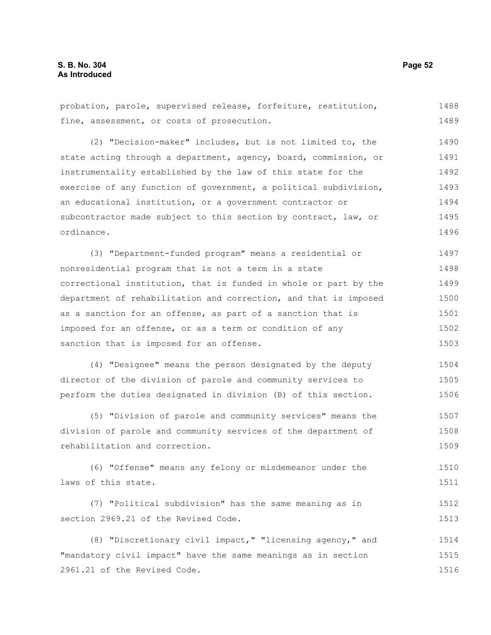probation, parole, supervised release, forfeiture, restitution, fine, assessment, or costs of prosecution. 1488 1489

(2) "Decision-maker" includes, but is not limited to, the state acting through a department, agency, board, commission, or instrumentality established by the law of this state for the exercise of any function of government, a political subdivision, an educational institution, or a government contractor or subcontractor made subject to this section by contract, law, or ordinance. 1490 1491 1492 1493 1494 1495 1496

(3) "Department-funded program" means a residential or nonresidential program that is not a term in a state correctional institution, that is funded in whole or part by the department of rehabilitation and correction, and that is imposed as a sanction for an offense, as part of a sanction that is imposed for an offense, or as a term or condition of any sanction that is imposed for an offense. 1497 1498 1499 1500 1501 1502 1503

(4) "Designee" means the person designated by the deputy director of the division of parole and community services to perform the duties designated in division (B) of this section. 1504 1505 1506

(5) "Division of parole and community services" means the division of parole and community services of the department of rehabilitation and correction. 1507 1508 1509

(6) "Offense" means any felony or misdemeanor under the laws of this state. 1510 1511

(7) "Political subdivision" has the same meaning as in section 2969.21 of the Revised Code. 1512 1513

(8) "Discretionary civil impact," "licensing agency," and "mandatory civil impact" have the same meanings as in section 2961.21 of the Revised Code. 1514 1515 1516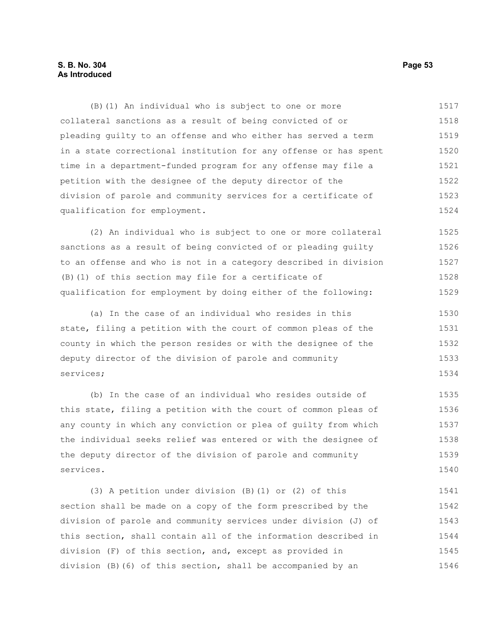(B)(1) An individual who is subject to one or more collateral sanctions as a result of being convicted of or pleading guilty to an offense and who either has served a term in a state correctional institution for any offense or has spent time in a department-funded program for any offense may file a petition with the designee of the deputy director of the division of parole and community services for a certificate of qualification for employment. 1517 1518 1519 1520 1521 1522 1523 1524

(2) An individual who is subject to one or more collateral sanctions as a result of being convicted of or pleading guilty to an offense and who is not in a category described in division (B)(1) of this section may file for a certificate of qualification for employment by doing either of the following: 1525 1526 1527 1528 1529

(a) In the case of an individual who resides in this state, filing a petition with the court of common pleas of the county in which the person resides or with the designee of the deputy director of the division of parole and community services; 1530 1531 1532 1533 1534

(b) In the case of an individual who resides outside of this state, filing a petition with the court of common pleas of any county in which any conviction or plea of guilty from which the individual seeks relief was entered or with the designee of the deputy director of the division of parole and community services. 1535 1536 1537 1538 1539 1540

(3) A petition under division (B)(1) or (2) of this section shall be made on a copy of the form prescribed by the division of parole and community services under division (J) of this section, shall contain all of the information described in division (F) of this section, and, except as provided in division (B)(6) of this section, shall be accompanied by an 1541 1542 1543 1544 1545 1546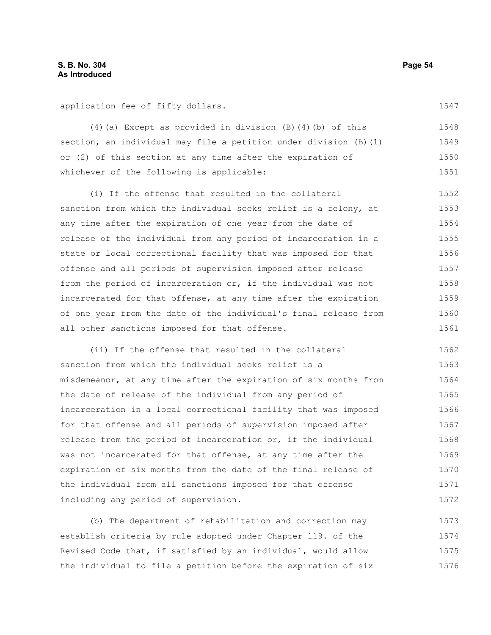application fee of fifty dollars.

(4)(a) Except as provided in division (B)(4)(b) of this section, an individual may file a petition under division (B)(1) or (2) of this section at any time after the expiration of whichever of the following is applicable: 1548 1549 1550 1551

(i) If the offense that resulted in the collateral sanction from which the individual seeks relief is a felony, at any time after the expiration of one year from the date of release of the individual from any period of incarceration in a state or local correctional facility that was imposed for that offense and all periods of supervision imposed after release from the period of incarceration or, if the individual was not incarcerated for that offense, at any time after the expiration of one year from the date of the individual's final release from all other sanctions imposed for that offense. 1552 1553 1554 1555 1556 1557 1558 1559 1560 1561

(ii) If the offense that resulted in the collateral sanction from which the individual seeks relief is a misdemeanor, at any time after the expiration of six months from the date of release of the individual from any period of incarceration in a local correctional facility that was imposed for that offense and all periods of supervision imposed after release from the period of incarceration or, if the individual was not incarcerated for that offense, at any time after the expiration of six months from the date of the final release of the individual from all sanctions imposed for that offense including any period of supervision. 1562 1563 1564 1565 1566 1567 1568 1569 1570 1571 1572

(b) The department of rehabilitation and correction may establish criteria by rule adopted under Chapter 119. of the Revised Code that, if satisfied by an individual, would allow the individual to file a petition before the expiration of six 1573 1574 1575 1576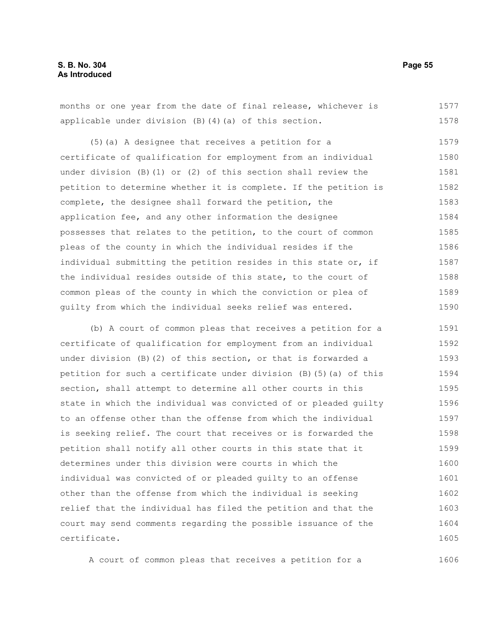months or one year from the date of final release, whichever is applicable under division (B)(4)(a) of this section. 1577 1578

(5)(a) A designee that receives a petition for a certificate of qualification for employment from an individual under division (B)(1) or (2) of this section shall review the petition to determine whether it is complete. If the petition is complete, the designee shall forward the petition, the application fee, and any other information the designee possesses that relates to the petition, to the court of common pleas of the county in which the individual resides if the individual submitting the petition resides in this state or, if the individual resides outside of this state, to the court of common pleas of the county in which the conviction or plea of guilty from which the individual seeks relief was entered. 1579 1580 1581 1582 1583 1584 1585 1586 1587 1588 1589 1590

(b) A court of common pleas that receives a petition for a certificate of qualification for employment from an individual under division (B)(2) of this section, or that is forwarded a petition for such a certificate under division (B)(5)(a) of this section, shall attempt to determine all other courts in this state in which the individual was convicted of or pleaded guilty to an offense other than the offense from which the individual is seeking relief. The court that receives or is forwarded the petition shall notify all other courts in this state that it determines under this division were courts in which the individual was convicted of or pleaded guilty to an offense other than the offense from which the individual is seeking relief that the individual has filed the petition and that the court may send comments regarding the possible issuance of the certificate. 1591 1592 1593 1594 1595 1596 1597 1598 1599 1600 1601 1602 1603 1604 1605

A court of common pleas that receives a petition for a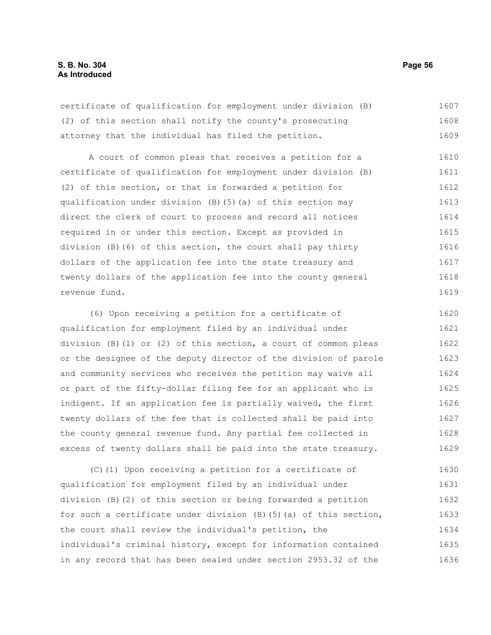certificate of qualification for employment under division (B) (2) of this section shall notify the county's prosecuting attorney that the individual has filed the petition. 1607 1608 1609

A court of common pleas that receives a petition for a certificate of qualification for employment under division (B) (2) of this section, or that is forwarded a petition for qualification under division (B)(5)(a) of this section may direct the clerk of court to process and record all notices required in or under this section. Except as provided in division (B)(6) of this section, the court shall pay thirty dollars of the application fee into the state treasury and twenty dollars of the application fee into the county general revenue fund. 1610 1611 1612 1613 1614 1615 1616 1617 1618 1619

(6) Upon receiving a petition for a certificate of qualification for employment filed by an individual under division (B)(1) or (2) of this section, a court of common pleas or the designee of the deputy director of the division of parole and community services who receives the petition may waive all or part of the fifty-dollar filing fee for an applicant who is indigent. If an application fee is partially waived, the first twenty dollars of the fee that is collected shall be paid into the county general revenue fund. Any partial fee collected in excess of twenty dollars shall be paid into the state treasury. 1620 1621 1622 1623 1624 1625 1626 1627 1628 1629

(C)(1) Upon receiving a petition for a certificate of qualification for employment filed by an individual under division (B)(2) of this section or being forwarded a petition for such a certificate under division  $(B)$  (5)(a) of this section, the court shall review the individual's petition, the individual's criminal history, except for information contained in any record that has been sealed under section 2953.32 of the 1630 1631 1632 1633 1634 1635 1636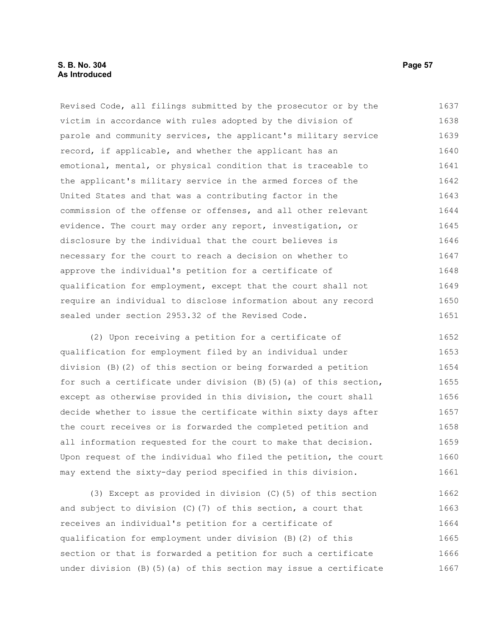Revised Code, all filings submitted by the prosecutor or by the victim in accordance with rules adopted by the division of parole and community services, the applicant's military service record, if applicable, and whether the applicant has an emotional, mental, or physical condition that is traceable to the applicant's military service in the armed forces of the United States and that was a contributing factor in the commission of the offense or offenses, and all other relevant evidence. The court may order any report, investigation, or disclosure by the individual that the court believes is necessary for the court to reach a decision on whether to approve the individual's petition for a certificate of qualification for employment, except that the court shall not require an individual to disclose information about any record sealed under section 2953.32 of the Revised Code. 1637 1638 1639 1640 1641 1642 1643 1644 1645 1646 1647 1648 1649 1650 1651

(2) Upon receiving a petition for a certificate of qualification for employment filed by an individual under division (B)(2) of this section or being forwarded a petition for such a certificate under division (B)(5)(a) of this section, except as otherwise provided in this division, the court shall decide whether to issue the certificate within sixty days after the court receives or is forwarded the completed petition and all information requested for the court to make that decision. Upon request of the individual who filed the petition, the court may extend the sixty-day period specified in this division. 1652 1653 1654 1655 1656 1657 1658 1659 1660 1661

(3) Except as provided in division (C)(5) of this section and subject to division (C)(7) of this section, a court that receives an individual's petition for a certificate of qualification for employment under division (B)(2) of this section or that is forwarded a petition for such a certificate under division (B)(5)(a) of this section may issue a certificate 1662 1663 1664 1665 1666 1667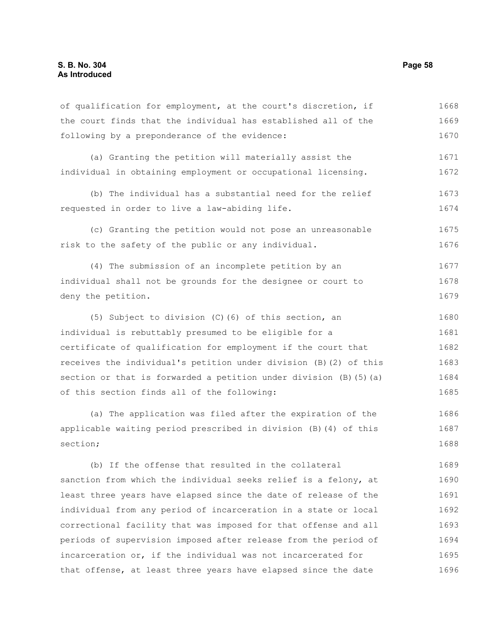the court finds that the individual has established all of the following by a preponderance of the evidence: (a) Granting the petition will materially assist the individual in obtaining employment or occupational licensing. (b) The individual has a substantial need for the relief requested in order to live a law-abiding life. (c) Granting the petition would not pose an unreasonable risk to the safety of the public or any individual. (4) The submission of an incomplete petition by an individual shall not be grounds for the designee or court to deny the petition. (5) Subject to division (C)(6) of this section, an individual is rebuttably presumed to be eligible for a certificate of qualification for employment if the court that receives the individual's petition under division (B)(2) of this section or that is forwarded a petition under division (B)(5)(a) of this section finds all of the following: 1669 1670 1671 1672 1673 1674 1675 1676 1677 1678 1679 1680 1681 1682 1683 1684 1685

of qualification for employment, at the court's discretion, if

(a) The application was filed after the expiration of the applicable waiting period prescribed in division (B)(4) of this section; 1686 1687 1688

(b) If the offense that resulted in the collateral sanction from which the individual seeks relief is a felony, at least three years have elapsed since the date of release of the individual from any period of incarceration in a state or local correctional facility that was imposed for that offense and all periods of supervision imposed after release from the period of incarceration or, if the individual was not incarcerated for that offense, at least three years have elapsed since the date 1689 1690 1691 1692 1693 1694 1695 1696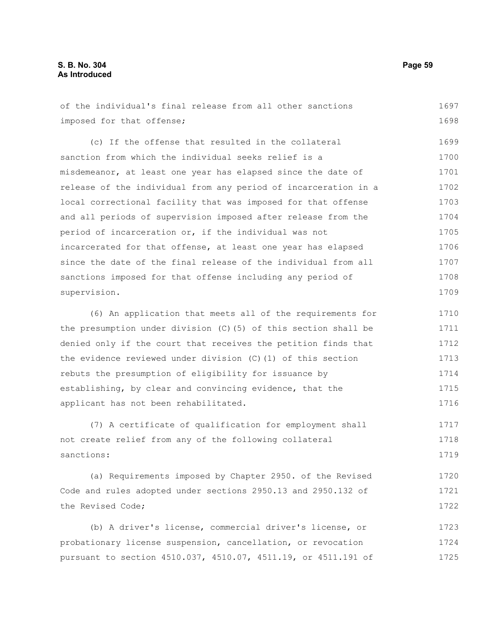of the individual's final release from all other sanctions imposed for that offense; (c) If the offense that resulted in the collateral sanction from which the individual seeks relief is a misdemeanor, at least one year has elapsed since the date of release of the individual from any period of incarceration in a local correctional facility that was imposed for that offense and all periods of supervision imposed after release from the period of incarceration or, if the individual was not incarcerated for that offense, at least one year has elapsed since the date of the final release of the individual from all sanctions imposed for that offense including any period of supervision. (6) An application that meets all of the requirements for the presumption under division (C)(5) of this section shall be 1697 1698 1699 1700 1701 1702 1703 1704 1705 1706 1707 1708 1709 1710 1711

denied only if the court that receives the petition finds that the evidence reviewed under division (C)(1) of this section rebuts the presumption of eligibility for issuance by establishing, by clear and convincing evidence, that the applicant has not been rehabilitated. 1712 1713 1714 1715 1716

(7) A certificate of qualification for employment shall not create relief from any of the following collateral sanctions: 1717 1718 1719

(a) Requirements imposed by Chapter 2950. of the Revised Code and rules adopted under sections 2950.13 and 2950.132 of the Revised Code; 1720 1721 1722

(b) A driver's license, commercial driver's license, or probationary license suspension, cancellation, or revocation pursuant to section 4510.037, 4510.07, 4511.19, or 4511.191 of 1723 1724 1725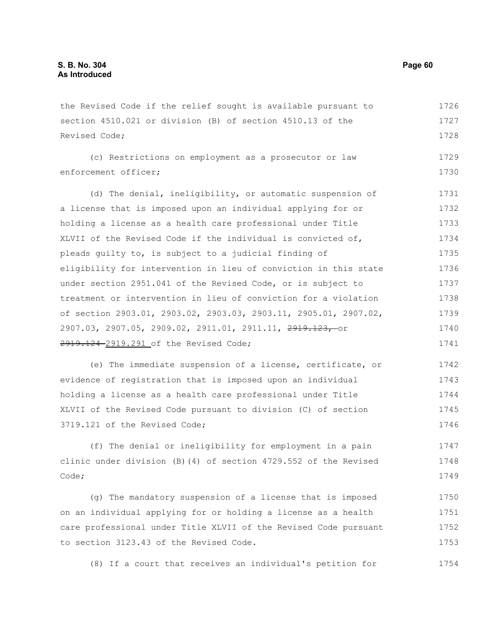the Revised Code if the relief sought is available pursuant to section 4510.021 or division (B) of section 4510.13 of the Revised Code; 1726 1727 1728

(c) Restrictions on employment as a prosecutor or law enforcement officer; 1729 1730

(d) The denial, ineligibility, or automatic suspension of a license that is imposed upon an individual applying for or holding a license as a health care professional under Title XLVII of the Revised Code if the individual is convicted of, pleads guilty to, is subject to a judicial finding of eligibility for intervention in lieu of conviction in this state under section 2951.041 of the Revised Code, or is subject to treatment or intervention in lieu of conviction for a violation of section 2903.01, 2903.02, 2903.03, 2903.11, 2905.01, 2907.02, 2907.03, 2907.05, 2909.02, 2911.01, 2911.11, 2919.123, or 2919.124 2919.291 of the Revised Code; 1731 1732 1733 1734 1735 1736 1737 1738 1739 1740 1741

(e) The immediate suspension of a license, certificate, or evidence of registration that is imposed upon an individual holding a license as a health care professional under Title XLVII of the Revised Code pursuant to division (C) of section 3719.121 of the Revised Code; 1742 1743 1744 1745 1746

(f) The denial or ineligibility for employment in a pain clinic under division (B)(4) of section 4729.552 of the Revised Code; 1747 1748 1749

(g) The mandatory suspension of a license that is imposed on an individual applying for or holding a license as a health care professional under Title XLVII of the Revised Code pursuant to section 3123.43 of the Revised Code. 1750 1751 1752 1753

(8) If a court that receives an individual's petition for 1754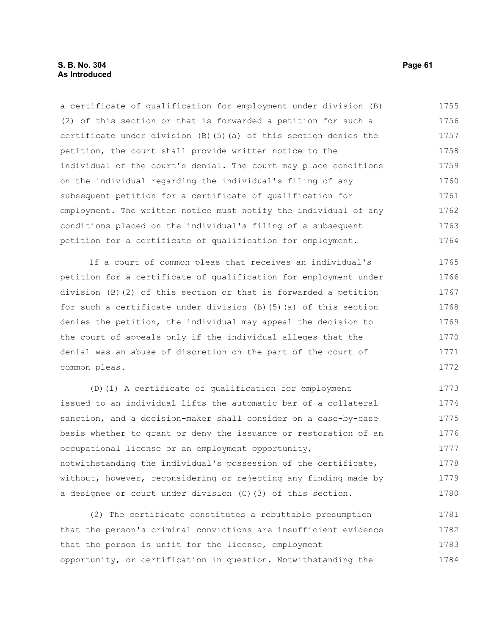## **S. B. No. 304 Page 61 As Introduced**

a certificate of qualification for employment under division (B) (2) of this section or that is forwarded a petition for such a certificate under division (B)(5)(a) of this section denies the petition, the court shall provide written notice to the individual of the court's denial. The court may place conditions on the individual regarding the individual's filing of any subsequent petition for a certificate of qualification for employment. The written notice must notify the individual of any conditions placed on the individual's filing of a subsequent petition for a certificate of qualification for employment. 1755 1756 1757 1758 1759 1760 1761 1762 1763 1764

If a court of common pleas that receives an individual's petition for a certificate of qualification for employment under division (B)(2) of this section or that is forwarded a petition for such a certificate under division (B)(5)(a) of this section denies the petition, the individual may appeal the decision to the court of appeals only if the individual alleges that the denial was an abuse of discretion on the part of the court of common pleas. 1765 1766 1767 1768 1769 1770 1771 1772

(D)(1) A certificate of qualification for employment issued to an individual lifts the automatic bar of a collateral sanction, and a decision-maker shall consider on a case-by-case basis whether to grant or deny the issuance or restoration of an occupational license or an employment opportunity, notwithstanding the individual's possession of the certificate, without, however, reconsidering or rejecting any finding made by a designee or court under division (C)(3) of this section. 1773 1774 1775 1776 1777 1778 1779 1780

(2) The certificate constitutes a rebuttable presumption that the person's criminal convictions are insufficient evidence that the person is unfit for the license, employment opportunity, or certification in question. Notwithstanding the 1781 1782 1783 1784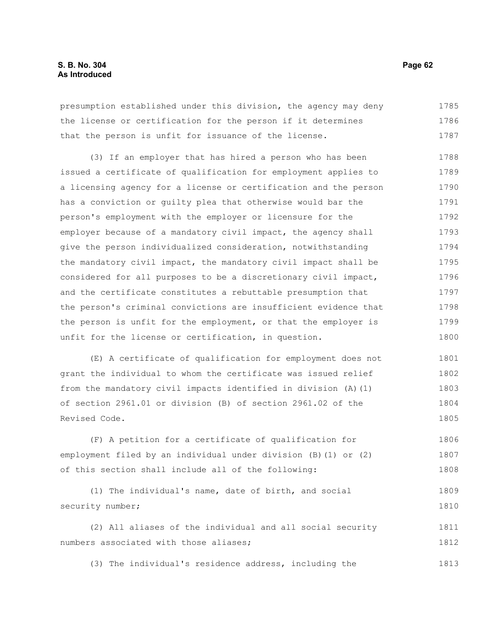presumption established under this division, the agency may deny the license or certification for the person if it determines that the person is unfit for issuance of the license. 1785 1786 1787

(3) If an employer that has hired a person who has been issued a certificate of qualification for employment applies to a licensing agency for a license or certification and the person has a conviction or guilty plea that otherwise would bar the person's employment with the employer or licensure for the employer because of a mandatory civil impact, the agency shall give the person individualized consideration, notwithstanding the mandatory civil impact, the mandatory civil impact shall be considered for all purposes to be a discretionary civil impact, and the certificate constitutes a rebuttable presumption that the person's criminal convictions are insufficient evidence that the person is unfit for the employment, or that the employer is unfit for the license or certification, in question. 1788 1789 1790 1791 1792 1793 1794 1795 1796 1797 1798 1799 1800

(E) A certificate of qualification for employment does not grant the individual to whom the certificate was issued relief from the mandatory civil impacts identified in division (A)(1) of section 2961.01 or division (B) of section 2961.02 of the Revised Code. 1801 1802 1803 1804 1805

(F) A petition for a certificate of qualification for employment filed by an individual under division (B)(1) or (2) of this section shall include all of the following: 1806 1807 1808

```
(1) The individual's name, date of birth, and social
security number; 
                                                                             1809
                                                                             1810
```
(2) All aliases of the individual and all social security numbers associated with those aliases; 1811 1812

(3) The individual's residence address, including the 1813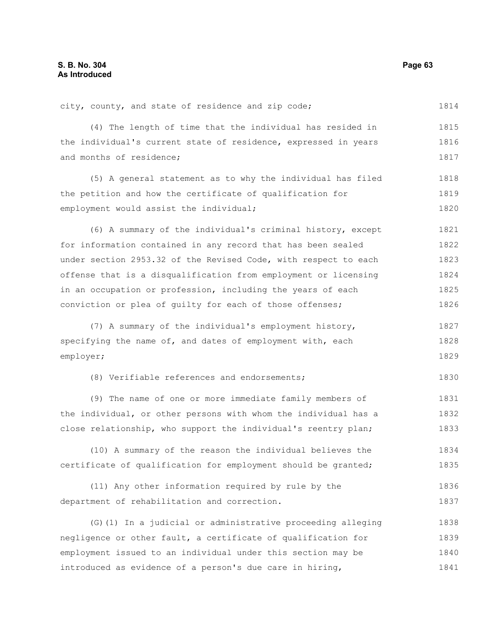city, county, and state of residence and zip code; 1814

(4) The length of time that the individual has resided in the individual's current state of residence, expressed in years and months of residence; 1815 1816 1817

(5) A general statement as to why the individual has filed the petition and how the certificate of qualification for employment would assist the individual; 1818 1819 1820

(6) A summary of the individual's criminal history, except for information contained in any record that has been sealed under section 2953.32 of the Revised Code, with respect to each offense that is a disqualification from employment or licensing in an occupation or profession, including the years of each conviction or plea of guilty for each of those offenses; 1821 1822 1823 1824 1825 1826

(7) A summary of the individual's employment history, specifying the name of, and dates of employment with, each employer; 1827 1828 1829

(8) Verifiable references and endorsements; 1830

(9) The name of one or more immediate family members of the individual, or other persons with whom the individual has a close relationship, who support the individual's reentry plan; 1831 1832 1833

(10) A summary of the reason the individual believes the certificate of qualification for employment should be granted; 1834 1835

(11) Any other information required by rule by the department of rehabilitation and correction. 1836 1837

(G)(1) In a judicial or administrative proceeding alleging negligence or other fault, a certificate of qualification for employment issued to an individual under this section may be introduced as evidence of a person's due care in hiring, 1838 1839 1840 1841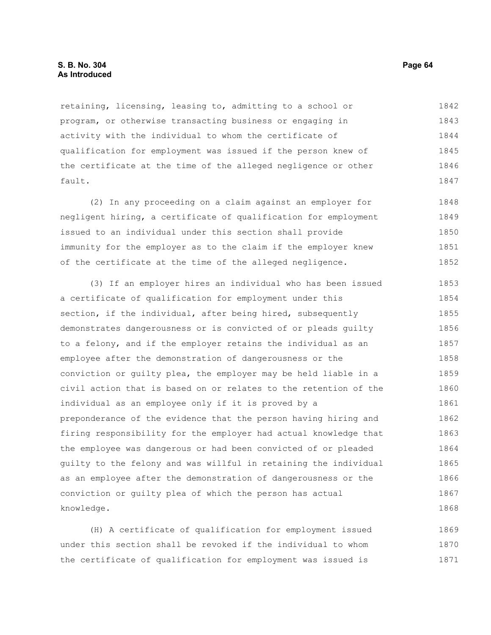retaining, licensing, leasing to, admitting to a school or program, or otherwise transacting business or engaging in activity with the individual to whom the certificate of qualification for employment was issued if the person knew of the certificate at the time of the alleged negligence or other fault. 1842 1843 1844 1845 1846 1847

(2) In any proceeding on a claim against an employer for negligent hiring, a certificate of qualification for employment issued to an individual under this section shall provide immunity for the employer as to the claim if the employer knew of the certificate at the time of the alleged negligence. 1848 1849 1850 1851 1852

(3) If an employer hires an individual who has been issued a certificate of qualification for employment under this section, if the individual, after being hired, subsequently demonstrates dangerousness or is convicted of or pleads guilty to a felony, and if the employer retains the individual as an employee after the demonstration of dangerousness or the conviction or guilty plea, the employer may be held liable in a civil action that is based on or relates to the retention of the individual as an employee only if it is proved by a preponderance of the evidence that the person having hiring and firing responsibility for the employer had actual knowledge that the employee was dangerous or had been convicted of or pleaded guilty to the felony and was willful in retaining the individual as an employee after the demonstration of dangerousness or the conviction or guilty plea of which the person has actual knowledge. 1853 1854 1855 1856 1857 1858 1859 1860 1861 1862 1863 1864 1865 1866 1867 1868

(H) A certificate of qualification for employment issued under this section shall be revoked if the individual to whom the certificate of qualification for employment was issued is 1869 1870 1871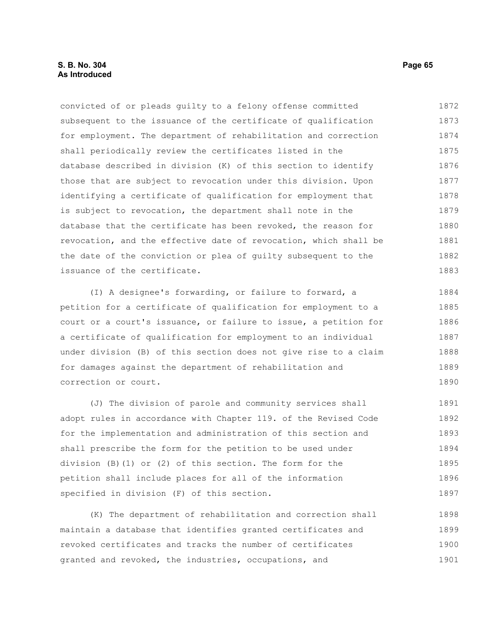convicted of or pleads guilty to a felony offense committed subsequent to the issuance of the certificate of qualification for employment. The department of rehabilitation and correction shall periodically review the certificates listed in the database described in division (K) of this section to identify those that are subject to revocation under this division. Upon identifying a certificate of qualification for employment that is subject to revocation, the department shall note in the database that the certificate has been revoked, the reason for revocation, and the effective date of revocation, which shall be the date of the conviction or plea of guilty subsequent to the issuance of the certificate. 1872 1873 1874 1875 1876 1877 1878 1879 1880 1881 1882 1883

(I) A designee's forwarding, or failure to forward, a petition for a certificate of qualification for employment to a court or a court's issuance, or failure to issue, a petition for a certificate of qualification for employment to an individual under division (B) of this section does not give rise to a claim for damages against the department of rehabilitation and correction or court. 1884 1885 1886 1887 1888 1889 1890

(J) The division of parole and community services shall adopt rules in accordance with Chapter 119. of the Revised Code for the implementation and administration of this section and shall prescribe the form for the petition to be used under division (B)(1) or (2) of this section. The form for the petition shall include places for all of the information specified in division (F) of this section. 1891 1892 1893 1894 1895 1896 1897

(K) The department of rehabilitation and correction shall maintain a database that identifies granted certificates and revoked certificates and tracks the number of certificates granted and revoked, the industries, occupations, and 1898 1899 1900 1901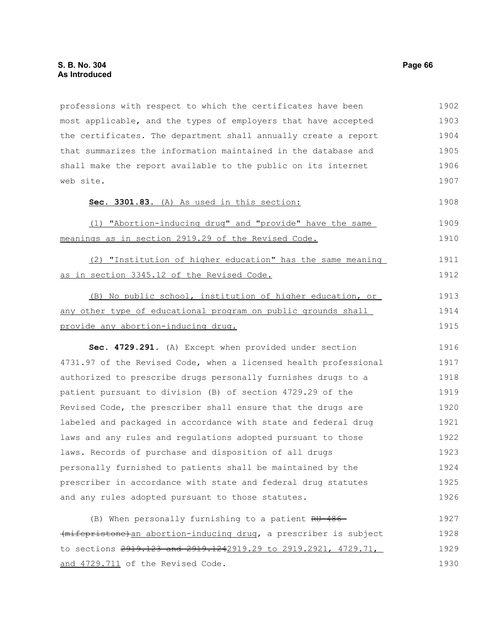professions with respect to which the certificates have been most applicable, and the types of employers that have accepted the certificates. The department shall annually create a report that summarizes the information maintained in the database and shall make the report available to the public on its internet web site. **Sec. 3301.83.** (A) As used in this section: (1) "Abortion-inducing drug" and "provide" have the same meanings as in section 2919.29 of the Revised Code. (2) "Institution of higher education" has the same meaning as in section 3345.12 of the Revised Code. (B) No public school, institution of higher education, or any other type of educational program on public grounds shall provide any abortion-inducing drug. **Sec. 4729.291.** (A) Except when provided under section 4731.97 of the Revised Code, when a licensed health professional authorized to prescribe drugs personally furnishes drugs to a patient pursuant to division (B) of section 4729.29 of the Revised Code, the prescriber shall ensure that the drugs are labeled and packaged in accordance with state and federal drug laws and any rules and regulations adopted pursuant to those laws. Records of purchase and disposition of all drugs personally furnished to patients shall be maintained by the prescriber in accordance with state and federal drug statutes and any rules adopted pursuant to those statutes. (B) When personally furnishing to a patient RU-486 (mifepristone)an abortion-inducing drug, a prescriber is subject 1902 1903 1904 1905 1906 1907 1908 1909 1910 1911 1912 1913 1914 1915 1916 1917 1918 1919 1920 1921 1922 1923 1924 1925 1926 1927 1928

to sections 2919.123 and 2919.1242919.29 to 2919.2921, 4729.71, and 4729.711 of the Revised Code. 1929 1930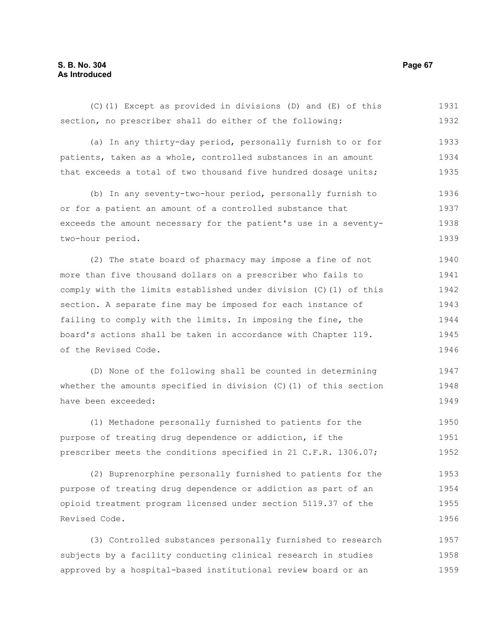## **S. B. No. 304 Page 67 As Introduced**

(C)(1) Except as provided in divisions (D) and (E) of this section, no prescriber shall do either of the following: (a) In any thirty-day period, personally furnish to or for patients, taken as a whole, controlled substances in an amount that exceeds a total of two thousand five hundred dosage units; (b) In any seventy-two-hour period, personally furnish to or for a patient an amount of a controlled substance that exceeds the amount necessary for the patient's use in a seventytwo-hour period. (2) The state board of pharmacy may impose a fine of not more than five thousand dollars on a prescriber who fails to comply with the limits established under division (C)(1) of this section. A separate fine may be imposed for each instance of failing to comply with the limits. In imposing the fine, the board's actions shall be taken in accordance with Chapter 119. of the Revised Code. (D) None of the following shall be counted in determining whether the amounts specified in division (C)(1) of this section have been exceeded: 1931 1932 1933 1934 1935 1936 1937 1938 1939 1940 1941 1942 1943 1944 1945 1946 1947 1948 1949

(1) Methadone personally furnished to patients for the purpose of treating drug dependence or addiction, if the prescriber meets the conditions specified in 21 C.F.R. 1306.07; 1950 1951 1952

(2) Buprenorphine personally furnished to patients for the purpose of treating drug dependence or addiction as part of an opioid treatment program licensed under section 5119.37 of the Revised Code. 1953 1954 1955 1956

(3) Controlled substances personally furnished to research subjects by a facility conducting clinical research in studies approved by a hospital-based institutional review board or an 1957 1958 1959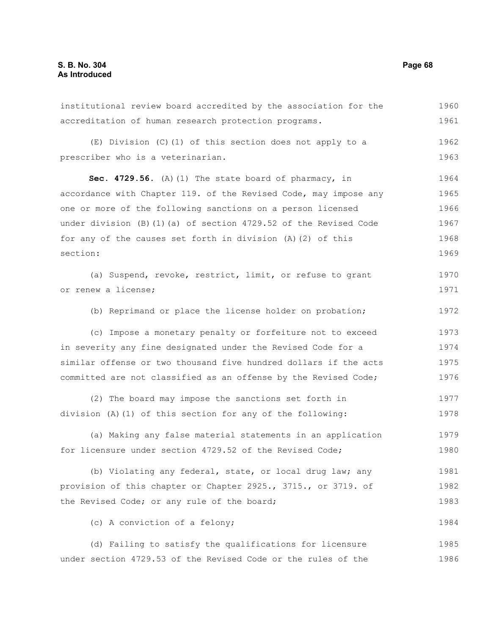institutional review board accredited by the association for the accreditation of human research protection programs. (E) Division (C)(1) of this section does not apply to a prescriber who is a veterinarian. **Sec. 4729.56.** (A)(1) The state board of pharmacy, in accordance with Chapter 119. of the Revised Code, may impose any one or more of the following sanctions on a person licensed under division (B)(1)(a) of section 4729.52 of the Revised Code for any of the causes set forth in division (A)(2) of this section: (a) Suspend, revoke, restrict, limit, or refuse to grant or renew a license; (b) Reprimand or place the license holder on probation; (c) Impose a monetary penalty or forfeiture not to exceed in severity any fine designated under the Revised Code for a similar offense or two thousand five hundred dollars if the acts committed are not classified as an offense by the Revised Code; (2) The board may impose the sanctions set forth in division (A)(1) of this section for any of the following: (a) Making any false material statements in an application for licensure under section 4729.52 of the Revised Code; (b) Violating any federal, state, or local drug law; any provision of this chapter or Chapter 2925., 3715., or 3719. of the Revised Code; or any rule of the board; (c) A conviction of a felony; (d) Failing to satisfy the qualifications for licensure under section 4729.53 of the Revised Code or the rules of the 1960 1961 1962 1963 1964 1965 1966 1967 1968 1969 1970 1971 1972 1973 1974 1975 1976 1977 1978 1979 1980 1981 1982 1983 1984 1985 1986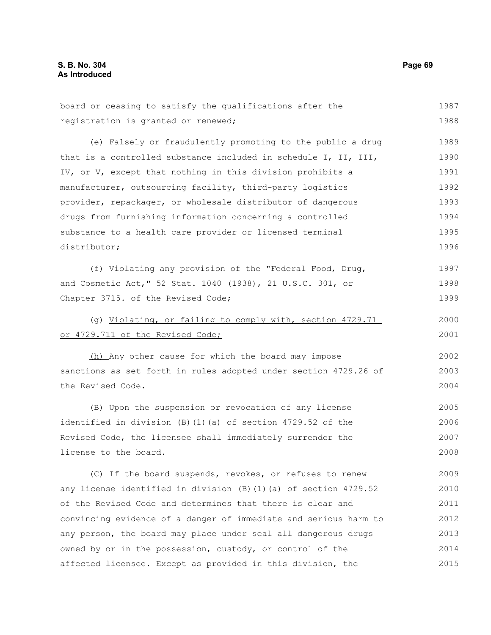| board or ceasing to satisfy the qualifications after the                | 1987 |
|-------------------------------------------------------------------------|------|
| registration is granted or renewed;                                     | 1988 |
| (e) Falsely or fraudulently promoting to the public a drug              | 1989 |
| that is a controlled substance included in schedule I, II, III,         | 1990 |
| IV, or V, except that nothing in this division prohibits a              | 1991 |
| manufacturer, outsourcing facility, third-party logistics               | 1992 |
| provider, repackager, or wholesale distributor of dangerous             | 1993 |
| drugs from furnishing information concerning a controlled               | 1994 |
| substance to a health care provider or licensed terminal                | 1995 |
| distributor;                                                            | 1996 |
| (f) Violating any provision of the "Federal Food, Drug,                 | 1997 |
| and Cosmetic Act," 52 Stat. 1040 (1938), 21 U.S.C. 301, or              | 1998 |
| Chapter 3715. of the Revised Code;                                      | 1999 |
| (g) Violating, or failing to comply with, section 4729.71               | 2000 |
| or 4729.711 of the Revised Code;                                        | 2001 |
| (h) Any other cause for which the board may impose                      | 2002 |
| sanctions as set forth in rules adopted under section 4729.26 of        | 2003 |
| the Revised Code.                                                       | 2004 |
| (B) Upon the suspension or revocation of any license                    | 2005 |
| identified in division (B) (1) (a) of section 4729.52 of the            | 2006 |
| Revised Code, the licensee shall immediately surrender the              | 2007 |
| license to the board.                                                   | 2008 |
| (C) If the board suspends, revokes, or refuses to renew                 | 2009 |
| any license identified in division $(B)$ $(1)$ $(a)$ of section 4729.52 | 2010 |
| of the Revised Code and determines that there is clear and              | 2011 |
| convincing evidence of a danger of immediate and serious harm to        | 2012 |
| any person, the board may place under seal all dangerous drugs          | 2013 |
| owned by or in the possession, custody, or control of the               | 2014 |
| affected licensee. Except as provided in this division, the             | 2015 |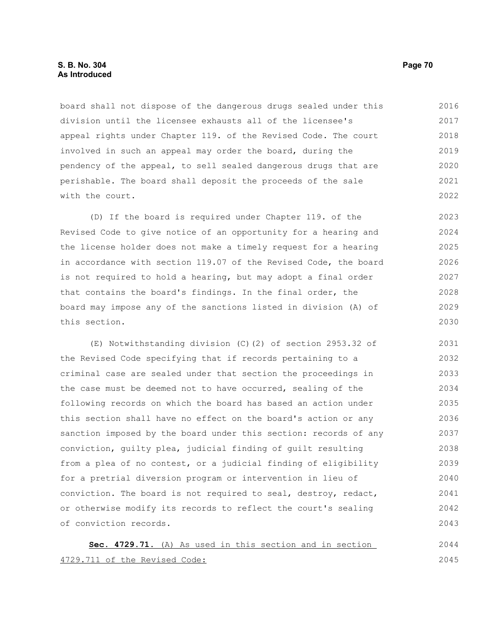board shall not dispose of the dangerous drugs sealed under this division until the licensee exhausts all of the licensee's appeal rights under Chapter 119. of the Revised Code. The court involved in such an appeal may order the board, during the pendency of the appeal, to sell sealed dangerous drugs that are perishable. The board shall deposit the proceeds of the sale with the court. 2016 2017 2018 2019 2020 2021 2022

(D) If the board is required under Chapter 119. of the Revised Code to give notice of an opportunity for a hearing and the license holder does not make a timely request for a hearing in accordance with section 119.07 of the Revised Code, the board is not required to hold a hearing, but may adopt a final order that contains the board's findings. In the final order, the board may impose any of the sanctions listed in division (A) of this section. 2023 2024 2025 2026 2027 2028 2029 2030

(E) Notwithstanding division (C)(2) of section 2953.32 of the Revised Code specifying that if records pertaining to a criminal case are sealed under that section the proceedings in the case must be deemed not to have occurred, sealing of the following records on which the board has based an action under this section shall have no effect on the board's action or any sanction imposed by the board under this section: records of any conviction, guilty plea, judicial finding of guilt resulting from a plea of no contest, or a judicial finding of eligibility for a pretrial diversion program or intervention in lieu of conviction. The board is not required to seal, destroy, redact, or otherwise modify its records to reflect the court's sealing of conviction records. 2031 2032 2033 2034 2035 2036 2037 2038 2039 2040 2041 2042 2043

 **Sec. 4729.71.** (A) As used in this section and in section 4729.711 of the Revised Code: 2044 2045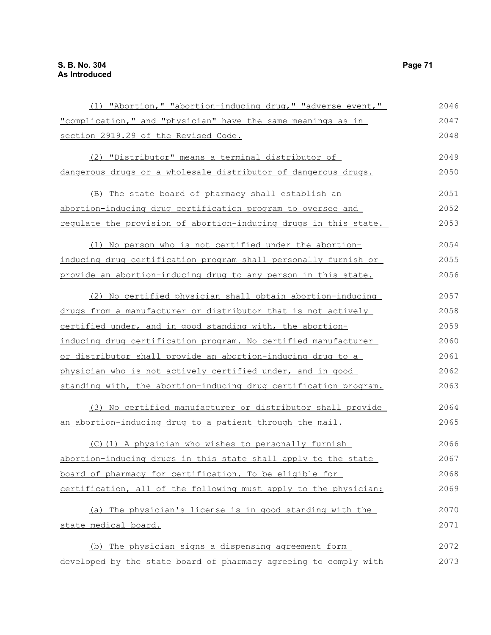| (1) "Abortion," "abortion-inducing drug," "adverse event,"       | 2046 |
|------------------------------------------------------------------|------|
| "complication," and "physician" have the same meanings as in     | 2047 |
| section 2919.29 of the Revised Code.                             | 2048 |
| (2) "Distributor" means a terminal distributor of                | 2049 |
| dangerous drugs or a wholesale distributor of dangerous drugs.   | 2050 |
| (B) The state board of pharmacy shall establish an               | 2051 |
| abortion-inducing drug certification program to oversee and      | 2052 |
| regulate the provision of abortion-inducing drugs in this state. | 2053 |
| (1) No person who is not certified under the abortion-           | 2054 |
| inducing drug certification program shall personally furnish or  | 2055 |
| provide an abortion-inducing drug to any person in this state.   | 2056 |
| (2) No certified physician shall obtain abortion-inducing        | 2057 |
| drugs from a manufacturer or distributor that is not actively    | 2058 |
| certified under, and in good standing with, the abortion-        | 2059 |
| inducing drug certification program. No certified manufacturer   | 2060 |
| or distributor shall provide an abortion-inducing drug to a      | 2061 |
| physician who is not actively certified under, and in good       | 2062 |
| standing with, the abortion-inducing drug certification program. | 2063 |
| (3) No certified manufacturer or distributor shall provide       | 2064 |
| an abortion-inducing drug to a patient through the mail.         | 2065 |
| (C)(1) A physician who wishes to personally furnish              | 2066 |
| abortion-inducing drugs in this state shall apply to the state   | 2067 |
| board of pharmacy for certification. To be eligible for          | 2068 |
| certification, all of the following must apply to the physician: | 2069 |
| (a) The physician's license is in good standing with the         | 2070 |
| state medical board.                                             | 2071 |
| (b) The physician signs a dispensing agreement form              | 2072 |
| developed by the state board of pharmacy agreeing to comply with | 2073 |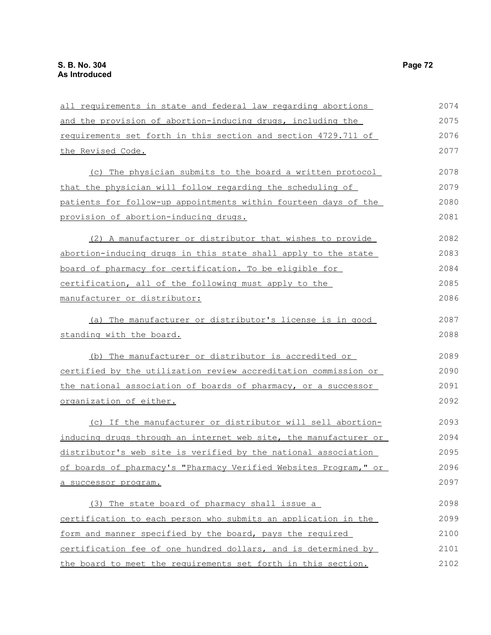| all requirements in state and federal law regarding abortions    | 2074 |
|------------------------------------------------------------------|------|
| and the provision of abortion-inducing drugs, including the      | 2075 |
| requirements set forth in this section and section 4729.711 of   | 2076 |
| the Revised Code.                                                | 2077 |
| (c) The physician submits to the board a written protocol        | 2078 |
| that the physician will follow regarding the scheduling of       | 2079 |
| patients for follow-up appointments within fourteen days of the  | 2080 |
| provision of abortion-inducing drugs.                            | 2081 |
| (2) A manufacturer or distributor that wishes to provide         | 2082 |
| abortion-inducing drugs in this state shall apply to the state   | 2083 |
| board of pharmacy for certification. To be eligible for          | 2084 |
| certification, all of the following must apply to the            | 2085 |
| manufacturer or distributor:                                     | 2086 |
| The manufacturer or distributor's license is in good<br>(a)      | 2087 |
| standing with the board.                                         | 2088 |
| (b) The manufacturer or distributor is accredited or             | 2089 |
| certified by the utilization review accreditation commission or  | 2090 |
| the national association of boards of pharmacy, or a successor   | 2091 |
| organization of either.                                          | 2092 |
| (c) If the manufacturer or distributor will sell abortion-       | 2093 |
| inducing drugs through an internet web site, the manufacturer or | 2094 |
| distributor's web site is verified by the national association   | 2095 |
| of boards of pharmacy's "Pharmacy Verified Websites Program," or | 2096 |
| a successor program.                                             | 2097 |
| (3) The state board of pharmacy shall issue a                    | 2098 |
| certification to each person who submits an application in the   | 2099 |
| form and manner specified by the board, pays the required        | 2100 |
| certification fee of one hundred dollars, and is determined by   | 2101 |
| the board to meet the requirements set forth in this section.    | 2102 |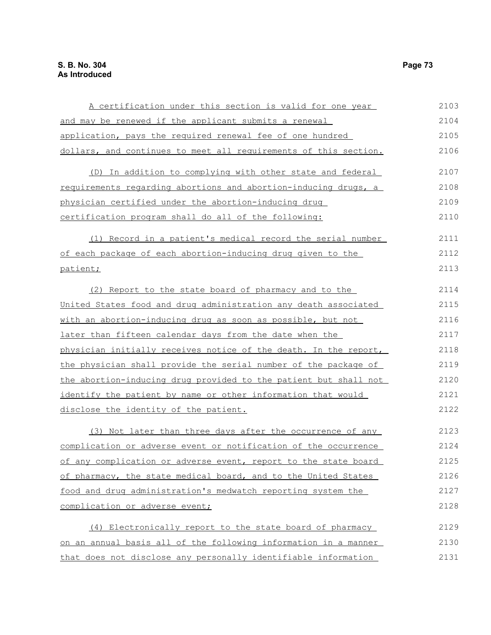| A certification under this section is valid for one year         | 2103 |
|------------------------------------------------------------------|------|
| and may be renewed if the applicant submits a renewal            | 2104 |
| application, pays the required renewal fee of one hundred        | 2105 |
| dollars, and continues to meet all requirements of this section. | 2106 |
| (D) In addition to complying with other state and federal        | 2107 |
| requirements regarding abortions and abortion-inducing drugs, a  | 2108 |
| physician certified under the abortion-inducing drug             | 2109 |
| certification program shall do all of the following:             | 2110 |
| (1) Record in a patient's medical record the serial number       | 2111 |
| of each package of each abortion-inducing drug given to the      | 2112 |
| patient;                                                         | 2113 |
| (2) Report to the state board of pharmacy and to the             | 2114 |
| United States food and drug administration any death associated  | 2115 |
| with an abortion-inducing drug as soon as possible, but not      | 2116 |
| later than fifteen calendar days from the date when the          | 2117 |
| physician initially receives notice of the death. In the report, | 2118 |
| the physician shall provide the serial number of the package of  | 2119 |
| the abortion-inducing drug provided to the patient but shall not | 2120 |
| identify the patient by name or other information that would     | 2121 |
| disclose the identity of the patient.                            | 2122 |
| (3) Not later than three days after the occurrence of any        | 2123 |
| complication or adverse event or notification of the occurrence  | 2124 |
| of any complication or adverse event, report to the state board  | 2125 |
| of pharmacy, the state medical board, and to the United States   | 2126 |
| food and drug administration's medwatch reporting system the     | 2127 |
| complication or adverse event;                                   | 2128 |
| (4) Electronically report to the state board of pharmacy         | 2129 |
| on an annual basis all of the following information in a manner  | 2130 |
| that does not disclose any personally identifiable information   | 2131 |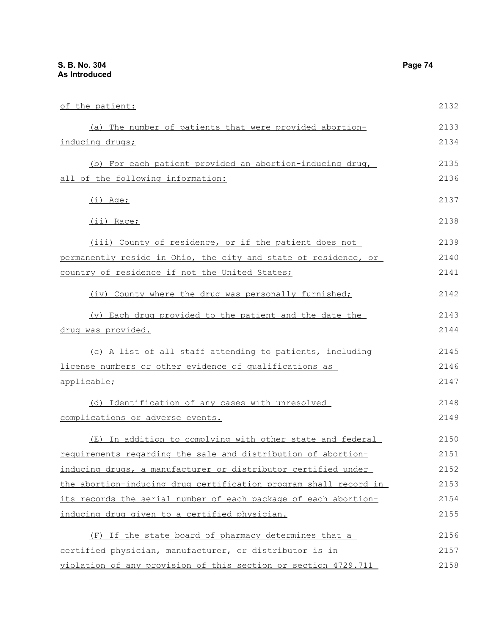| of the patient:                                                 | 2132 |
|-----------------------------------------------------------------|------|
| (a) The number of patients that were provided abortion-         | 2133 |
| inducing drugs;                                                 | 2134 |
| (b) For each patient provided an abortion-inducing drug,        | 2135 |
| all of the following information:                               | 2136 |
| $(i)$ Age;                                                      | 2137 |
| <u>(ii) Race;</u>                                               | 2138 |
| <u>(iii) County of residence, or if the patient does not</u>    | 2139 |
| permanently reside in Ohio, the city and state of residence, or | 2140 |
| country of residence if not the United States;                  | 2141 |
| (iv) County where the drug was personally furnished;            | 2142 |

(v) Each drug provided to the patient and the date the drug was provided. 2143 2144

(c) A list of all staff attending to patients, including license numbers or other evidence of qualifications as applicable; 2145 2146 2147

(d) Identification of any cases with unresolved complications or adverse events. 2148 2149

(E) In addition to complying with other state and federal requirements regarding the sale and distribution of abortioninducing drugs, a manufacturer or distributor certified under the abortion-inducing drug certification program shall record in its records the serial number of each package of each abortioninducing drug given to a certified physician. 2150 2151 2152 2153 2154 2155

(F) If the state board of pharmacy determines that a certified physician, manufacturer, or distributor is in violation of any provision of this section or section 4729.711 2156 2157 2158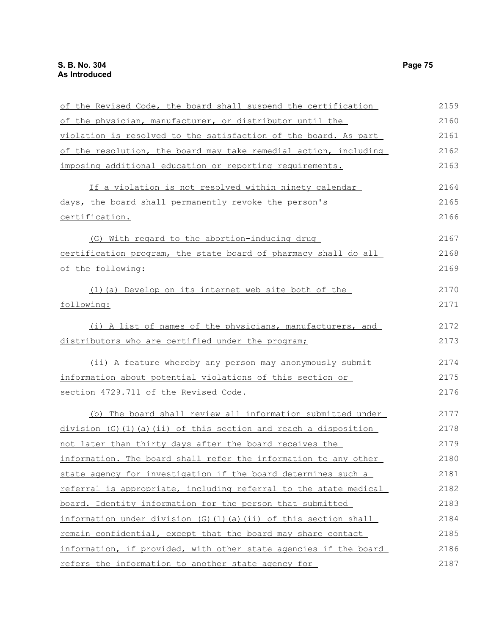| of the Revised Code, the board shall suspend the certification   | 2159 |
|------------------------------------------------------------------|------|
| of the physician, manufacturer, or distributor until the         | 2160 |
| violation is resolved to the satisfaction of the board. As part  | 2161 |
| of the resolution, the board may take remedial action, including | 2162 |
| imposing additional education or reporting requirements.         | 2163 |
| If a violation is not resolved within ninety calendar            | 2164 |
| days, the board shall permanently revoke the person's            | 2165 |
| certification.                                                   | 2166 |
| (G) With regard to the abortion-inducing drug                    | 2167 |
| certification program, the state board of pharmacy shall do all  | 2168 |
| of the following:                                                | 2169 |
| (1) (a) Develop on its internet web site both of the             | 2170 |
| following:                                                       | 2171 |
| (i) A list of names of the physicians, manufacturers, and        | 2172 |
| distributors who are certified under the program;                | 2173 |
| (ii) A feature whereby any person may anonymously submit         | 2174 |
| information about potential violations of this section or        | 2175 |
| section 4729.711 of the Revised Code.                            | 2176 |
| (b) The board shall review all information submitted under       | 2177 |
| $division$ (G)(1)(a)(ii) of this section and reach a disposition | 2178 |
| not later than thirty days after the board receives the          | 2179 |
| information. The board shall refer the information to any other  | 2180 |
| state agency for investigation if the board determines such a    | 2181 |
| referral is appropriate, including referral to the state medical | 2182 |
| board. Identity information for the person that submitted        | 2183 |
| information under division (G)(1)(a)(ii) of this section shall   | 2184 |
| remain confidential, except that the board may share contact     | 2185 |
| information, if provided, with other state agencies if the board | 2186 |
| refers the information to another state agency for               | 2187 |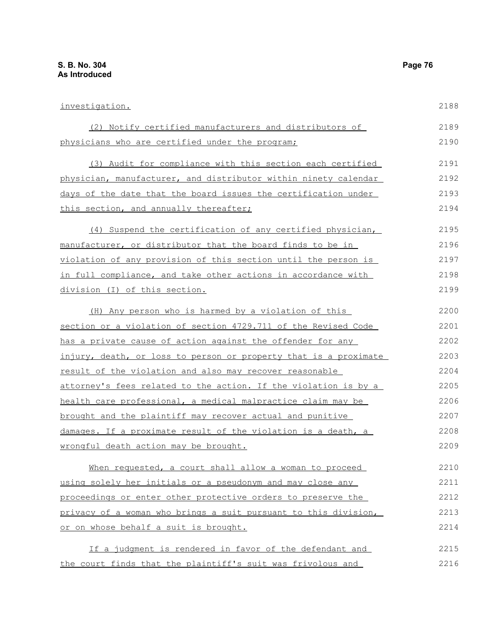| investigation.                                                   | 2188 |
|------------------------------------------------------------------|------|
| (2) Notify certified manufacturers and distributors of           | 2189 |
| physicians who are certified under the program;                  | 2190 |
| (3) Audit for compliance with this section each certified        | 2191 |
| physician, manufacturer, and distributor within ninety calendar  | 2192 |
| days of the date that the board issues the certification under   | 2193 |
| this section, and annually thereafter;                           | 2194 |
| (4) Suspend the certification of any certified physician,        | 2195 |
| manufacturer, or distributor that the board finds to be in       | 2196 |
| violation of any provision of this section until the person is   | 2197 |
| in full compliance, and take other actions in accordance with    | 2198 |
| division (I) of this section.                                    | 2199 |
| (H) Any person who is harmed by a violation of this              | 2200 |
| section or a violation of section 4729.711 of the Revised Code   | 2201 |
| has a private cause of action against the offender for any       | 2202 |
| injury, death, or loss to person or property that is a proximate | 2203 |
| result of the violation and also may recover reasonable          | 2204 |
| attorney's fees related to the action. If the violation is by a  | 2205 |
| health care professional, a medical malpractice claim may be     | 2206 |
| brought and the plaintiff may recover actual and punitive        | 2207 |
| damages. If a proximate result of the violation is a death, a    | 2208 |
| wrongful death action may be brought.                            | 2209 |
| When requested, a court shall allow a woman to proceed           | 2210 |
| using solely her initials or a pseudonym and may close any       | 2211 |
| proceedings or enter other protective orders to preserve the     | 2212 |
| privacy of a woman who brings a suit pursuant to this division,  | 2213 |
| or on whose behalf a suit is brought.                            | 2214 |
| If a judgment is rendered in favor of the defendant and          | 2215 |
| the court finds that the plaintiff's suit was frivolous and      | 2216 |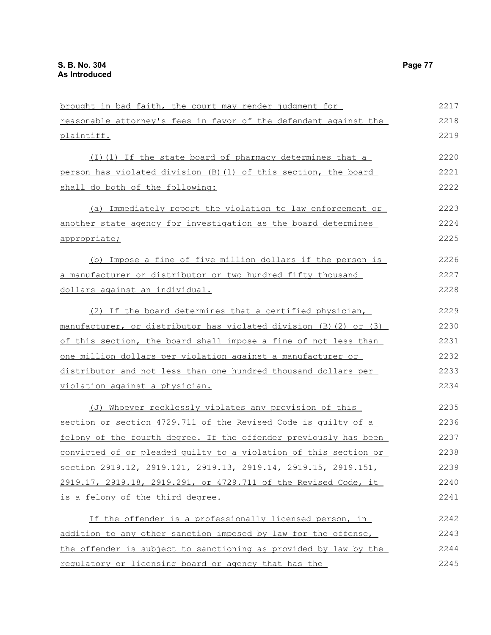| brought in bad faith, the court may render judgment for           | 2217 |
|-------------------------------------------------------------------|------|
| reasonable attorney's fees in favor of the defendant against the  | 2218 |
| plaintiff.                                                        | 2219 |
| (I)(1) If the state board of pharmacy determines that a           | 2220 |
| person has violated division (B) (1) of this section, the board   | 2221 |
| shall do both of the following:                                   | 2222 |
| (a) Immediately report the violation to law enforcement or        | 2223 |
| another state agency for investigation as the board determines    | 2224 |
| appropriate;                                                      | 2225 |
| (b) Impose a fine of five million dollars if the person is        | 2226 |
| a manufacturer or distributor or two hundred fifty thousand       | 2227 |
| dollars against an individual.                                    | 2228 |
| (2) If the board determines that a certified physician,           | 2229 |
| manufacturer, or distributor has violated division (B) (2) or (3) | 2230 |
| of this section, the board shall impose a fine of not less than   | 2231 |
| one million dollars per violation against a manufacturer or       | 2232 |
| distributor and not less than one hundred thousand dollars per    | 2233 |
| violation against a physician.                                    | 2234 |
| (J) Whoever recklessly violates any provision of this             | 2235 |
| section or section 4729.711 of the Revised Code is quilty of a    | 2236 |
| felony of the fourth degree. If the offender previously has been  | 2237 |
| convicted of or pleaded quilty to a violation of this section or  | 2238 |
| section 2919.12, 2919.121, 2919.13, 2919.14, 2919.15, 2919.151,   | 2239 |
| 2919.17, 2919.18, 2919.291, or 4729.711 of the Revised Code, it   | 2240 |
| is a felony of the third degree.                                  | 2241 |
| If the offender is a professionally licensed person, in           | 2242 |
| addition to any other sanction imposed by law for the offense,    | 2243 |
| the offender is subject to sanctioning as provided by law by the  | 2244 |
| regulatory or licensing board or agency that has the              | 2245 |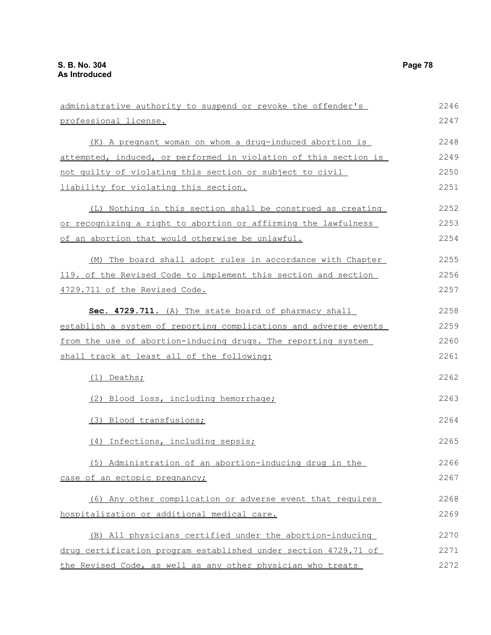| administrative authority to suspend or revoke the offender's     | 2246 |  |  |  |
|------------------------------------------------------------------|------|--|--|--|
| professional license.                                            | 2247 |  |  |  |
| (K) A pregnant woman on whom a drug-induced abortion is          | 2248 |  |  |  |
| attempted, induced, or performed in violation of this section is | 2249 |  |  |  |
| not quilty of violating this section or subject to civil         | 2250 |  |  |  |
| liability for violating this section.                            | 2251 |  |  |  |
| (L) Nothing in this section shall be construed as creating       | 2252 |  |  |  |
| or recognizing a right to abortion or affirming the lawfulness   | 2253 |  |  |  |
| of an abortion that would otherwise be unlawful.                 | 2254 |  |  |  |
| (M) The board shall adopt rules in accordance with Chapter       | 2255 |  |  |  |
| 119. of the Revised Code to implement this section and section   | 2256 |  |  |  |
| 4729.711 of the Revised Code.                                    | 2257 |  |  |  |
| Sec. 4729.711. (A) The state board of pharmacy shall             | 2258 |  |  |  |
| establish a system of reporting complications and adverse events |      |  |  |  |
| from the use of abortion-inducing drugs. The reporting system    | 2260 |  |  |  |
| shall track at least all of the following:                       | 2261 |  |  |  |
| (1) Deaths;                                                      | 2262 |  |  |  |
| (2) Blood loss, including hemorrhage;                            | 2263 |  |  |  |
| (3) Blood transfusions;                                          | 2264 |  |  |  |
| (4) Infections, including sepsis;                                | 2265 |  |  |  |
| (5) Administration of an abortion-inducing drug in the           | 2266 |  |  |  |
| case of an ectopic pregnancy;                                    | 2267 |  |  |  |
| (6) Any other complication or adverse event that requires        | 2268 |  |  |  |
| hospitalization or additional medical care.                      | 2269 |  |  |  |
| (B) All physicians certified under the abortion-inducing         | 2270 |  |  |  |
| drug certification program established under section 4729.71 of  | 2271 |  |  |  |
| the Revised Code, as well as any other physician who treats      | 2272 |  |  |  |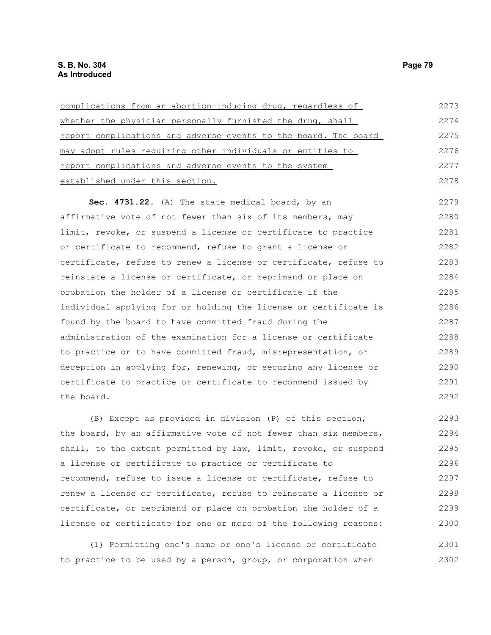| complications from an abortion-inducing drug, regardless of            | 2273 |
|------------------------------------------------------------------------|------|
| whether the physician personally furnished the drug, shall             | 2274 |
| <u>report complications and adverse events to the board. The board</u> | 2275 |
| may adopt rules requiring other individuals or entities to             | 2276 |
| report complications and adverse events to the system                  | 2277 |
| established under this section.                                        | 2278 |
| Sec. 4731.22. (A) The state medical board, by an                       | 2279 |
| affirmative vote of not fewer than six of its members, may             | 2280 |
| limit, revoke, or suspend a license or certificate to practice         | 2281 |
| or certificate to recommend, refuse to grant a license or              | 2282 |
| certificate, refuse to renew a license or certificate, refuse to       | 2283 |
| reinstate a license or certificate, or reprimand or place on           | 2284 |
| probation the holder of a license or certificate if the                | 2285 |
| individual applying for or holding the license or certificate is       | 2286 |
| found by the board to have committed fraud during the                  | 2287 |
| administration of the examination for a license or certificate         | 2288 |
| to practice or to have committed fraud, misrepresentation, or          | 2289 |
| deception in applying for, renewing, or securing any license or        | 2290 |
| certificate to practice or certificate to recommend issued by          | 2291 |
| the board.                                                             | 2292 |
| (B) Except as provided in division (P) of this section,                | 2293 |

the board, by an affirmative vote of not fewer than six members, shall, to the extent permitted by law, limit, revoke, or suspend a license or certificate to practice or certificate to recommend, refuse to issue a license or certificate, refuse to renew a license or certificate, refuse to reinstate a license or certificate, or reprimand or place on probation the holder of a license or certificate for one or more of the following reasons: 2294 2295 2296 2297 2298 2299 2300

(1) Permitting one's name or one's license or certificate to practice to be used by a person, group, or corporation when 2301 2302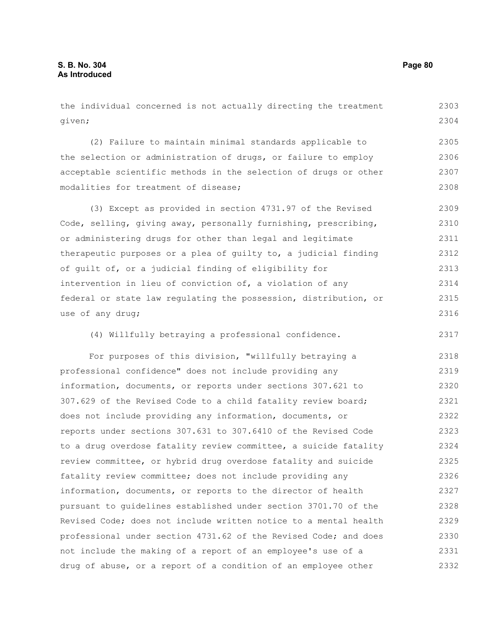the individual concerned is not actually directing the treatment given; 2303 2304

(2) Failure to maintain minimal standards applicable to the selection or administration of drugs, or failure to employ acceptable scientific methods in the selection of drugs or other modalities for treatment of disease; 2305 2306 2307 2308

(3) Except as provided in section 4731.97 of the Revised Code, selling, giving away, personally furnishing, prescribing, or administering drugs for other than legal and legitimate therapeutic purposes or a plea of guilty to, a judicial finding of guilt of, or a judicial finding of eligibility for intervention in lieu of conviction of, a violation of any federal or state law regulating the possession, distribution, or use of any drug; 2309 2310 2311 2312 2313 2314 2315 2316

(4) Willfully betraying a professional confidence. 2317

For purposes of this division, "willfully betraying a professional confidence" does not include providing any information, documents, or reports under sections 307.621 to 307.629 of the Revised Code to a child fatality review board; does not include providing any information, documents, or reports under sections 307.631 to 307.6410 of the Revised Code to a drug overdose fatality review committee, a suicide fatality review committee, or hybrid drug overdose fatality and suicide fatality review committee; does not include providing any information, documents, or reports to the director of health pursuant to guidelines established under section 3701.70 of the Revised Code; does not include written notice to a mental health professional under section 4731.62 of the Revised Code; and does not include the making of a report of an employee's use of a drug of abuse, or a report of a condition of an employee other 2318 2319 2320 2321 2322 2323 2324 2325 2326 2327 2328 2329 2330 2331 2332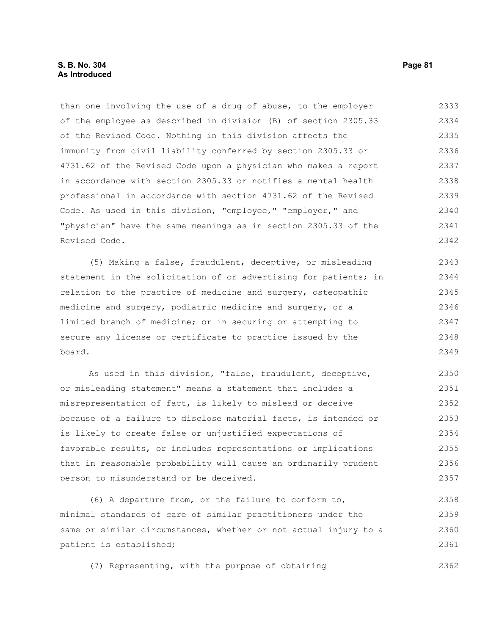### **S. B. No. 304 Page 81 As Introduced**

than one involving the use of a drug of abuse, to the employer of the employee as described in division (B) of section 2305.33 of the Revised Code. Nothing in this division affects the immunity from civil liability conferred by section 2305.33 or 4731.62 of the Revised Code upon a physician who makes a report in accordance with section 2305.33 or notifies a mental health professional in accordance with section 4731.62 of the Revised Code. As used in this division, "employee," "employer," and "physician" have the same meanings as in section 2305.33 of the Revised Code. 2333 2334 2335 2336 2337 2338 2339 2340 2341 2342

(5) Making a false, fraudulent, deceptive, or misleading statement in the solicitation of or advertising for patients; in relation to the practice of medicine and surgery, osteopathic medicine and surgery, podiatric medicine and surgery, or a limited branch of medicine; or in securing or attempting to secure any license or certificate to practice issued by the board. 2343 2344 2345 2346 2347 2348 2349

As used in this division, "false, fraudulent, deceptive, or misleading statement" means a statement that includes a misrepresentation of fact, is likely to mislead or deceive because of a failure to disclose material facts, is intended or is likely to create false or unjustified expectations of favorable results, or includes representations or implications that in reasonable probability will cause an ordinarily prudent person to misunderstand or be deceived. 2350 2351 2352 2353 2354 2355 2356 2357

(6) A departure from, or the failure to conform to, minimal standards of care of similar practitioners under the same or similar circumstances, whether or not actual injury to a patient is established; 2358 2359 2360 2361

(7) Representing, with the purpose of obtaining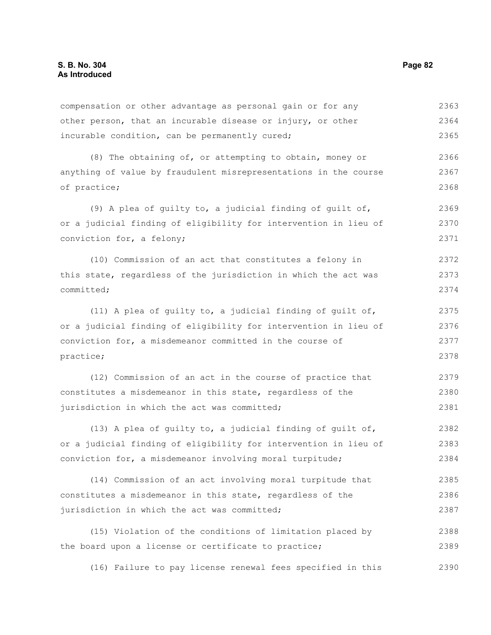compensation or other advantage as personal gain or for any other person, that an incurable disease or injury, or other incurable condition, can be permanently cured; 2363 2364 2365

(8) The obtaining of, or attempting to obtain, money or anything of value by fraudulent misrepresentations in the course of practice; 2366 2367 2368

(9) A plea of guilty to, a judicial finding of guilt of, or a judicial finding of eligibility for intervention in lieu of conviction for, a felony; 2369 2370 2371

(10) Commission of an act that constitutes a felony in this state, regardless of the jurisdiction in which the act was committed; 2372 2373 2374

(11) A plea of guilty to, a judicial finding of guilt of, or a judicial finding of eligibility for intervention in lieu of conviction for, a misdemeanor committed in the course of practice; 2375 2376 2377 2378

(12) Commission of an act in the course of practice that constitutes a misdemeanor in this state, regardless of the jurisdiction in which the act was committed; 2379 2380 2381

(13) A plea of guilty to, a judicial finding of guilt of, or a judicial finding of eligibility for intervention in lieu of conviction for, a misdemeanor involving moral turpitude; 2382 2383 2384

(14) Commission of an act involving moral turpitude that constitutes a misdemeanor in this state, regardless of the jurisdiction in which the act was committed; 2385 2386 2387

(15) Violation of the conditions of limitation placed by the board upon a license or certificate to practice; 2388 2389

(16) Failure to pay license renewal fees specified in this 2390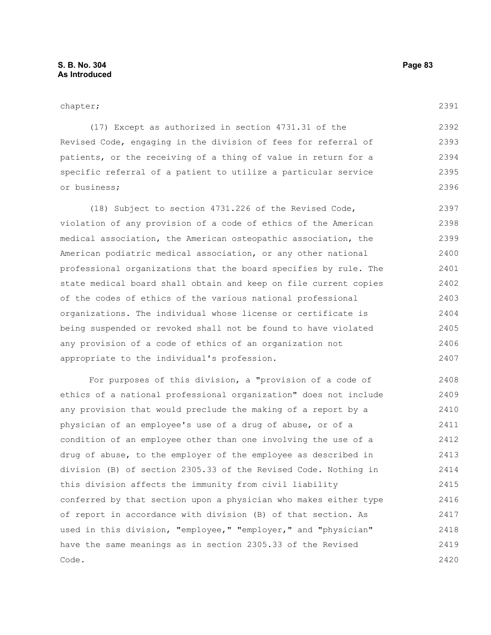chapter;

(17) Except as authorized in section 4731.31 of the Revised Code, engaging in the division of fees for referral of patients, or the receiving of a thing of value in return for a specific referral of a patient to utilize a particular service or business; 2392 2393 2394 2395 2396

(18) Subject to section 4731.226 of the Revised Code, violation of any provision of a code of ethics of the American medical association, the American osteopathic association, the American podiatric medical association, or any other national professional organizations that the board specifies by rule. The state medical board shall obtain and keep on file current copies of the codes of ethics of the various national professional organizations. The individual whose license or certificate is being suspended or revoked shall not be found to have violated any provision of a code of ethics of an organization not appropriate to the individual's profession. 2397 2398 2399 2400 2401 2402 2403 2404 2405 2406 2407

For purposes of this division, a "provision of a code of ethics of a national professional organization" does not include any provision that would preclude the making of a report by a physician of an employee's use of a drug of abuse, or of a condition of an employee other than one involving the use of a drug of abuse, to the employer of the employee as described in division (B) of section 2305.33 of the Revised Code. Nothing in this division affects the immunity from civil liability conferred by that section upon a physician who makes either type of report in accordance with division (B) of that section. As used in this division, "employee," "employer," and "physician" have the same meanings as in section 2305.33 of the Revised Code. 2408 2409 2410 2411 2412 2413 2414 2415 2416 2417 2418 2419 2420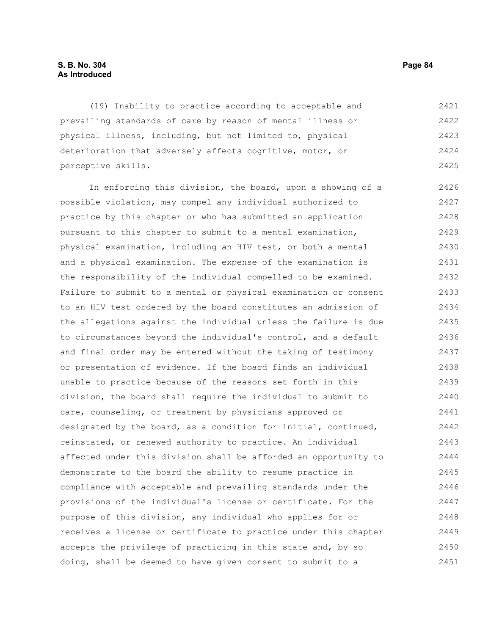### **S. B. No. 304 Page 84 As Introduced**

(19) Inability to practice according to acceptable and prevailing standards of care by reason of mental illness or physical illness, including, but not limited to, physical deterioration that adversely affects cognitive, motor, or perceptive skills. 2421 2422 2423 2424 2425

In enforcing this division, the board, upon a showing of a possible violation, may compel any individual authorized to practice by this chapter or who has submitted an application pursuant to this chapter to submit to a mental examination, physical examination, including an HIV test, or both a mental and a physical examination. The expense of the examination is the responsibility of the individual compelled to be examined. Failure to submit to a mental or physical examination or consent to an HIV test ordered by the board constitutes an admission of the allegations against the individual unless the failure is due to circumstances beyond the individual's control, and a default and final order may be entered without the taking of testimony or presentation of evidence. If the board finds an individual unable to practice because of the reasons set forth in this division, the board shall require the individual to submit to care, counseling, or treatment by physicians approved or designated by the board, as a condition for initial, continued, reinstated, or renewed authority to practice. An individual affected under this division shall be afforded an opportunity to demonstrate to the board the ability to resume practice in compliance with acceptable and prevailing standards under the provisions of the individual's license or certificate. For the purpose of this division, any individual who applies for or receives a license or certificate to practice under this chapter accepts the privilege of practicing in this state and, by so doing, shall be deemed to have given consent to submit to a 2426 2427 2428 2429 2430 2431 2432 2433 2434 2435 2436 2437 2438 2439 2440 2441 2442 2443 2444 2445 2446 2447 2448 2449 2450 2451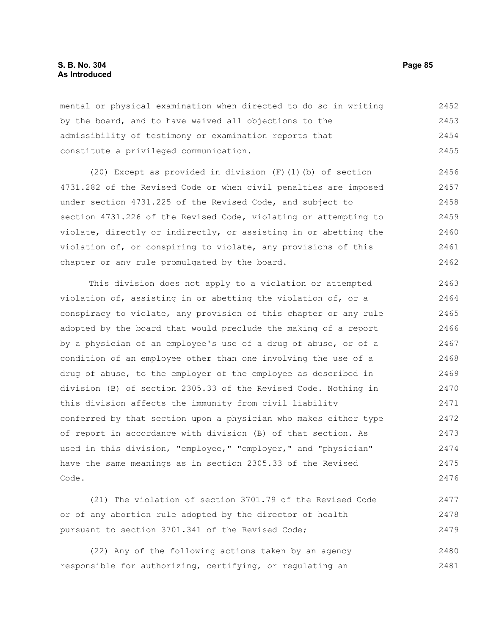# **S. B. No. 304 Page 85 As Introduced**

mental or physical examination when directed to do so in writing by the board, and to have waived all objections to the admissibility of testimony or examination reports that constitute a privileged communication. 2452 2453 2454 2455

(20) Except as provided in division (F)(1)(b) of section 4731.282 of the Revised Code or when civil penalties are imposed under section 4731.225 of the Revised Code, and subject to section 4731.226 of the Revised Code, violating or attempting to violate, directly or indirectly, or assisting in or abetting the violation of, or conspiring to violate, any provisions of this chapter or any rule promulgated by the board. 2456 2457 2458 2459 2460 2461 2462

This division does not apply to a violation or attempted violation of, assisting in or abetting the violation of, or a conspiracy to violate, any provision of this chapter or any rule adopted by the board that would preclude the making of a report by a physician of an employee's use of a drug of abuse, or of a condition of an employee other than one involving the use of a drug of abuse, to the employer of the employee as described in division (B) of section 2305.33 of the Revised Code. Nothing in this division affects the immunity from civil liability conferred by that section upon a physician who makes either type of report in accordance with division (B) of that section. As used in this division, "employee," "employer," and "physician" have the same meanings as in section 2305.33 of the Revised Code. 2463 2464 2465 2466 2467 2468 2469 2470 2471 2472 2473 2474 2475 2476

(21) The violation of section 3701.79 of the Revised Code or of any abortion rule adopted by the director of health pursuant to section 3701.341 of the Revised Code; 2477 2478 2479

(22) Any of the following actions taken by an agency responsible for authorizing, certifying, or regulating an 2480 2481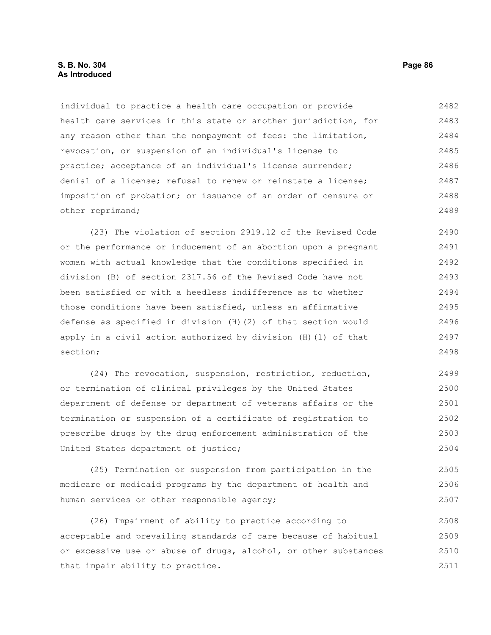individual to practice a health care occupation or provide health care services in this state or another jurisdiction, for any reason other than the nonpayment of fees: the limitation, revocation, or suspension of an individual's license to practice; acceptance of an individual's license surrender; denial of a license; refusal to renew or reinstate a license; imposition of probation; or issuance of an order of censure or other reprimand; 2482 2483 2484 2485 2486 2487 2488 2489

(23) The violation of section 2919.12 of the Revised Code or the performance or inducement of an abortion upon a pregnant woman with actual knowledge that the conditions specified in division (B) of section 2317.56 of the Revised Code have not been satisfied or with a heedless indifference as to whether those conditions have been satisfied, unless an affirmative defense as specified in division (H)(2) of that section would apply in a civil action authorized by division (H)(1) of that section; 2490 2491 2492 2493 2494 2495 2496 2497 2498

(24) The revocation, suspension, restriction, reduction, or termination of clinical privileges by the United States department of defense or department of veterans affairs or the termination or suspension of a certificate of registration to prescribe drugs by the drug enforcement administration of the United States department of justice; 2499 2500 2501 2502 2503 2504

(25) Termination or suspension from participation in the medicare or medicaid programs by the department of health and human services or other responsible agency; 2505 2506 2507

(26) Impairment of ability to practice according to acceptable and prevailing standards of care because of habitual or excessive use or abuse of drugs, alcohol, or other substances that impair ability to practice. 2508 2509 2510 2511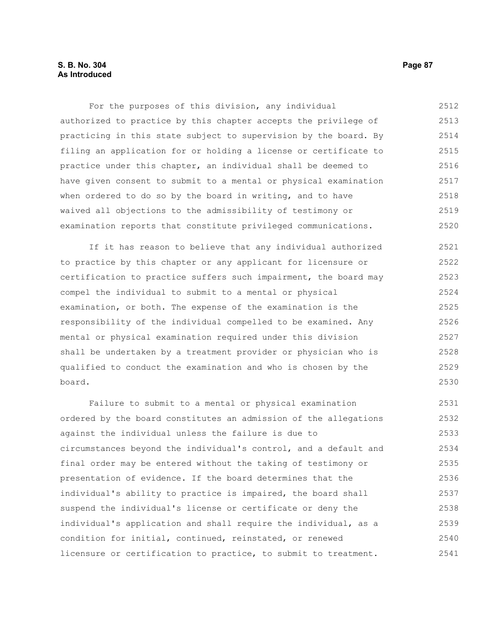For the purposes of this division, any individual authorized to practice by this chapter accepts the privilege of practicing in this state subject to supervision by the board. By filing an application for or holding a license or certificate to practice under this chapter, an individual shall be deemed to have given consent to submit to a mental or physical examination when ordered to do so by the board in writing, and to have waived all objections to the admissibility of testimony or examination reports that constitute privileged communications. 2512 2513 2514 2515 2516 2517 2518 2519 2520

If it has reason to believe that any individual authorized to practice by this chapter or any applicant for licensure or certification to practice suffers such impairment, the board may compel the individual to submit to a mental or physical examination, or both. The expense of the examination is the responsibility of the individual compelled to be examined. Any mental or physical examination required under this division shall be undertaken by a treatment provider or physician who is qualified to conduct the examination and who is chosen by the board. 2521 2522 2523 2524 2525 2526 2527 2528 2529 2530

Failure to submit to a mental or physical examination ordered by the board constitutes an admission of the allegations against the individual unless the failure is due to circumstances beyond the individual's control, and a default and final order may be entered without the taking of testimony or presentation of evidence. If the board determines that the individual's ability to practice is impaired, the board shall suspend the individual's license or certificate or deny the individual's application and shall require the individual, as a condition for initial, continued, reinstated, or renewed licensure or certification to practice, to submit to treatment. 2531 2532 2533 2534 2535 2536 2537 2538 2539 2540 2541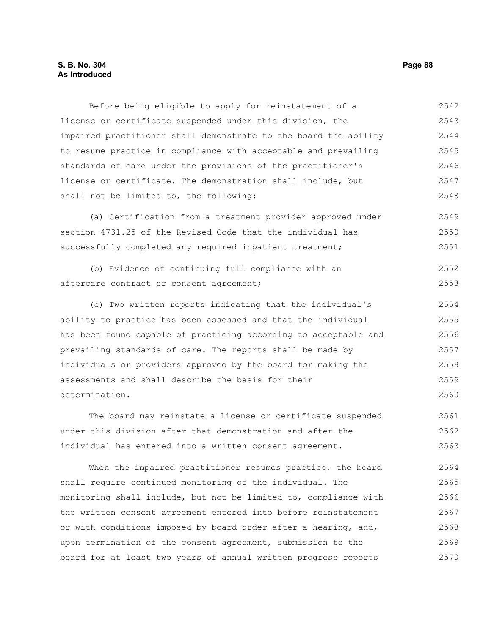# **S. B. No. 304 Page 88 As Introduced**

Before being eligible to apply for reinstatement of a license or certificate suspended under this division, the impaired practitioner shall demonstrate to the board the ability to resume practice in compliance with acceptable and prevailing standards of care under the provisions of the practitioner's license or certificate. The demonstration shall include, but shall not be limited to, the following: 2542 2543 2544 2545 2546 2547 2548

(a) Certification from a treatment provider approved under section 4731.25 of the Revised Code that the individual has successfully completed any required inpatient treatment; 2549 2550 2551

|                                          |  |  | (b) Evidence of continuing full compliance with an |  | 2552 |
|------------------------------------------|--|--|----------------------------------------------------|--|------|
| aftercare contract or consent agreement; |  |  |                                                    |  | 2553 |

(c) Two written reports indicating that the individual's ability to practice has been assessed and that the individual has been found capable of practicing according to acceptable and prevailing standards of care. The reports shall be made by individuals or providers approved by the board for making the assessments and shall describe the basis for their determination. 2554 2555 2556 2557 2558 2559 2560

The board may reinstate a license or certificate suspended under this division after that demonstration and after the individual has entered into a written consent agreement. 2561 2562 2563

When the impaired practitioner resumes practice, the board shall require continued monitoring of the individual. The monitoring shall include, but not be limited to, compliance with the written consent agreement entered into before reinstatement or with conditions imposed by board order after a hearing, and, upon termination of the consent agreement, submission to the board for at least two years of annual written progress reports 2564 2565 2566 2567 2568 2569 2570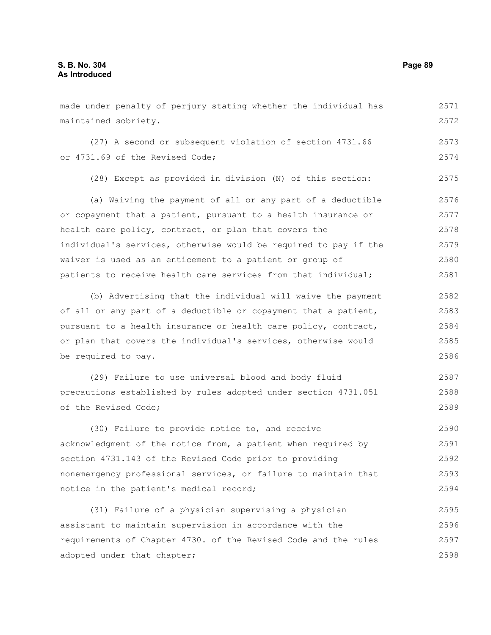made under penalty of perjury stating whether the individual has maintained sobriety. (27) A second or subsequent violation of section 4731.66 or 4731.69 of the Revised Code; (28) Except as provided in division (N) of this section: (a) Waiving the payment of all or any part of a deductible or copayment that a patient, pursuant to a health insurance or health care policy, contract, or plan that covers the individual's services, otherwise would be required to pay if the waiver is used as an enticement to a patient or group of patients to receive health care services from that individual; (b) Advertising that the individual will waive the payment of all or any part of a deductible or copayment that a patient, pursuant to a health insurance or health care policy, contract, or plan that covers the individual's services, otherwise would be required to pay. (29) Failure to use universal blood and body fluid 2571 2572 2573 2574 2575 2576 2577 2578 2579 2580 2581 2582 2583 2584 2585 2586 2587

precautions established by rules adopted under section 4731.051 of the Revised Code; 2588 2589

(30) Failure to provide notice to, and receive acknowledgment of the notice from, a patient when required by section 4731.143 of the Revised Code prior to providing nonemergency professional services, or failure to maintain that notice in the patient's medical record; 2590 2591 2592 2593 2594

(31) Failure of a physician supervising a physician assistant to maintain supervision in accordance with the requirements of Chapter 4730. of the Revised Code and the rules adopted under that chapter; 2595 2596 2597 2598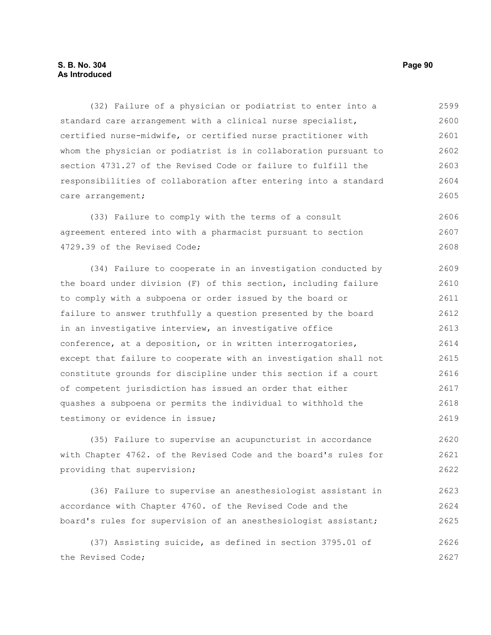(32) Failure of a physician or podiatrist to enter into a standard care arrangement with a clinical nurse specialist, certified nurse-midwife, or certified nurse practitioner with whom the physician or podiatrist is in collaboration pursuant to section 4731.27 of the Revised Code or failure to fulfill the responsibilities of collaboration after entering into a standard care arrangement; 2599 2600 2601 2602 2603 2604 2605

(33) Failure to comply with the terms of a consult agreement entered into with a pharmacist pursuant to section 4729.39 of the Revised Code; 2606 2607 2608

(34) Failure to cooperate in an investigation conducted by the board under division (F) of this section, including failure to comply with a subpoena or order issued by the board or failure to answer truthfully a question presented by the board in an investigative interview, an investigative office conference, at a deposition, or in written interrogatories, except that failure to cooperate with an investigation shall not constitute grounds for discipline under this section if a court of competent jurisdiction has issued an order that either quashes a subpoena or permits the individual to withhold the testimony or evidence in issue; 2609 2610 2611 2612 2613 2614 2615 2616 2617 2618 2619

(35) Failure to supervise an acupuncturist in accordance with Chapter 4762. of the Revised Code and the board's rules for providing that supervision; 2620 2621 2622

(36) Failure to supervise an anesthesiologist assistant in accordance with Chapter 4760. of the Revised Code and the board's rules for supervision of an anesthesiologist assistant; 2623 2624 2625

(37) Assisting suicide, as defined in section 3795.01 of the Revised Code; 2626 2627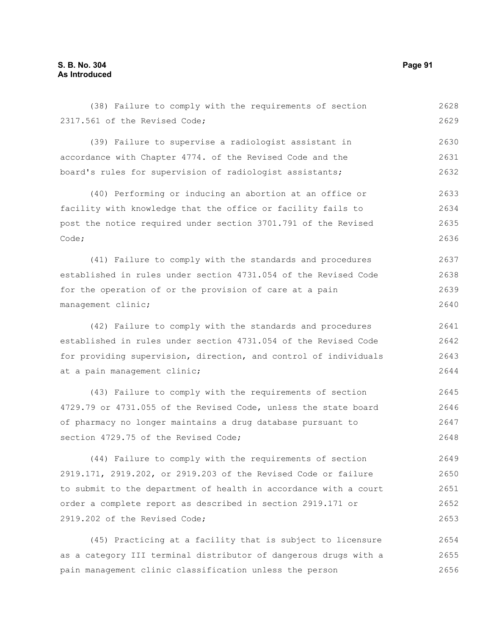2317.561 of the Revised Code; (39) Failure to supervise a radiologist assistant in accordance with Chapter 4774. of the Revised Code and the board's rules for supervision of radiologist assistants; (40) Performing or inducing an abortion at an office or facility with knowledge that the office or facility fails to post the notice required under section 3701.791 of the Revised Code; (41) Failure to comply with the standards and procedures established in rules under section 4731.054 of the Revised Code for the operation of or the provision of care at a pain management clinic; (42) Failure to comply with the standards and procedures established in rules under section 4731.054 of the Revised Code for providing supervision, direction, and control of individuals at a pain management clinic; 2629 2630 2631 2632 2633 2634 2635 2636 2637 2638 2639 2640 2641 2642 2643 2644

(38) Failure to comply with the requirements of section

(43) Failure to comply with the requirements of section 4729.79 or 4731.055 of the Revised Code, unless the state board of pharmacy no longer maintains a drug database pursuant to section 4729.75 of the Revised Code; 2645 2646 2647 2648

(44) Failure to comply with the requirements of section 2919.171, 2919.202, or 2919.203 of the Revised Code or failure to submit to the department of health in accordance with a court order a complete report as described in section 2919.171 or 2919.202 of the Revised Code; 2649 2650 2651 2652 2653

(45) Practicing at a facility that is subject to licensure as a category III terminal distributor of dangerous drugs with a pain management clinic classification unless the person 2654 2655 2656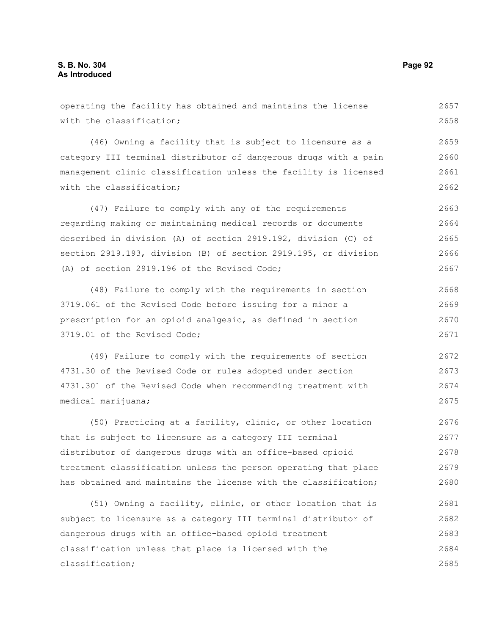with the classification; (46) Owning a facility that is subject to licensure as a category III terminal distributor of dangerous drugs with a pain management clinic classification unless the facility is licensed with the classification: (47) Failure to comply with any of the requirements regarding making or maintaining medical records or documents described in division (A) of section 2919.192, division (C) of section 2919.193, division (B) of section 2919.195, or division (A) of section 2919.196 of the Revised Code; (48) Failure to comply with the requirements in section 3719.061 of the Revised Code before issuing for a minor a prescription for an opioid analgesic, as defined in section 3719.01 of the Revised Code; 2658 2660 2661 2662 2663 2664 2665 2666 2667 2668 2669 2670 2671

(49) Failure to comply with the requirements of section 4731.30 of the Revised Code or rules adopted under section 4731.301 of the Revised Code when recommending treatment with medical marijuana; 2672 2673 2674 2675

operating the facility has obtained and maintains the license

(50) Practicing at a facility, clinic, or other location that is subject to licensure as a category III terminal distributor of dangerous drugs with an office-based opioid treatment classification unless the person operating that place has obtained and maintains the license with the classification; 2676 2677 2678 2679 2680

(51) Owning a facility, clinic, or other location that is subject to licensure as a category III terminal distributor of dangerous drugs with an office-based opioid treatment classification unless that place is licensed with the classification; 2681 2682 2683 2684 2685

2659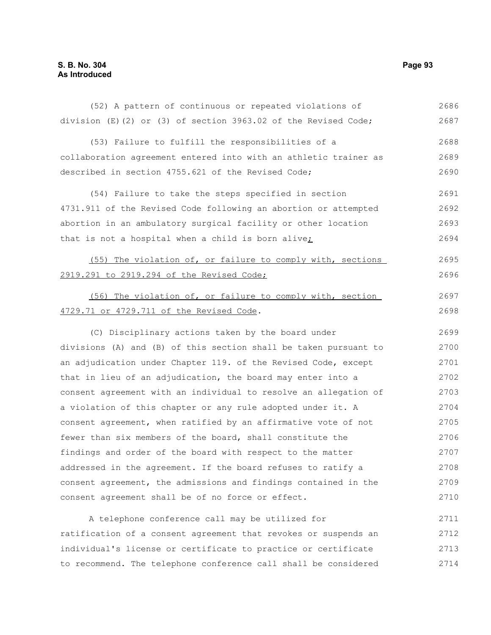| (52) A pattern of continuous or repeated violations of             | 2686 |
|--------------------------------------------------------------------|------|
| division $(E)(2)$ or $(3)$ of section 3963.02 of the Revised Code; | 2687 |
| (53) Failure to fulfill the responsibilities of a                  | 2688 |
| collaboration agreement entered into with an athletic trainer as   | 2689 |
| described in section 4755.621 of the Revised Code;                 | 2690 |
| (54) Failure to take the steps specified in section                | 2691 |
| 4731.911 of the Revised Code following an abortion or attempted    | 2692 |
| abortion in an ambulatory surgical facility or other location      | 2693 |
| that is not a hospital when a child is born alive <sub>i</sub>     | 2694 |
| (55) The violation of, or failure to comply with, sections         | 2695 |
| 2919.291 to 2919.294 of the Revised Code;                          | 2696 |
| (56) The violation of, or failure to comply with, section          | 2697 |
| 4729.71 or 4729.711 of the Revised Code.                           | 2698 |
| (C) Disciplinary actions taken by the board under                  | 2699 |
| divisions (A) and (B) of this section shall be taken pursuant to   | 2700 |
| an adjudication under Chapter 119. of the Revised Code, except     | 2701 |
| that in lieu of an adjudication, the board may enter into a        | 2702 |
| consent agreement with an individual to resolve an allegation of   | 2703 |
| a violation of this chapter or any rule adopted under it. A        | 2704 |
| consent agreement, when ratified by an affirmative vote of not     | 2705 |
| fewer than six members of the board, shall constitute the          | 2706 |
| findings and order of the board with respect to the matter         | 2707 |
| addressed in the agreement. If the board refuses to ratify a       | 2708 |
| consent agreement, the admissions and findings contained in the    | 2709 |
| consent agreement shall be of no force or effect.                  | 2710 |
| A telephone conference call may be utilized for                    | 2711 |
| ratification of a consent agreement that revokes or suspends an    | 2712 |
| individual's license or certificate to practice or certificate     | 2713 |
|                                                                    |      |

to recommend. The telephone conference call shall be considered 2714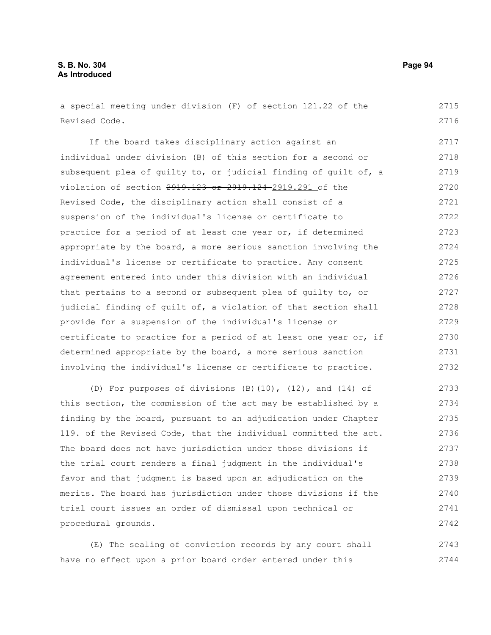a special meeting under division (F) of section 121.22 of the Revised Code. 2715 2716

If the board takes disciplinary action against an individual under division (B) of this section for a second or subsequent plea of guilty to, or judicial finding of guilt of, a violation of section 2919.123 or 2919.124 2919.291 of the Revised Code, the disciplinary action shall consist of a suspension of the individual's license or certificate to practice for a period of at least one year or, if determined appropriate by the board, a more serious sanction involving the individual's license or certificate to practice. Any consent agreement entered into under this division with an individual that pertains to a second or subsequent plea of guilty to, or judicial finding of guilt of, a violation of that section shall provide for a suspension of the individual's license or certificate to practice for a period of at least one year or, if determined appropriate by the board, a more serious sanction involving the individual's license or certificate to practice. 2717 2718 2719 2720 2721 2722 2723 2724 2725 2726 2727 2728 2729 2730 2731 2732

(D) For purposes of divisions (B)(10), (12), and (14) of this section, the commission of the act may be established by a finding by the board, pursuant to an adjudication under Chapter 119. of the Revised Code, that the individual committed the act. The board does not have jurisdiction under those divisions if the trial court renders a final judgment in the individual's favor and that judgment is based upon an adjudication on the merits. The board has jurisdiction under those divisions if the trial court issues an order of dismissal upon technical or procedural grounds. 2733 2734 2735 2736 2737 2738 2739 2740 2741 2742

(E) The sealing of conviction records by any court shall have no effect upon a prior board order entered under this 2743 2744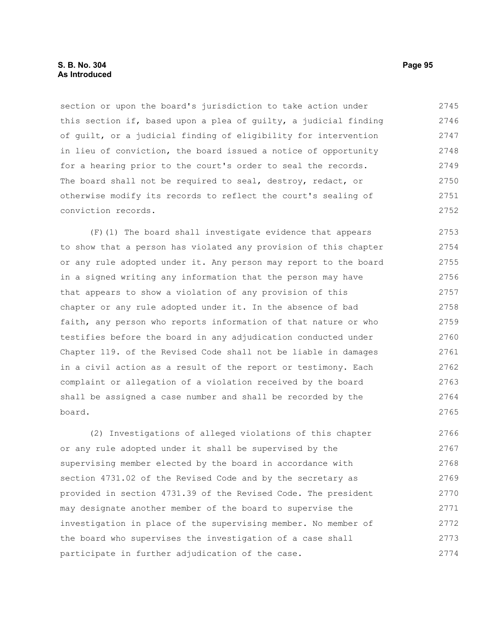section or upon the board's jurisdiction to take action under this section if, based upon a plea of guilty, a judicial finding of guilt, or a judicial finding of eligibility for intervention in lieu of conviction, the board issued a notice of opportunity for a hearing prior to the court's order to seal the records. The board shall not be required to seal, destroy, redact, or otherwise modify its records to reflect the court's sealing of conviction records. 2745 2746 2747 2748 2749 2750 2751 2752

(F)(1) The board shall investigate evidence that appears to show that a person has violated any provision of this chapter or any rule adopted under it. Any person may report to the board in a signed writing any information that the person may have that appears to show a violation of any provision of this chapter or any rule adopted under it. In the absence of bad faith, any person who reports information of that nature or who testifies before the board in any adjudication conducted under Chapter 119. of the Revised Code shall not be liable in damages in a civil action as a result of the report or testimony. Each complaint or allegation of a violation received by the board shall be assigned a case number and shall be recorded by the board. 2753 2754 2755 2756 2757 2758 2759 2760 2761 2762 2763 2764 2765

(2) Investigations of alleged violations of this chapter or any rule adopted under it shall be supervised by the supervising member elected by the board in accordance with section 4731.02 of the Revised Code and by the secretary as provided in section 4731.39 of the Revised Code. The president may designate another member of the board to supervise the investigation in place of the supervising member. No member of the board who supervises the investigation of a case shall participate in further adjudication of the case. 2766 2767 2768 2769 2770 2771 2772 2773 2774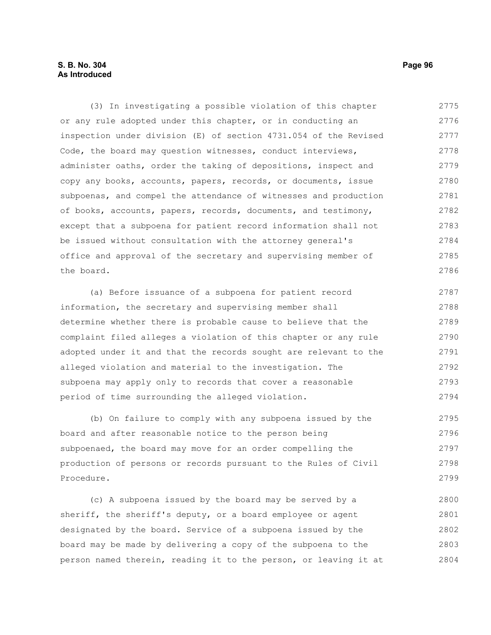# **S. B. No. 304 Page 96 As Introduced**

(3) In investigating a possible violation of this chapter or any rule adopted under this chapter, or in conducting an inspection under division (E) of section 4731.054 of the Revised Code, the board may question witnesses, conduct interviews, administer oaths, order the taking of depositions, inspect and copy any books, accounts, papers, records, or documents, issue subpoenas, and compel the attendance of witnesses and production of books, accounts, papers, records, documents, and testimony, except that a subpoena for patient record information shall not be issued without consultation with the attorney general's office and approval of the secretary and supervising member of the board. 2775 2776 2777 2778 2779 2780 2781 2782 2783 2784 2785 2786

(a) Before issuance of a subpoena for patient record information, the secretary and supervising member shall determine whether there is probable cause to believe that the complaint filed alleges a violation of this chapter or any rule adopted under it and that the records sought are relevant to the alleged violation and material to the investigation. The subpoena may apply only to records that cover a reasonable period of time surrounding the alleged violation. 2787 2788 2789 2790 2791 2792 2793 2794

(b) On failure to comply with any subpoena issued by the board and after reasonable notice to the person being subpoenaed, the board may move for an order compelling the production of persons or records pursuant to the Rules of Civil Procedure. 2795 2796 2797 2798 2799

(c) A subpoena issued by the board may be served by a sheriff, the sheriff's deputy, or a board employee or agent designated by the board. Service of a subpoena issued by the board may be made by delivering a copy of the subpoena to the person named therein, reading it to the person, or leaving it at 2800 2801 2802 2803 2804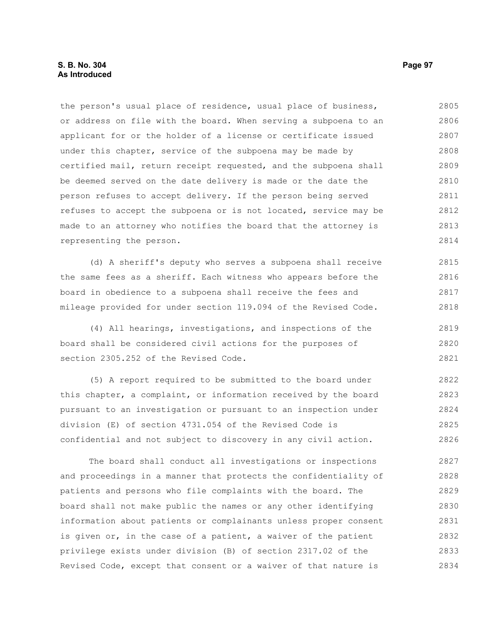### **S. B. No. 304 Page 97 As Introduced**

the person's usual place of residence, usual place of business, or address on file with the board. When serving a subpoena to an applicant for or the holder of a license or certificate issued under this chapter, service of the subpoena may be made by certified mail, return receipt requested, and the subpoena shall be deemed served on the date delivery is made or the date the person refuses to accept delivery. If the person being served refuses to accept the subpoena or is not located, service may be made to an attorney who notifies the board that the attorney is representing the person. 2805 2806 2807 2808 2809 2810 2811 2812 2813 2814

(d) A sheriff's deputy who serves a subpoena shall receive the same fees as a sheriff. Each witness who appears before the board in obedience to a subpoena shall receive the fees and mileage provided for under section 119.094 of the Revised Code. 2815 2816 2817 2818

(4) All hearings, investigations, and inspections of the board shall be considered civil actions for the purposes of section 2305.252 of the Revised Code. 2819 2820 2821

(5) A report required to be submitted to the board under this chapter, a complaint, or information received by the board pursuant to an investigation or pursuant to an inspection under division (E) of section 4731.054 of the Revised Code is confidential and not subject to discovery in any civil action. 2822 2823 2824 2825 2826

The board shall conduct all investigations or inspections and proceedings in a manner that protects the confidentiality of patients and persons who file complaints with the board. The board shall not make public the names or any other identifying information about patients or complainants unless proper consent is given or, in the case of a patient, a waiver of the patient privilege exists under division (B) of section 2317.02 of the Revised Code, except that consent or a waiver of that nature is 2827 2828 2829 2830 2831 2832 2833 2834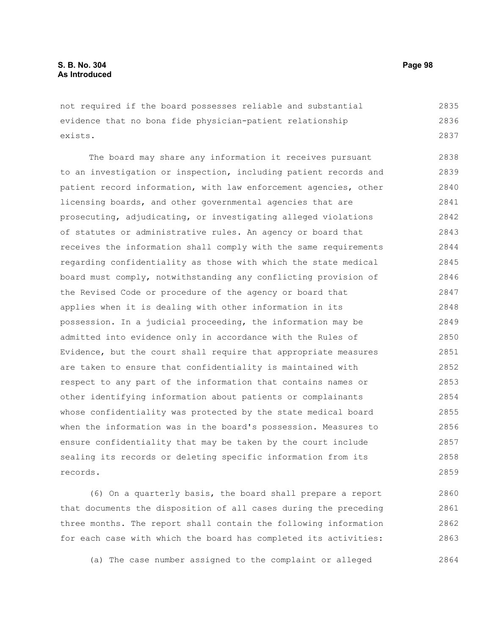not required if the board possesses reliable and substantial evidence that no bona fide physician-patient relationship exists. 2835 2836 2837

The board may share any information it receives pursuant to an investigation or inspection, including patient records and patient record information, with law enforcement agencies, other licensing boards, and other governmental agencies that are prosecuting, adjudicating, or investigating alleged violations of statutes or administrative rules. An agency or board that receives the information shall comply with the same requirements regarding confidentiality as those with which the state medical board must comply, notwithstanding any conflicting provision of the Revised Code or procedure of the agency or board that applies when it is dealing with other information in its possession. In a judicial proceeding, the information may be admitted into evidence only in accordance with the Rules of Evidence, but the court shall require that appropriate measures are taken to ensure that confidentiality is maintained with respect to any part of the information that contains names or other identifying information about patients or complainants whose confidentiality was protected by the state medical board when the information was in the board's possession. Measures to ensure confidentiality that may be taken by the court include sealing its records or deleting specific information from its records. 2838 2839 2840 2841 2842 2843 2844 2845 2846 2847 2848 2849 2850 2851 2852 2853 2854 2855 2856 2857 2858 2859

(6) On a quarterly basis, the board shall prepare a report that documents the disposition of all cases during the preceding three months. The report shall contain the following information for each case with which the board has completed its activities: 2860 2861 2862 2863

(a) The case number assigned to the complaint or alleged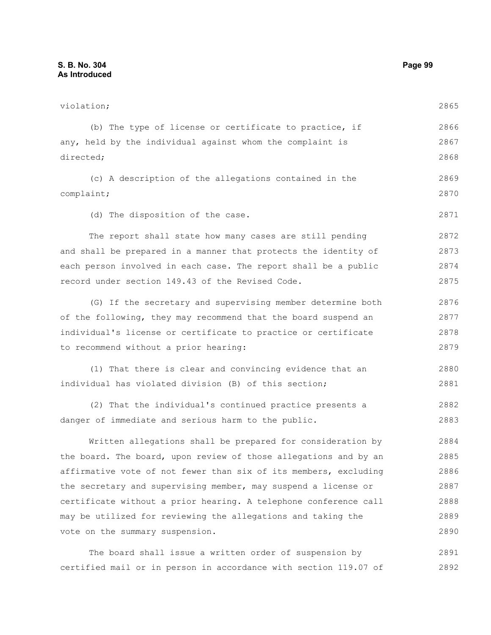violation; (b) The type of license or certificate to practice, if any, held by the individual against whom the complaint is directed; (c) A description of the allegations contained in the complaint; (d) The disposition of the case. The report shall state how many cases are still pending and shall be prepared in a manner that protects the identity of each person involved in each case. The report shall be a public record under section 149.43 of the Revised Code. (G) If the secretary and supervising member determine both of the following, they may recommend that the board suspend an individual's license or certificate to practice or certificate to recommend without a prior hearing: (1) That there is clear and convincing evidence that an individual has violated division (B) of this section; (2) That the individual's continued practice presents a danger of immediate and serious harm to the public. Written allegations shall be prepared for consideration by the board. The board, upon review of those allegations and by an affirmative vote of not fewer than six of its members, excluding the secretary and supervising member, may suspend a license or certificate without a prior hearing. A telephone conference call may be utilized for reviewing the allegations and taking the vote on the summary suspension. The board shall issue a written order of suspension by 2865 2866 2867 2868 2869 2870 2871 2872 2873 2874 2875 2876 2877 2878 2879 2880 2881 2882 2883 2884 2885 2886 2887 2888 2889 2890 2891

certified mail or in person in accordance with section 119.07 of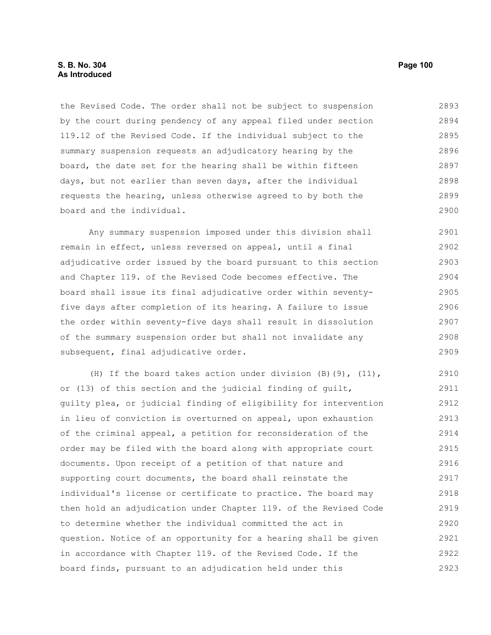the Revised Code. The order shall not be subject to suspension by the court during pendency of any appeal filed under section 119.12 of the Revised Code. If the individual subject to the summary suspension requests an adjudicatory hearing by the board, the date set for the hearing shall be within fifteen days, but not earlier than seven days, after the individual requests the hearing, unless otherwise agreed to by both the board and the individual. 2893 2894 2895 2896 2897 2898 2899 2900

Any summary suspension imposed under this division shall remain in effect, unless reversed on appeal, until a final adjudicative order issued by the board pursuant to this section and Chapter 119. of the Revised Code becomes effective. The board shall issue its final adjudicative order within seventyfive days after completion of its hearing. A failure to issue the order within seventy-five days shall result in dissolution of the summary suspension order but shall not invalidate any subsequent, final adjudicative order. 2901 2902 2903 2904 2905 2906 2907 2908 2909

(H) If the board takes action under division (B)(9), (11), or (13) of this section and the judicial finding of guilt, guilty plea, or judicial finding of eligibility for intervention in lieu of conviction is overturned on appeal, upon exhaustion of the criminal appeal, a petition for reconsideration of the order may be filed with the board along with appropriate court documents. Upon receipt of a petition of that nature and supporting court documents, the board shall reinstate the individual's license or certificate to practice. The board may then hold an adjudication under Chapter 119. of the Revised Code to determine whether the individual committed the act in question. Notice of an opportunity for a hearing shall be given in accordance with Chapter 119. of the Revised Code. If the board finds, pursuant to an adjudication held under this 2910 2911 2912 2913 2914 2915 2916 2917 2918 2919 2920 2921 2922 2923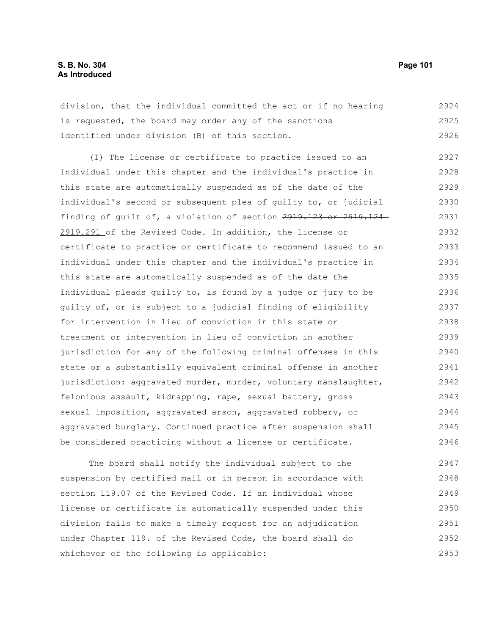division, that the individual committed the act or if no hearing is requested, the board may order any of the sanctions identified under division (B) of this section. 2924 2925 2926

(I) The license or certificate to practice issued to an individual under this chapter and the individual's practice in this state are automatically suspended as of the date of the individual's second or subsequent plea of guilty to, or judicial finding of guilt of, a violation of section 2919.123 or 2919.124 2919.291 of the Revised Code. In addition, the license or certificate to practice or certificate to recommend issued to an individual under this chapter and the individual's practice in this state are automatically suspended as of the date the individual pleads guilty to, is found by a judge or jury to be guilty of, or is subject to a judicial finding of eligibility for intervention in lieu of conviction in this state or treatment or intervention in lieu of conviction in another jurisdiction for any of the following criminal offenses in this state or a substantially equivalent criminal offense in another jurisdiction: aggravated murder, murder, voluntary manslaughter, felonious assault, kidnapping, rape, sexual battery, gross sexual imposition, aggravated arson, aggravated robbery, or aggravated burglary. Continued practice after suspension shall be considered practicing without a license or certificate. 2927 2928 2929 2930 2931 2932 2933 2934 2935 2936 2937 2938 2939 2940 2941 2942 2943 2944 2945 2946

The board shall notify the individual subject to the suspension by certified mail or in person in accordance with section 119.07 of the Revised Code. If an individual whose license or certificate is automatically suspended under this division fails to make a timely request for an adjudication under Chapter 119. of the Revised Code, the board shall do whichever of the following is applicable: 2947 2948 2949 2950 2951 2952 2953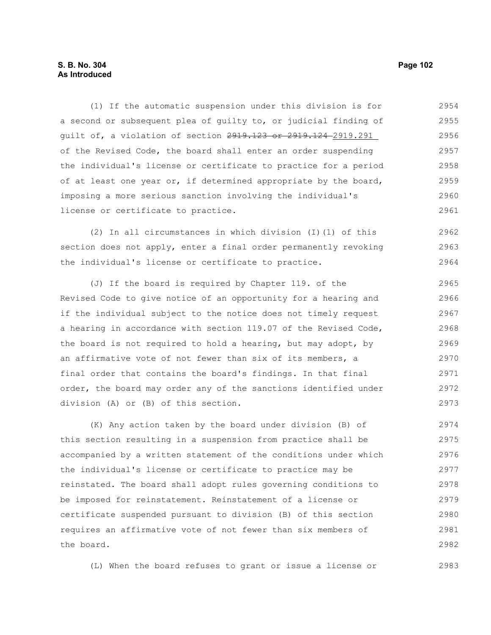# **S. B. No. 304** Page 102 **As Introduced**

(1) If the automatic suspension under this division is for a second or subsequent plea of guilty to, or judicial finding of guilt of, a violation of section 2919.123 or 2919.124-2919.291 of the Revised Code, the board shall enter an order suspending the individual's license or certificate to practice for a period of at least one year or, if determined appropriate by the board, imposing a more serious sanction involving the individual's license or certificate to practice. 2954 2955 2956 2957 2958 2959 2960 2961

(2) In all circumstances in which division (I)(1) of this section does not apply, enter a final order permanently revoking the individual's license or certificate to practice. 2962 2963 2964

(J) If the board is required by Chapter 119. of the Revised Code to give notice of an opportunity for a hearing and if the individual subject to the notice does not timely request a hearing in accordance with section 119.07 of the Revised Code, the board is not required to hold a hearing, but may adopt, by an affirmative vote of not fewer than six of its members, a final order that contains the board's findings. In that final order, the board may order any of the sanctions identified under division (A) or (B) of this section. 2965 2966 2967 2968 2969 2970 2971 2972 2973

(K) Any action taken by the board under division (B) of this section resulting in a suspension from practice shall be accompanied by a written statement of the conditions under which the individual's license or certificate to practice may be reinstated. The board shall adopt rules governing conditions to be imposed for reinstatement. Reinstatement of a license or certificate suspended pursuant to division (B) of this section requires an affirmative vote of not fewer than six members of the board. 2974 2975 2976 2977 2978 2979 2980 2981 2982

(L) When the board refuses to grant or issue a license or 2983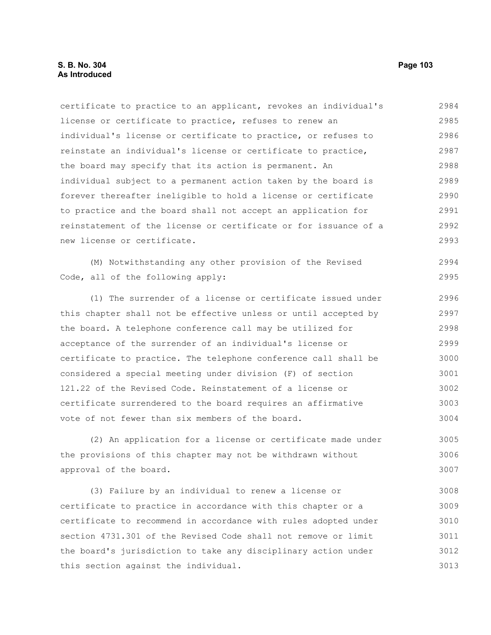certificate to practice to an applicant, revokes an individual's license or certificate to practice, refuses to renew an individual's license or certificate to practice, or refuses to reinstate an individual's license or certificate to practice, the board may specify that its action is permanent. An individual subject to a permanent action taken by the board is forever thereafter ineligible to hold a license or certificate to practice and the board shall not accept an application for reinstatement of the license or certificate or for issuance of a new license or certificate. 2984 2985 2986 2987 2988 2989 2990 2991 2992 2993

(M) Notwithstanding any other provision of the Revised Code, all of the following apply: 2994 2995

(1) The surrender of a license or certificate issued under this chapter shall not be effective unless or until accepted by the board. A telephone conference call may be utilized for acceptance of the surrender of an individual's license or certificate to practice. The telephone conference call shall be considered a special meeting under division (F) of section 121.22 of the Revised Code. Reinstatement of a license or certificate surrendered to the board requires an affirmative vote of not fewer than six members of the board. 2996 2997 2998 2999 3000 3001 3002 3003 3004

(2) An application for a license or certificate made under the provisions of this chapter may not be withdrawn without approval of the board. 3005 3006 3007

(3) Failure by an individual to renew a license or certificate to practice in accordance with this chapter or a certificate to recommend in accordance with rules adopted under section 4731.301 of the Revised Code shall not remove or limit the board's jurisdiction to take any disciplinary action under this section against the individual. 3008 3009 3010 3011 3012 3013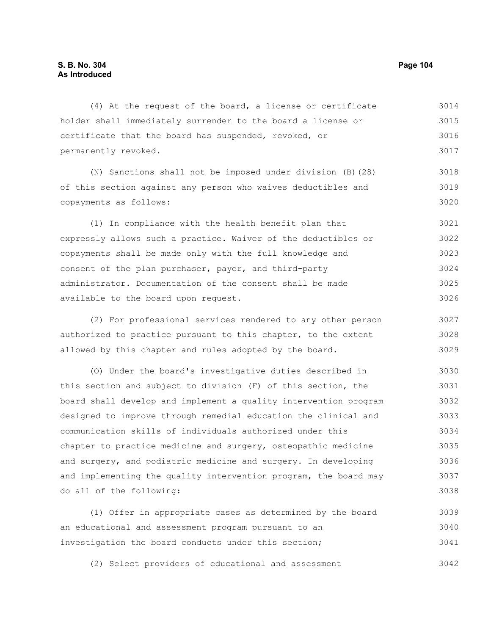(4) At the request of the board, a license or certificate holder shall immediately surrender to the board a license or certificate that the board has suspended, revoked, or permanently revoked. 3014 3015 3016 3017

(N) Sanctions shall not be imposed under division (B)(28) of this section against any person who waives deductibles and copayments as follows: 3018 3019 3020

(1) In compliance with the health benefit plan that expressly allows such a practice. Waiver of the deductibles or copayments shall be made only with the full knowledge and consent of the plan purchaser, payer, and third-party administrator. Documentation of the consent shall be made available to the board upon request. 3021 3022 3023 3024 3025 3026

(2) For professional services rendered to any other person authorized to practice pursuant to this chapter, to the extent allowed by this chapter and rules adopted by the board. 3027 3028 3029

(O) Under the board's investigative duties described in this section and subject to division (F) of this section, the board shall develop and implement a quality intervention program designed to improve through remedial education the clinical and communication skills of individuals authorized under this chapter to practice medicine and surgery, osteopathic medicine and surgery, and podiatric medicine and surgery. In developing and implementing the quality intervention program, the board may do all of the following: 3030 3031 3032 3033 3034 3035 3036 3037 3038

(1) Offer in appropriate cases as determined by the board an educational and assessment program pursuant to an investigation the board conducts under this section; 3039 3040 3041

(2) Select providers of educational and assessment 3042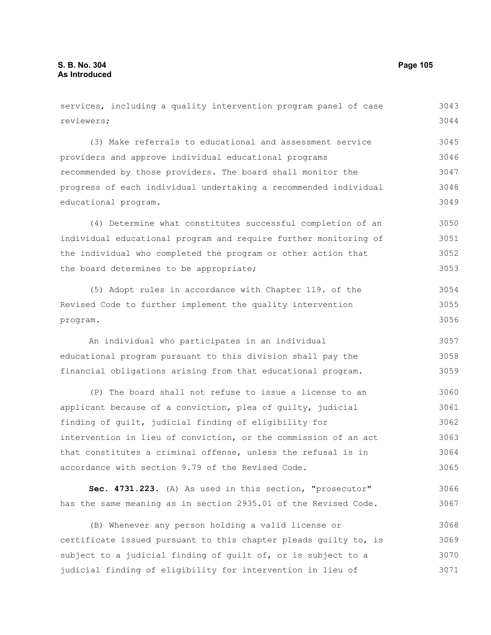| services, including a quality intervention program panel of case | 3043 |
|------------------------------------------------------------------|------|
| reviewers;                                                       | 3044 |
| (3) Make referrals to educational and assessment service         | 3045 |
| providers and approve individual educational programs            | 3046 |
| recommended by those providers. The board shall monitor the      | 3047 |
| progress of each individual undertaking a recommended individual | 3048 |
| educational program.                                             | 3049 |
| (4) Determine what constitutes successful completion of an       | 3050 |
| individual educational program and require further monitoring of | 3051 |
| the individual who completed the program or other action that    | 3052 |
| the board determines to be appropriate;                          | 3053 |
| (5) Adopt rules in accordance with Chapter 119. of the           | 3054 |
| Revised Code to further implement the quality intervention       | 3055 |
| program.                                                         | 3056 |
| An individual who participates in an individual                  | 3057 |
| educational program pursuant to this division shall pay the      | 3058 |
| financial obligations arising from that educational program.     | 3059 |
| (P) The board shall not refuse to issue a license to an          | 3060 |
| applicant because of a conviction, plea of guilty, judicial      | 3061 |
| finding of guilt, judicial finding of eligibility for            | 3062 |
| intervention in lieu of conviction, or the commission of an act  | 3063 |
| that constitutes a criminal offense, unless the refusal is in    | 3064 |
| accordance with section 9.79 of the Revised Code.                | 3065 |
| Sec. 4731.223. (A) As used in this section, "prosecutor"         | 3066 |
| has the same meaning as in section 2935.01 of the Revised Code.  | 3067 |
| (B) Whenever any person holding a valid license or               | 3068 |
| certificate issued pursuant to this chapter pleads quilty to, is | 3069 |
| subject to a judicial finding of quilt of, or is subject to a    | 3070 |
| judicial finding of eligibility for intervention in lieu of      | 3071 |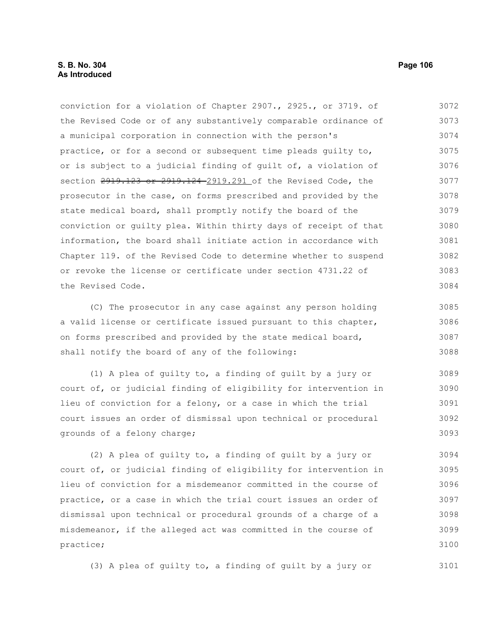conviction for a violation of Chapter 2907., 2925., or 3719. of the Revised Code or of any substantively comparable ordinance of a municipal corporation in connection with the person's practice, or for a second or subsequent time pleads guilty to, or is subject to a judicial finding of guilt of, a violation of section 2919.123 or 2919.124 2919.291 of the Revised Code, the prosecutor in the case, on forms prescribed and provided by the state medical board, shall promptly notify the board of the conviction or guilty plea. Within thirty days of receipt of that information, the board shall initiate action in accordance with Chapter 119. of the Revised Code to determine whether to suspend or revoke the license or certificate under section 4731.22 of the Revised Code. 3072 3073 3074 3075 3076 3077 3078 3079 3080 3081 3082 3083 3084

(C) The prosecutor in any case against any person holding a valid license or certificate issued pursuant to this chapter, on forms prescribed and provided by the state medical board, shall notify the board of any of the following:

(1) A plea of guilty to, a finding of guilt by a jury or court of, or judicial finding of eligibility for intervention in lieu of conviction for a felony, or a case in which the trial court issues an order of dismissal upon technical or procedural grounds of a felony charge; 3089 3090 3091 3092 3093

(2) A plea of guilty to, a finding of guilt by a jury or court of, or judicial finding of eligibility for intervention in lieu of conviction for a misdemeanor committed in the course of practice, or a case in which the trial court issues an order of dismissal upon technical or procedural grounds of a charge of a misdemeanor, if the alleged act was committed in the course of practice; 3094 3095 3096 3097 3098 3099 3100

(3) A plea of guilty to, a finding of guilt by a jury or

3101